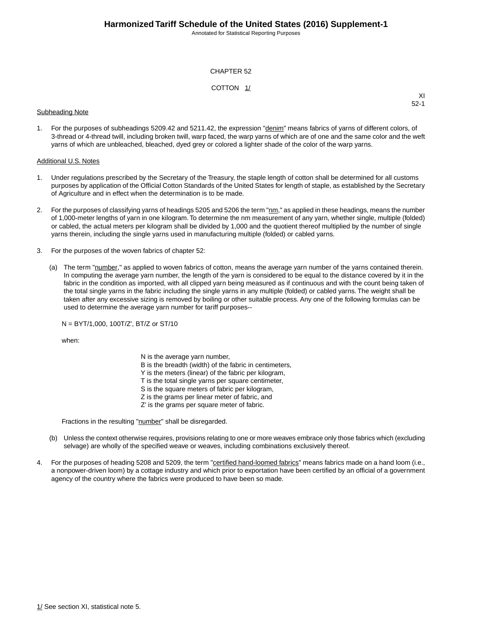Annotated for Statistical Reporting Purposes

#### CHAPTER 52

#### COTTON 1/

#### Subheading Note

XI 52-1

1. For the purposes of subheadings 5209.42 and 5211.42, the expression "denim" means fabrics of yarns of different colors, of 3-thread or 4-thread twill, including broken twill, warp faced, the warp yarns of which are of one and the same color and the weft yarns of which are unbleached, bleached, dyed grey or colored a lighter shade of the color of the warp yarns.

#### Additional U.S. Notes

- 1. Under regulations prescribed by the Secretary of the Treasury, the staple length of cotton shall be determined for all customs purposes by application of the Official Cotton Standards of the United States for length of staple, as established by the Secretary of Agriculture and in effect when the determination is to be made.
- 2. For the purposes of classifying yarns of headings 5205 and 5206 the term "nm," as applied in these headings, means the number of 1,000-meter lengths of yarn in one kilogram.To determine the nm measurement of any yarn, whether single, multiple (folded) or cabled, the actual meters per kilogram shall be divided by 1,000 and the quotient thereof multiplied by the number of single yarns therein, including the single yarns used in manufacturing multiple (folded) or cabled yarns.
- 3. For the purposes of the woven fabrics of chapter 52:
	- (a) The term "number," as applied to woven fabrics of cotton, means the average yarn number of the yarns contained therein. In computing the average yarn number, the length of the yarn is considered to be equal to the distance covered by it in the fabric in the condition as imported, with all clipped yarn being measured as if continuous and with the count being taken of the total single yarns in the fabric including the single yarns in any multiple (folded) or cabled yarns. The weight shall be taken after any excessive sizing is removed by boiling or other suitable process. Any one of the following formulas can be used to determine the average yarn number for tariff purposes--

N = BYT/1,000, 100T/Z', BT/Z or ST/10

when:

N is the average yarn number, B is the breadth (width) of the fabric in centimeters, Y is the meters (linear) of the fabric per kilogram, T is the total single yarns per square centimeter, S is the square meters of fabric per kilogram, Z is the grams per linear meter of fabric, and Z' is the grams per square meter of fabric.

Fractions in the resulting "number" shall be disregarded.

- (b) Unless the context otherwise requires, provisions relating to one or more weaves embrace only those fabrics which (excluding selvage) are wholly of the specified weave or weaves, including combinations exclusively thereof.
- 4. For the purposes of heading 5208 and 5209, the term "certified hand-loomed fabrics" means fabrics made on a hand loom (i.e., a nonpower-driven loom) by a cottage industry and which prior to exportation have been certified by an official of a government agency of the country where the fabrics were produced to have been so made.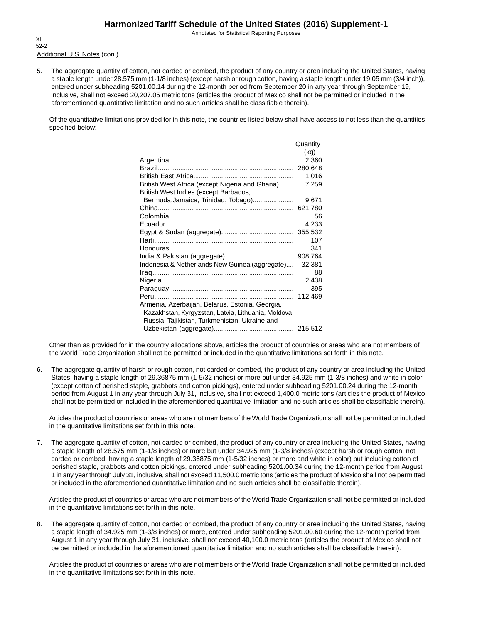Annotated for Statistical Reporting Purposes

Additional U.S. Notes (con.) XI 52-2

5. The aggregate quantity of cotton, not carded or combed, the product of any country or area including the United States, having a staple length under 28.575 mm (1-1/8 inches) (except harsh or rough cotton, having a staple length under 19.05 mm (3/4 inch)), entered under subheading 5201.00.14 during the 12-month period from September 20 in any year through September 19, inclusive, shall not exceed 20,207.05 metric tons (articles the product of Mexico shall not be permitted or included in the aforementioned quantitative limitation and no such articles shall be classifiable therein).

Of the quantitative limitations provided for in this note, the countries listed below shall have access to not less than the quantities specified below:

|                                                     | Quantity |
|-----------------------------------------------------|----------|
|                                                     | (kq)     |
|                                                     | 2,360    |
|                                                     |          |
|                                                     | 1,016    |
| British West Africa (except Nigeria and Ghana)      | 7,259    |
| British West Indies (except Barbados,               |          |
| Bermuda, Jamaica, Trinidad, Tobago)                 | 9,671    |
|                                                     | 621,780  |
|                                                     | 56       |
|                                                     | 4,233    |
|                                                     | 355,532  |
|                                                     | 107      |
|                                                     | 341      |
|                                                     | 908,764  |
| Indonesia & Netherlands New Guinea (aggregate)      | 32,381   |
|                                                     | 88       |
|                                                     | 2,438    |
|                                                     | 395      |
|                                                     | 112,469  |
| Armenia, Azerbaijan, Belarus, Estonia, Georgia,     |          |
| Kazakhstan, Kyrgyzstan, Latvia, Lithuania, Moldova, |          |
| Russia, Tajikistan, Turkmenistan, Ukraine and       |          |
|                                                     |          |

Other than as provided for in the country allocations above, articles the product of countries or areas who are not members of the World Trade Organization shall not be permitted or included in the quantitative limitations set forth in this note.

6. The aggregate quantity of harsh or rough cotton, not carded or combed, the product of any country or area including the United States, having a staple length of 29.36875 mm (1-5/32 inches) or more but under 34.925 mm (1-3/8 inches) and white in color (except cotton of perished staple, grabbots and cotton pickings), entered under subheading 5201.00.24 during the 12-month period from August 1 in any year through July 31, inclusive, shall not exceed 1,400.0 metric tons (articles the product of Mexico shall not be permitted or included in the aforementioned quantitative limitation and no such articles shall be classifiable therein).

Articles the product of countries or areas who are not members of the World Trade Organization shall not be permitted or included in the quantitative limitations set forth in this note.

7. The aggregate quantity of cotton, not carded or combed, the product of any country or area including the United States, having a staple length of 28.575 mm (1-1/8 inches) or more but under 34.925 mm (1-3/8 inches) (except harsh or rough cotton, not carded or combed, having a staple length of 29.36875 mm (1-5/32 inches) or more and white in color) but including cotton of perished staple, grabbots and cotton pickings, entered under subheading 5201.00.34 during the 12-month period from August 1 in any year through July 31, inclusive, shall not exceed 11,500.0 metric tons (articles the product of Mexico shall not be permitted or included in the aforementioned quantitative limitation and no such articles shall be classifiable therein).

Articles the product of countries or areas who are not members of the World Trade Organization shall not be permitted or included in the quantitative limitations set forth in this note.

8. The aggregate quantity of cotton, not carded or combed, the product of any country or area including the United States, having a staple length of 34.925 mm (1-3/8 inches) or more, entered under subheading 5201.00.60 during the 12-month period from August 1 in any year through July 31, inclusive, shall not exceed 40,100.0 metric tons (articles the product of Mexico shall not be permitted or included in the aforementioned quantitative limitation and no such articles shall be classifiable therein).

Articles the product of countries or areas who are not members of the World Trade Organization shall not be permitted or included in the quantitative limitations set forth in this note.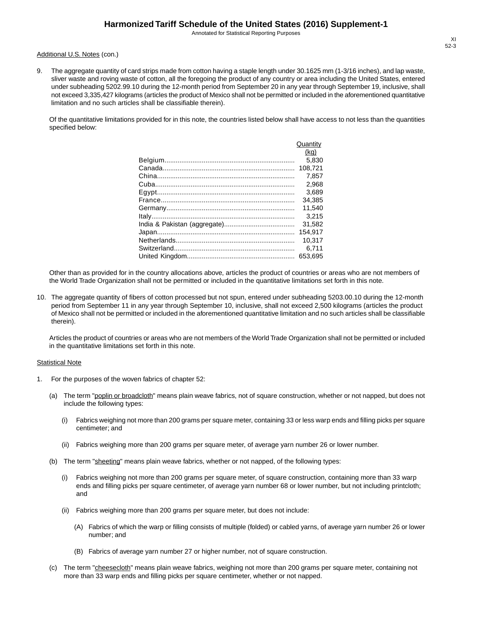Annotated for Statistical Reporting Purposes

#### Additional U.S. Notes (con.)

9. The aggregate quantity of card strips made from cotton having a staple length under 30.1625 mm (1-3/16 inches), and lap waste, sliver waste and roving waste of cotton, all the foregoing the product of any country or area including the United States, entered under subheading 5202.99.10 during the 12-month period from September 20 in any year through September 19, inclusive, shall not exceed 3,335,427 kilograms (articles the product of Mexico shall not be permitted or included in the aforementioned quantitative limitation and no such articles shall be classifiable therein).

Of the quantitative limitations provided for in this note, the countries listed below shall have access to not less than the quantities specified below:

| Quantity |
|----------|
| (kq)     |
| 5.830    |
| 108.721  |
| 7.857    |
| 2.968    |
| 3.689    |
| 34.385   |
| 11.540   |
| 3.215    |
| 31.582   |
| 154.917  |
| 10.317   |
| 6.711    |
| 653.695  |

Other than as provided for in the country allocations above, articles the product of countries or areas who are not members of the World Trade Organization shall not be permitted or included in the quantitative limitations set forth in this note.

10. The aggregate quantity of fibers of cotton processed but not spun, entered under subheading 5203.00.10 during the 12-month period from September 11 in any year through September 10, inclusive, shall not exceed 2,500 kilograms (articles the product of Mexico shall not be permitted or included in the aforementioned quantitative limitation and no such articles shall be classifiable therein).

Articles the product of countries or areas who are not members of the World Trade Organization shall not be permitted or included in the quantitative limitations set forth in this note.

#### **Statistical Note**

- 1. For the purposes of the woven fabrics of chapter 52:
	- (a) The term "poplin or broadcloth" means plain weave fabrics, not of square construction, whether or not napped, but does not include the following types:
		- (i) Fabrics weighing not more than 200 grams per square meter, containing 33 or less warp ends and filling picks per square centimeter; and
		- (ii) Fabrics weighing more than 200 grams per square meter, of average yarn number 26 or lower number.
	- (b) The term "sheeting" means plain weave fabrics, whether or not napped, of the following types:
		- (i) Fabrics weighing not more than 200 grams per square meter, of square construction, containing more than 33 warp ends and filling picks per square centimeter, of average yarn number 68 or lower number, but not including printcloth; and
		- (ii) Fabrics weighing more than 200 grams per square meter, but does not include:
			- (A) Fabrics of which the warp or filling consists of multiple (folded) or cabled yarns, of average yarn number 26 or lower number; and
			- (B) Fabrics of average yarn number 27 or higher number, not of square construction.
	- (c) The term "cheesecloth" means plain weave fabrics, weighing not more than 200 grams per square meter, containing not more than 33 warp ends and filling picks per square centimeter, whether or not napped.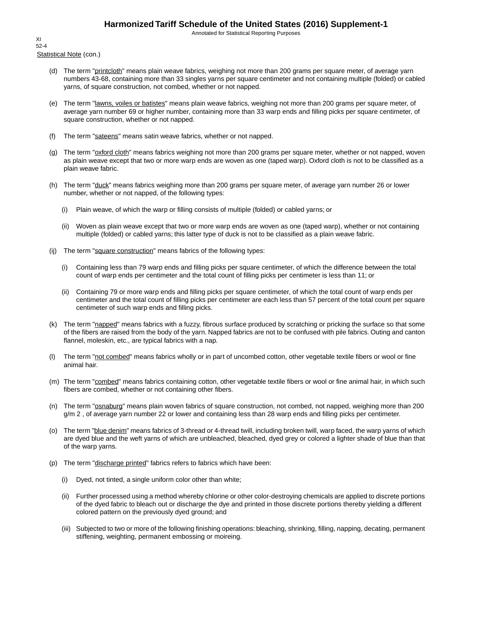Annotated for Statistical Reporting Purposes

Statistical Note (con.) XI 52-4

- (d) The term "printcloth" means plain weave fabrics, weighing not more than 200 grams per square meter, of average yarn numbers 43-68, containing more than 33 singles yarns per square centimeter and not containing multiple (folded) or cabled yarns, of square construction, not combed, whether or not napped.
- (e) The term "lawns, voiles or batistes" means plain weave fabrics, weighing not more than 200 grams per square meter, of average yarn number 69 or higher number, containing more than 33 warp ends and filling picks per square centimeter, of square construction, whether or not napped.
- (f) The term "sateens" means satin weave fabrics, whether or not napped.
- (g) The term "oxford cloth" means fabrics weighing not more than 200 grams per square meter, whether or not napped, woven as plain weave except that two or more warp ends are woven as one (taped warp). Oxford cloth is not to be classified as a plain weave fabric.
- (h) The term "duck" means fabrics weighing more than 200 grams per square meter, of average yarn number 26 or lower number, whether or not napped, of the following types:
	- (i) Plain weave, of which the warp or filling consists of multiple (folded) or cabled yarns; or
	- (ii) Woven as plain weave except that two or more warp ends are woven as one (taped warp), whether or not containing multiple (folded) or cabled yarns; this latter type of duck is not to be classified as a plain weave fabric.
- (ij) The term "square construction" means fabrics of the following types:
	- (i) Containing less than 79 warp ends and filling picks per square centimeter, of which the difference between the total count of warp ends per centimeter and the total count of filling picks per centimeter is less than 11; or
	- (ii) Containing 79 or more warp ends and filling picks per square centimeter, of which the total count of warp ends per centimeter and the total count of filling picks per centimeter are each less than 57 percent of the total count per square centimeter of such warp ends and filling picks.
- (k) The term "napped" means fabrics with a fuzzy, fibrous surface produced by scratching or pricking the surface so that some of the fibers are raised from the body of the yarn. Napped fabrics are not to be confused with pile fabrics. Outing and canton flannel, moleskin, etc., are typical fabrics with a nap.
- (l) The term "not combed" means fabrics wholly or in part of uncombed cotton, other vegetable textile fibers or wool or fine animal hair.
- (m) The term "combed" means fabrics containing cotton, other vegetable textile fibers or wool or fine animal hair, in which such fibers are combed, whether or not containing other fibers.
- (n) The term "osnaburg" means plain woven fabrics of square construction, not combed, not napped, weighing more than 200 g/m 2 , of average yarn number 22 or lower and containing less than 28 warp ends and filling picks per centimeter.
- (o) The term "blue denim" means fabrics of 3-thread or 4-thread twill, including broken twill, warp faced, the warp yarns of which are dyed blue and the weft yarns of which are unbleached, bleached, dyed grey or colored a lighter shade of blue than that of the warp yarns.
- (p) The term "discharge printed" fabrics refers to fabrics which have been:
	- (i) Dyed, not tinted, a single uniform color other than white;
	- (ii) Further processed using a method whereby chlorine or other color-destroying chemicals are applied to discrete portions of the dyed fabric to bleach out or discharge the dye and printed in those discrete portions thereby yielding a different colored pattern on the previously dyed ground; and
	- (iii) Subjected to two or more of the following finishing operations: bleaching, shrinking, filling, napping, decating, permanent stiffening, weighting, permanent embossing or moireing.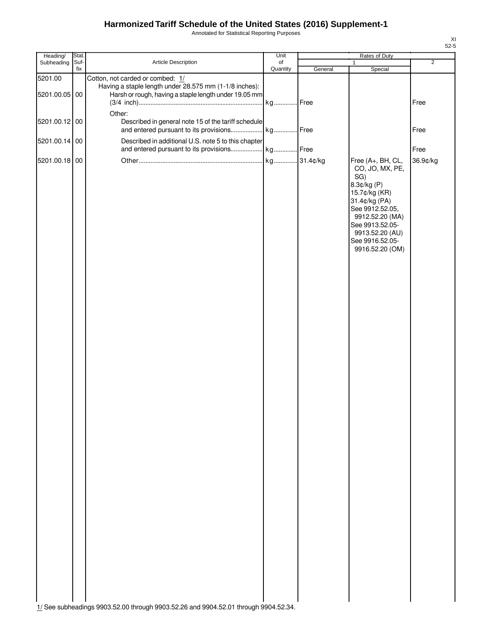Annotated for Statistical Reporting Purposes

| Subheading    | Suf- |                                                                                               |          |         |                                                                                                                                                                                                                |                |
|---------------|------|-----------------------------------------------------------------------------------------------|----------|---------|----------------------------------------------------------------------------------------------------------------------------------------------------------------------------------------------------------------|----------------|
|               | fix  | Article Description                                                                           | of       |         | 1                                                                                                                                                                                                              | $\overline{2}$ |
| 5201.00       |      | Cotton, not carded or combed: 1/<br>Having a staple length under 28.575 mm (1-1/8 inches):    | Quantity | General | Special                                                                                                                                                                                                        |                |
| 5201.00.05 00 |      | Harsh or rough, having a staple length under 19.05 mm                                         |          | .Free   |                                                                                                                                                                                                                | Free           |
|               |      | Other:                                                                                        | kg       |         |                                                                                                                                                                                                                |                |
| 5201.00.12 00 |      | Described in general note 15 of the tariff schedule<br>and entered pursuant to its provisions | kg Free  |         |                                                                                                                                                                                                                | Free           |
| 5201.00.14 00 |      | Described in additional U.S. note 5 to this chapter                                           |          |         |                                                                                                                                                                                                                |                |
| 5201.00.18 00 |      | and entered pursuant to its provisions                                                        | kg Free  |         |                                                                                                                                                                                                                | Free           |
|               |      |                                                                                               |          |         | Free (A+, BH, CL,<br>CO, JO, MX, PE,<br>SG)<br>8.3¢/kg (P)<br>15.7¢/kg (KR)<br>31.4¢/kg (PA)<br>See 9912.52.05,<br>9912.52.20 (MA)<br>See 9913.52.05-<br>9913.52.20 (AU)<br>See 9916.52.05-<br>9916.52.20 (OM) | 36.9¢/kg       |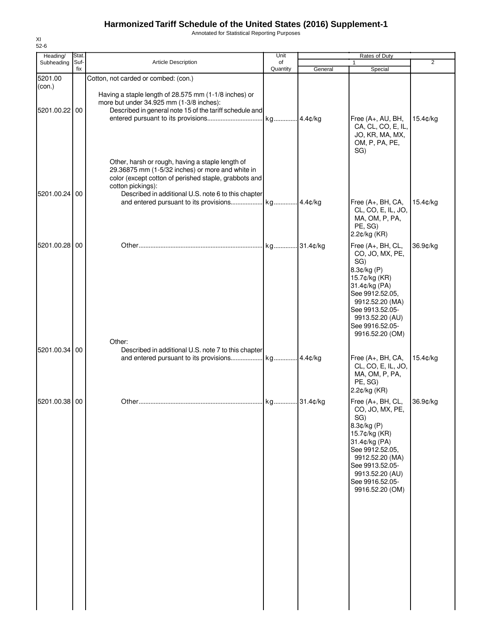Annotated for Statistical Reporting Purposes

| Heading/          | Stat.       |                                                                                                                                                                                                                                                                                        | Unit           |         | Rates of Duty                                                                                                                                                                                                           |          |
|-------------------|-------------|----------------------------------------------------------------------------------------------------------------------------------------------------------------------------------------------------------------------------------------------------------------------------------------|----------------|---------|-------------------------------------------------------------------------------------------------------------------------------------------------------------------------------------------------------------------------|----------|
| Subheading        | Suf-<br>fix | Article Description                                                                                                                                                                                                                                                                    | of<br>Quantity | General | 1<br>Special                                                                                                                                                                                                            | 2        |
| 5201.00<br>(con.) |             | Cotton, not carded or combed: (con.)<br>Having a staple length of 28.575 mm (1-1/8 inches) or                                                                                                                                                                                          |                |         |                                                                                                                                                                                                                         |          |
| 5201.00.22 00     |             | more but under 34.925 mm (1-3/8 inches):<br>Described in general note 15 of the tariff schedule and                                                                                                                                                                                    |                |         | Free (A+, AU, BH,<br>CA, CL, CO, E, IL,<br>JO, KR, MA, MX,<br>OM, P, PA, PE,<br>SG)                                                                                                                                     | 15.4¢/kg |
| 5201.00.24 00     |             | Other, harsh or rough, having a staple length of<br>29.36875 mm (1-5/32 inches) or more and white in<br>color (except cotton of perished staple, grabbots and<br>cotton pickings):<br>Described in additional U.S. note 6 to this chapter<br>and entered pursuant to its provisions kg |                | 4.4¢/kg | Free (A+, BH, CA,<br>CL, CO, E, IL, JO,<br>MA, OM, P, PA,<br>PE, SG)<br>2.2¢/kg (KR)                                                                                                                                    | 15.4¢/kg |
| 5201.00.28 00     |             | Other:                                                                                                                                                                                                                                                                                 |                |         | Free (A+, BH, CL,<br>CO, JO, MX, PE,<br>SG)<br>8.3¢/kg (P)<br>15.7¢/kg (KR)<br>31.4¢/kg (PA)<br>See 9912.52.05,<br>9912.52.20 (MA)<br>See 9913.52.05-<br>9913.52.20 (AU)<br>See 9916.52.05-<br>9916.52.20 (OM)          | 36.9¢/kg |
| 5201.00.34 00     |             | Described in additional U.S. note 7 to this chapter<br>and entered pursuant to its provisions kg                                                                                                                                                                                       |                | 4.4¢/kg | Free (A+, BH, CA,<br>CL, CO, E, IL, JO,<br>MA, OM, P, PA,<br>PE, SG)<br>2.2¢/kg (KR)                                                                                                                                    | 15.4¢/kg |
| 5201.00.38 00     |             |                                                                                                                                                                                                                                                                                        |                |         | Free (A+, BH, CL, 36.9¢/kg<br>CO, JO, MX, PE,<br>SG)<br>8.3¢/kg (P)<br>15.7¢/kg (KR)<br>31.4¢/kg (PA)<br>See 9912.52.05,<br>9912.52.20 (MA)<br>See 9913.52.05-<br>9913.52.20 (AU)<br>See 9916.52.05-<br>9916.52.20 (OM) |          |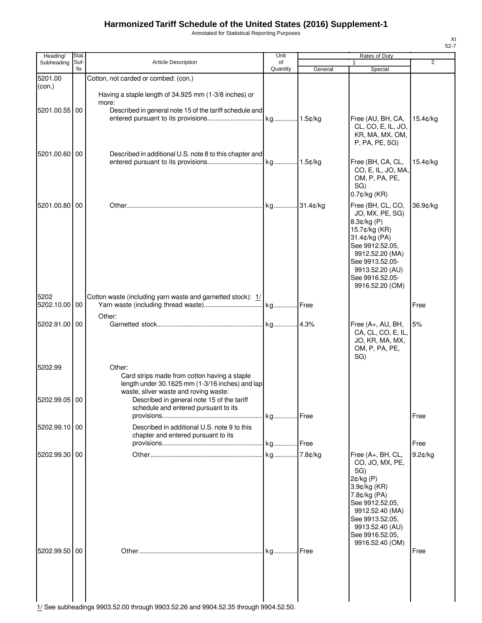Annotated for Statistical Reporting Purposes

| Heading/                 | Stat.       |                                                                                                                                                                                                  | Unit           |           | <b>Rates of Duty</b>                                                                                                                                                                                         |                |
|--------------------------|-------------|--------------------------------------------------------------------------------------------------------------------------------------------------------------------------------------------------|----------------|-----------|--------------------------------------------------------------------------------------------------------------------------------------------------------------------------------------------------------------|----------------|
| Subheading               | Suf-<br>fix | <b>Article Description</b>                                                                                                                                                                       | of<br>Quantity | General   | 1<br>Special                                                                                                                                                                                                 | $\overline{2}$ |
| 5201.00<br>(con.)        |             | Cotton, not carded or combed: (con.)                                                                                                                                                             |                |           |                                                                                                                                                                                                              |                |
| 5201.00.55 00            |             | Having a staple length of 34.925 mm (1-3/8 inches) or<br>more:<br>Described in general note 15 of the tariff schedule and                                                                        | kg             | 1.5¢/kg   | Free (AU, BH, CA,<br>CL, CO, E, IL, JO,<br>KR, MA, MX, OM,                                                                                                                                                   | 15.4¢/kg       |
| 5201.00.60 00            |             | Described in additional U.S. note 8 to this chapter and                                                                                                                                          |                |           | P, PA, PE, SG)<br>Free (BH, CA, CL,<br>CO, E, IL, JO, MA,<br>OM, P, PA, PE,<br>SG)<br>$0.7$ ¢/kg (KR)                                                                                                        | 15.4¢/kg       |
| 5201.00.80 00            |             |                                                                                                                                                                                                  |                | .31.4¢/kg | Free (BH, CL, CO,<br>JO, MX, PE, SG)<br>8.3¢/kg (P)<br>15.7¢/kg (KR)<br>31.4¢/kg (PA)<br>See 9912.52.05,<br>9912.52.20 (MA)<br>See 9913.52.05-<br>9913.52.20 (AU)<br>See 9916.52.05-<br>9916.52.20 (OM)      | 36.9¢/kg       |
| 5202<br>5202.10.00 00    |             | Cotton waste (including yarn waste and garnetted stock): 1/<br>Other:                                                                                                                            |                |           |                                                                                                                                                                                                              | Free           |
| 5202.91.00 00            |             |                                                                                                                                                                                                  |                |           | Free (A+, AU, BH,<br>CA, CL, CO, E, IL,<br>JO, KR, MA, MX,<br>OM, P, PA, PE,<br>SG)                                                                                                                          | 5%             |
| 5202.99<br>5202.99.05 00 |             | Other:<br>Card strips made from cotton having a staple<br>length under 30.1625 mm (1-3/16 inches) and lap<br>waste, sliver waste and roving waste:<br>Described in general note 15 of the tariff |                |           |                                                                                                                                                                                                              |                |
|                          |             | schedule and entered pursuant to its                                                                                                                                                             | kg Free        |           |                                                                                                                                                                                                              | Free           |
| 5202.99.10 00            |             | Described in additional U.S. note 9 to this<br>chapter and entered pursuant to its                                                                                                               |                |           |                                                                                                                                                                                                              | Free           |
| 5202.99.30 00            |             |                                                                                                                                                                                                  |                |           | Free (A+, BH, CL,<br>CO, JO, MX, PE,<br>SG)<br>$2¢/kg$ (P)<br>3.9¢/kg (KR)<br>7.8¢/kg (PA)<br>See 9912.52.05,<br>9912.52.40 (MA)<br>See 9913.52.05,<br>9913.52.40 (AU)<br>See 9916.52.05,<br>9916.52.40 (OM) | 9.2¢/kg        |
| 5202.99.50 00            |             |                                                                                                                                                                                                  |                |           |                                                                                                                                                                                                              | Free           |

 $\begin{bmatrix} 1 \end{bmatrix}$   $\begin{bmatrix} 1 \end{bmatrix}$ <br>
1/ See subheadings 9903.52.00 through 9903.52.26 and 9904.52.35 through 9904.52.50.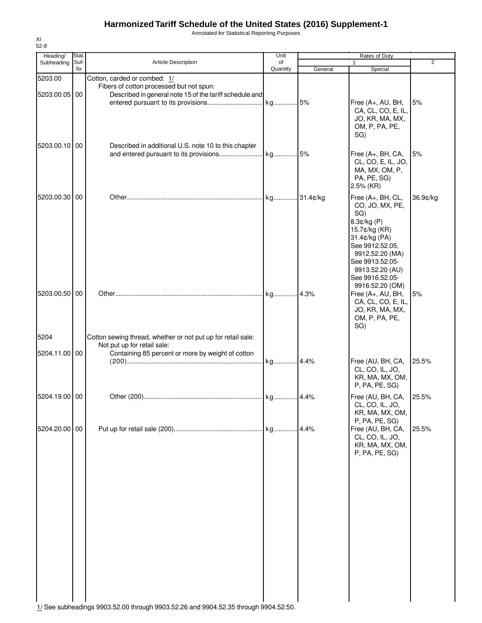Annotated for Statistical Reporting Purposes

| Heading/                 | Stat.       |                                                                                                                                     | Unit           |         | Rates of Duty                                                                                                                                                                               |                |
|--------------------------|-------------|-------------------------------------------------------------------------------------------------------------------------------------|----------------|---------|---------------------------------------------------------------------------------------------------------------------------------------------------------------------------------------------|----------------|
| Subheading               | Suf-<br>fix | <b>Article Description</b>                                                                                                          | of<br>Quantity | General | $\mathbf{1}$<br>Special                                                                                                                                                                     | $\overline{2}$ |
| 5203.00<br>5203.00.05 00 |             | Cotton, carded or combed: 1/<br>Fibers of cotton processed but not spun:<br>Described in general note 15 of the tariff schedule and |                |         | Free (A+, AU, BH,<br>CA, CL, CO, E, IL,<br>JO, KR, MA, MX,<br>OM, P, PA, PE,<br>SG)                                                                                                         | 5%             |
| 5203.00.10 00            |             | Described in additional U.S. note 10 to this chapter                                                                                |                |         | Free (A+, BH, CA,<br>CL, CO, E, IL, JO,<br>MA, MX, OM, P,<br>PA, PE, SG)<br>2.5% (KR)                                                                                                       | 5%             |
| 5203.00.30 00            |             |                                                                                                                                     | kg 31.4¢/kg    |         | Free (A+, BH, CL,<br>CO, JO, MX, PE,<br>SG)<br>8.3¢/kg (P)<br>15.7¢/kg (KR)<br>31.4¢/kg (PA)<br>See 9912.52.05,<br>9912.52.20 (MA)<br>See 9913.52.05-<br>9913.52.20 (AU)<br>See 9916.52.05- | 36.9¢/kg       |
| 5203.00.50               | 00          |                                                                                                                                     |                |         | 9916.52.20 (OM)<br>Free (A+, AU, BH,<br>CA, CL, CO, E, IL,<br>JO, KR, MA, MX,<br>OM, P, PA, PE,<br>SG)                                                                                      | 5%             |
| 5204                     |             | Cotton sewing thread, whether or not put up for retail sale:                                                                        |                |         |                                                                                                                                                                                             |                |
|                          |             | Not put up for retail sale:                                                                                                         |                |         |                                                                                                                                                                                             |                |
| 5204.11.00 00            |             | Containing 85 percent or more by weight of cotton                                                                                   |                |         | Free (AU, BH, CA,<br>CL, CO, IL, JO,<br>KR, MA, MX, OM,<br>P, PA, PE, SG)                                                                                                                   | 25.5%          |
| 5204.19.00 00            |             |                                                                                                                                     |                |         | Free (AU, BH, CA,<br>CL, CO, IL, JO,<br>KR, MA, MX, OM,<br>P, PA, PE, SG)                                                                                                                   | 25.5%          |
| 5204.20.00 00            |             |                                                                                                                                     |                |         | Free (AU, BH, CA,<br>CL, CO, IL, JO,<br>KR, MA, MX, OM,<br>P, PA, PE, SG)                                                                                                                   | 25.5%          |
|                          |             | 1/ See subheadings 9903.52.00 through 9903.52.26 and 9904.52.35 through 9904.52.50.                                                 |                |         |                                                                                                                                                                                             |                |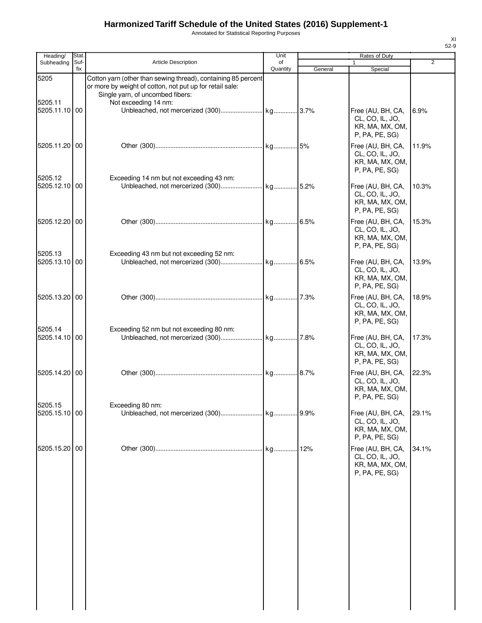Annotated for Statistical Reporting Purposes

| Heading/                 | Stat. |                                                                                                                                                               | Unit     |         | Rates of Duty                                                             |                |
|--------------------------|-------|---------------------------------------------------------------------------------------------------------------------------------------------------------------|----------|---------|---------------------------------------------------------------------------|----------------|
| Subheading               | Suf-  | <b>Article Description</b>                                                                                                                                    | of       |         |                                                                           | $\overline{2}$ |
| 5205                     | fix   | Cotton yarn (other than sewing thread), containing 85 percent<br>or more by weight of cotton, not put up for retail sale:<br>Single yarn, of uncombed fibers: | Quantity | General | Special                                                                   |                |
| 5205.11<br>5205.11.10    | 00    | Not exceeding 14 nm:                                                                                                                                          |          |         | Free (AU, BH, CA,<br>CL, CO, IL, JO,<br>KR, MA, MX, OM,<br>P, PA, PE, SG) | 6.9%           |
| 5205.11.20 00            |       |                                                                                                                                                               |          |         | Free (AU, BH, CA,<br>CL, CO, IL, JO,<br>KR, MA, MX, OM,<br>P, PA, PE, SG) | 11.9%          |
| 5205.12<br>5205.12.10    | 00    | Exceeding 14 nm but not exceeding 43 nm:                                                                                                                      |          |         | Free (AU, BH, CA,<br>CL, CO, IL, JO,<br>KR, MA, MX, OM,<br>P, PA, PE, SG) | 10.3%          |
| 5205.12.20               | 00    |                                                                                                                                                               |          |         | Free (AU, BH, CA,<br>CL, CO, IL, JO,<br>KR, MA, MX, OM,<br>P, PA, PE, SG) | 15.3%          |
| 5205.13<br>5205.13.10    | 00    | Exceeding 43 nm but not exceeding 52 nm:                                                                                                                      |          |         | Free (AU, BH, CA,<br>CL, CO, IL, JO,<br>KR, MA, MX, OM,<br>P, PA, PE, SG) | 13.9%          |
| 5205.13.20               | 00    |                                                                                                                                                               |          |         | Free (AU, BH, CA,<br>CL, CO, IL, JO,<br>KR, MA, MX, OM,<br>P, PA, PE, SG) | 18.9%          |
| 5205.14<br>5205.14.10    | 00    | Exceeding 52 nm but not exceeding 80 nm:                                                                                                                      |          |         | Free (AU, BH, CA,<br>CL, CO, IL, JO,<br>KR, MA, MX, OM,<br>P, PA, PE, SG) | 17.3%          |
| 5205.14.20 00            |       |                                                                                                                                                               |          |         | Free (AU, BH, CA,<br>CL, CO, IL, JO,<br>KR, MA, MX, OM,<br>P, PA, PE, SG) | 22.3%          |
| 5205.15<br>5205.15.10 00 |       | Exceeding 80 nm:                                                                                                                                              |          | .9.9%   | Free (AU, BH, CA,<br>CL, CO, IL, JO,<br>KR, MA, MX, OM,<br>P, PA, PE, SG) | 29.1%          |
| 5205.15.20               | 00    |                                                                                                                                                               | kg       | 12%     | Free (AU, BH, CA,<br>CL, CO, IL, JO,<br>KR, MA, MX, OM,<br>P, PA, PE, SG) | 34.1%          |
|                          |       |                                                                                                                                                               |          |         |                                                                           |                |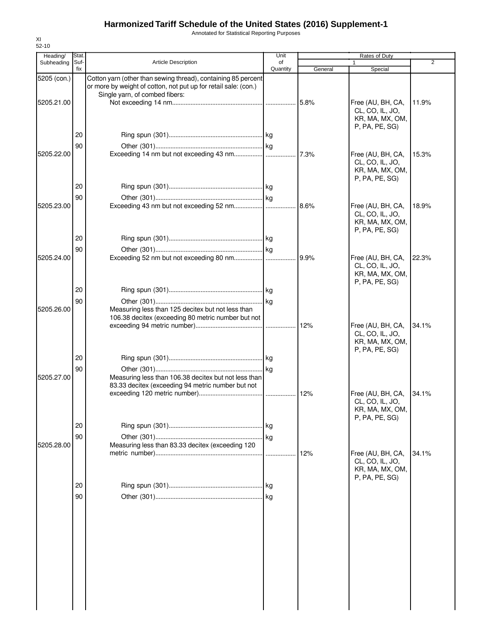Annotated for Statistical Reporting Purposes

| Heading/    | Stat.       |                                                                                                           | Unit           |         | Rates of Duty                                                             |       |
|-------------|-------------|-----------------------------------------------------------------------------------------------------------|----------------|---------|---------------------------------------------------------------------------|-------|
| Subheading  | Suf-<br>fix | Article Description                                                                                       | of<br>Quantity | General | 1<br>Special                                                              | 2     |
| 5205 (con.) |             | Cotton yarn (other than sewing thread), containing 85 percent                                             |                |         |                                                                           |       |
|             |             | or more by weight of cotton, not put up for retail sale: (con.)<br>Single yarn, of combed fibers:         |                |         |                                                                           |       |
| 5205.21.00  |             |                                                                                                           |                | 5.8%    | Free (AU, BH, CA,                                                         | 11.9% |
|             |             |                                                                                                           |                |         | CL, CO, IL, JO,<br>KR, MA, MX, OM,<br>P, PA, PE, SG)                      |       |
|             | 20          |                                                                                                           |                |         |                                                                           |       |
|             | 90          |                                                                                                           |                |         |                                                                           |       |
| 5205.22.00  |             |                                                                                                           |                | 7.3%    | Free (AU, BH, CA,                                                         | 15.3% |
|             |             |                                                                                                           |                |         | CL, CO, IL, JO,<br>KR, MA, MX, OM,<br>P, PA, PE, SG)                      |       |
|             | 20          |                                                                                                           |                |         |                                                                           |       |
|             | 90          |                                                                                                           |                |         |                                                                           |       |
| 5205.23.00  |             |                                                                                                           |                | 8.6%    | Free (AU, BH, CA,<br>CL, CO, IL, JO,<br>KR, MA, MX, OM,<br>P. PA, PE, SG) | 18.9% |
|             | 20          |                                                                                                           |                |         |                                                                           |       |
|             | 90          |                                                                                                           |                |         |                                                                           |       |
| 5205.24.00  |             |                                                                                                           |                | 9.9%    | Free (AU, BH, CA,<br>CL, CO, IL, JO,                                      | 22.3% |
|             |             |                                                                                                           |                |         | KR, MA, MX, OM,<br>P, PA, PE, SG)                                         |       |
|             | 20          |                                                                                                           |                |         |                                                                           |       |
|             | 90          |                                                                                                           |                |         |                                                                           |       |
| 5205.26.00  |             | Measuring less than 125 decitex but not less than                                                         |                |         |                                                                           |       |
|             |             | 106.38 decitex (exceeding 80 metric number but not                                                        |                |         |                                                                           |       |
|             |             |                                                                                                           |                | 12%     | Free (AU, BH, CA,<br>CL, CO, IL, JO,                                      | 34.1% |
|             |             |                                                                                                           |                |         | KR, MA, MX, OM,<br>P, PA, PE, SG)                                         |       |
|             | 20          |                                                                                                           |                |         |                                                                           |       |
|             | 90          |                                                                                                           |                |         |                                                                           |       |
| 5205.27.00  |             | Measuring less than 106.38 decitex but not less than<br>83.33 decitex (exceeding 94 metric number but not |                |         |                                                                           |       |
|             |             |                                                                                                           |                |         | Free (AU, BH, CA,                                                         | 34.1% |
|             |             |                                                                                                           |                |         | CL, CO, IL, JO,<br>KR, MA, MX, OM,<br>P, PA, PE, SG)                      |       |
|             | 20          |                                                                                                           |                |         |                                                                           |       |
|             | 90          |                                                                                                           | kg             |         |                                                                           |       |
| 5205.28.00  |             | Measuring less than 83.33 decitex (exceeding 120                                                          |                |         |                                                                           |       |
|             |             |                                                                                                           | .              | 12%     | Free (AU, BH, CA,<br>CL, CO, IL, JO,<br>KR, MA, MX, OM,<br>P, PA, PE, SG) | 34.1% |
|             | 20          |                                                                                                           |                |         |                                                                           |       |
|             | 90          |                                                                                                           |                |         |                                                                           |       |
|             |             |                                                                                                           |                |         |                                                                           |       |
|             |             |                                                                                                           |                |         |                                                                           |       |
|             |             |                                                                                                           |                |         |                                                                           |       |
|             |             |                                                                                                           |                |         |                                                                           |       |
|             |             |                                                                                                           |                |         |                                                                           |       |
|             |             |                                                                                                           |                |         |                                                                           |       |
|             |             |                                                                                                           |                |         |                                                                           |       |
|             |             |                                                                                                           |                |         |                                                                           |       |
|             |             |                                                                                                           |                |         |                                                                           |       |
|             |             |                                                                                                           |                |         |                                                                           |       |
|             |             |                                                                                                           |                |         |                                                                           |       |
|             |             |                                                                                                           |                |         |                                                                           |       |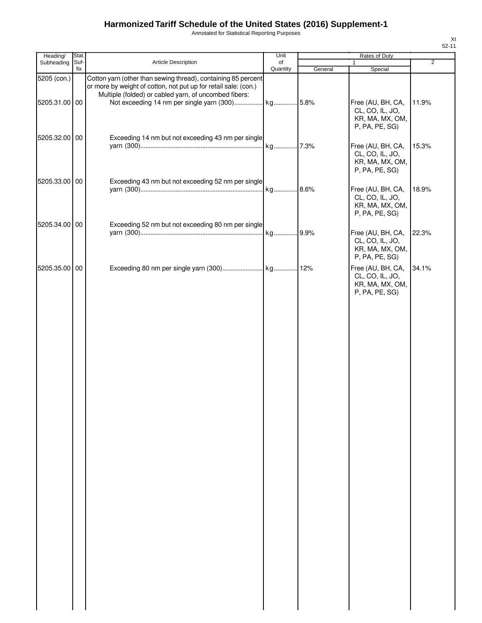Annotated for Statistical Reporting Purposes

| Heading/      | Stat.       |                                                                                                                                                                                           | Unit           |         | Rates of Duty                                                             |                |
|---------------|-------------|-------------------------------------------------------------------------------------------------------------------------------------------------------------------------------------------|----------------|---------|---------------------------------------------------------------------------|----------------|
| Subheading    | Suf-<br>fix | Article Description                                                                                                                                                                       | of<br>Quantity | General | 1<br>Special                                                              | $\overline{2}$ |
| 5205 (con.)   |             | Cotton yarn (other than sewing thread), containing 85 percent<br>or more by weight of cotton, not put up for retail sale: (con.)<br>Multiple (folded) or cabled yarn, of uncombed fibers: |                |         |                                                                           |                |
| 5205.31.00 00 |             |                                                                                                                                                                                           |                |         | Free (AU, BH, CA,<br>CL, CO, IL, JO,<br>KR, MA, MX, OM,<br>P, PA, PE, SG) | 11.9%          |
| 5205.32.00 00 |             | Exceeding 14 nm but not exceeding 43 nm per single                                                                                                                                        |                |         | Free (AU, BH, CA,<br>CL, CO, IL, JO,<br>KR, MA, MX, OM,<br>P, PA, PE, SG) | 15.3%          |
| 5205.33.00 00 |             | Exceeding 43 nm but not exceeding 52 nm per single                                                                                                                                        |                |         | Free (AU, BH, CA,<br>CL, CO, IL, JO,<br>KR, MA, MX, OM,<br>P, PA, PE, SG) | 18.9%          |
| 5205.34.00 00 |             | Exceeding 52 nm but not exceeding 80 nm per single                                                                                                                                        | kg 9.9%        |         | Free (AU, BH, CA,<br>CL, CO, IL, JO,<br>KR, MA, MX, OM,<br>P, PA, PE, SG) | 22.3%          |
| 5205.35.00 00 |             |                                                                                                                                                                                           |                |         | Free (AU, BH, CA,<br>CL, CO, IL, JO,<br>KR, MA, MX, OM,<br>P, PA, PE, SG) | 34.1%          |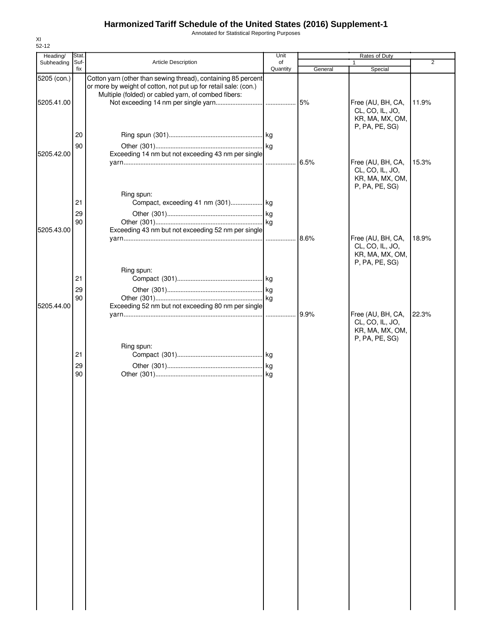Annotated for Statistical Reporting Purposes

| Heading/    | Stat.    |                                                                                                                                                                                         | Unit     |         | Rates of Duty                                                             |       |
|-------------|----------|-----------------------------------------------------------------------------------------------------------------------------------------------------------------------------------------|----------|---------|---------------------------------------------------------------------------|-------|
| Subheading  | Suf-     | <b>Article Description</b>                                                                                                                                                              | of       |         | 1                                                                         | 2     |
|             | fix      |                                                                                                                                                                                         | Quantity | General | Special                                                                   |       |
| 5205 (con.) |          | Cotton yarn (other than sewing thread), containing 85 percent<br>or more by weight of cotton, not put up for retail sale: (con.)<br>Multiple (folded) or cabled yarn, of combed fibers: |          |         |                                                                           |       |
| 5205.41.00  |          |                                                                                                                                                                                         |          | 5%      | Free (AU, BH, CA,<br>CL, CO, IL, JO,<br>KR, MA, MX, OM,<br>P, PA, PE, SG) | 11.9% |
|             | 20<br>90 |                                                                                                                                                                                         |          |         |                                                                           |       |
| 5205.42.00  |          | Exceeding 14 nm but not exceeding 43 nm per single                                                                                                                                      |          | 6.5%    | Free (AU, BH, CA,<br>CL, CO, IL, JO,                                      | 15.3% |
|             |          | Ring spun:                                                                                                                                                                              |          |         | KR, MA, MX, OM,<br>P, PA, PE, SG)                                         |       |
|             | 21       | Compact, exceeding 41 nm (301) kg                                                                                                                                                       |          |         |                                                                           |       |
|             | 29       |                                                                                                                                                                                         |          |         |                                                                           |       |
|             | 90       |                                                                                                                                                                                         |          |         |                                                                           |       |
| 5205.43.00  |          | Exceeding 43 nm but not exceeding 52 nm per single                                                                                                                                      |          |         | Free (AU, BH, CA,<br>CL, CO, IL, JO,<br>KR, MA, MX, OM,<br>P, PA, PE, SG) | 18.9% |
|             |          | Ring spun:                                                                                                                                                                              |          |         |                                                                           |       |
|             | 21       |                                                                                                                                                                                         |          |         |                                                                           |       |
|             | 29       |                                                                                                                                                                                         |          |         |                                                                           |       |
|             | 90       |                                                                                                                                                                                         |          |         |                                                                           |       |
| 5205.44.00  |          | Exceeding 52 nm but not exceeding 80 nm per single                                                                                                                                      |          |         |                                                                           |       |
|             |          |                                                                                                                                                                                         |          | 9.9%    | Free (AU, BH, CA,<br>CL, CO, IL, JO,<br>KR, MA, MX, OM,<br>P, PA, PE, SG) | 22.3% |
|             |          | Ring spun:                                                                                                                                                                              |          |         |                                                                           |       |
|             | 21       |                                                                                                                                                                                         |          |         |                                                                           |       |
|             | 29       |                                                                                                                                                                                         |          |         |                                                                           |       |
|             | 90       |                                                                                                                                                                                         |          |         |                                                                           |       |
|             |          |                                                                                                                                                                                         |          |         |                                                                           |       |
|             |          |                                                                                                                                                                                         |          |         |                                                                           |       |
|             |          |                                                                                                                                                                                         |          |         |                                                                           |       |
|             |          |                                                                                                                                                                                         |          |         |                                                                           |       |
|             |          |                                                                                                                                                                                         |          |         |                                                                           |       |
|             |          |                                                                                                                                                                                         |          |         |                                                                           |       |
|             |          |                                                                                                                                                                                         |          |         |                                                                           |       |
|             |          |                                                                                                                                                                                         |          |         |                                                                           |       |
|             |          |                                                                                                                                                                                         |          |         |                                                                           |       |
|             |          |                                                                                                                                                                                         |          |         |                                                                           |       |
|             |          |                                                                                                                                                                                         |          |         |                                                                           |       |
|             |          |                                                                                                                                                                                         |          |         |                                                                           |       |
|             |          |                                                                                                                                                                                         |          |         |                                                                           |       |
|             |          |                                                                                                                                                                                         |          |         |                                                                           |       |
|             |          |                                                                                                                                                                                         |          |         |                                                                           |       |
|             |          |                                                                                                                                                                                         |          |         |                                                                           |       |
|             |          |                                                                                                                                                                                         |          |         |                                                                           |       |
|             |          |                                                                                                                                                                                         |          |         |                                                                           |       |
|             |          |                                                                                                                                                                                         |          |         |                                                                           |       |
|             |          |                                                                                                                                                                                         |          |         |                                                                           |       |
|             |          |                                                                                                                                                                                         |          |         |                                                                           |       |
|             |          |                                                                                                                                                                                         |          |         |                                                                           |       |
|             |          |                                                                                                                                                                                         |          |         |                                                                           |       |
|             |          |                                                                                                                                                                                         |          |         |                                                                           |       |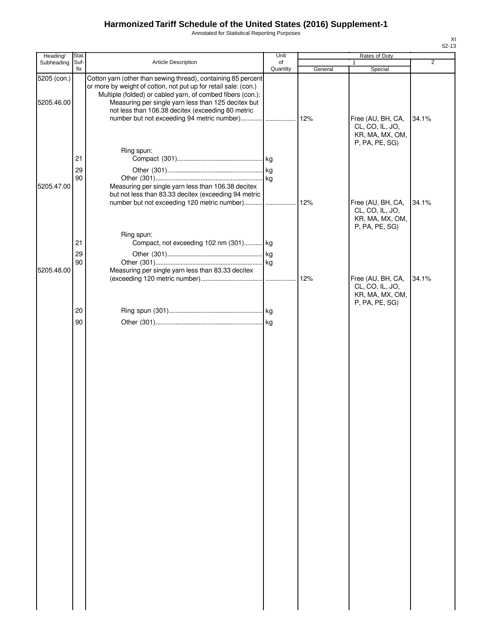Annotated for Statistical Reporting Purposes

| Heading/    | Stat.       |                                                                                                                                                                        | Unit           |         | Rates of Duty                                                             |                |
|-------------|-------------|------------------------------------------------------------------------------------------------------------------------------------------------------------------------|----------------|---------|---------------------------------------------------------------------------|----------------|
| Subheading  | Suf-<br>fix | Article Description                                                                                                                                                    | of<br>Quantity | General | 1<br>Special                                                              | $\overline{2}$ |
| 5205 (con.) |             | Cotton yarn (other than sewing thread), containing 85 percent<br>or more by weight of cotton, not put up for retail sale: (con.)                                       |                |         |                                                                           |                |
| 5205.46.00  |             | Multiple (folded) or cabled yarn, of combed fibers (con.):<br>Measuring per single yarn less than 125 decitex but<br>not less than 106.38 decitex (exceeding 80 metric |                |         | Free (AU, BH, CA,                                                         | 34.1%          |
|             |             | Ring spun:                                                                                                                                                             |                |         | CL, CO, IL, JO,<br>KR, MA, MX, OM,<br>P, PA, PE, SG)                      |                |
|             | 21<br>29    |                                                                                                                                                                        |                |         |                                                                           |                |
| 5205.47.00  | 90          | Measuring per single yarn less than 106.38 decitex<br>but not less than 83.33 decitex (exceeding 94 metric                                                             |                |         |                                                                           |                |
|             |             |                                                                                                                                                                        |                |         | Free (AU, BH, CA,<br>CL, CO, IL, JO,<br>KR, MA, MX, OM,<br>P, PA, PE, SG) | 34.1%          |
|             | 21          | Ring spun:<br>Compact, not exceeding 102 nm (301) kg                                                                                                                   |                |         |                                                                           |                |
|             | 29<br>90    |                                                                                                                                                                        |                |         |                                                                           |                |
| 5205.48.00  |             | Measuring per single yarn less than 83.33 decitex                                                                                                                      |                | 12%     | Free (AU, BH, CA,                                                         | 34.1%          |
|             |             |                                                                                                                                                                        |                |         | CL, CO, IL, JO,<br>KR, MA, MX, OM,<br>P, PA, PE, SG)                      |                |
|             | 20          |                                                                                                                                                                        |                |         |                                                                           |                |
|             |             |                                                                                                                                                                        |                |         |                                                                           |                |
|             |             |                                                                                                                                                                        |                |         |                                                                           |                |
|             |             |                                                                                                                                                                        |                |         |                                                                           |                |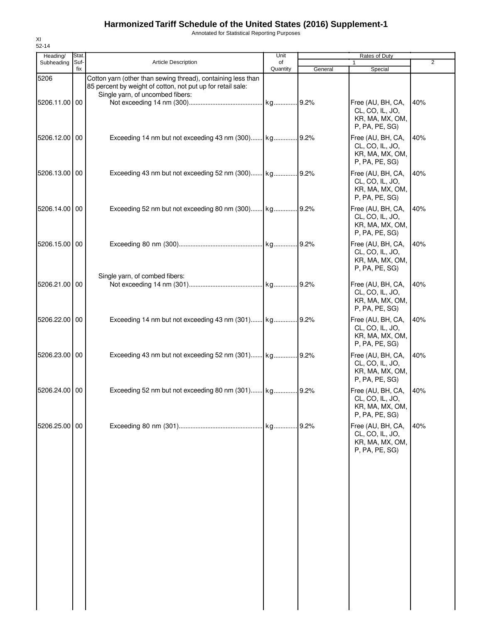Annotated for Statistical Reporting Purposes

| Heading/<br>Subheading | Stat.<br>Suf- | <b>Article Description</b>                                                                                                                                      | Unit<br>of |         | Rates of Duty<br>$\mathbf{1}$                                             | 2   |
|------------------------|---------------|-----------------------------------------------------------------------------------------------------------------------------------------------------------------|------------|---------|---------------------------------------------------------------------------|-----|
|                        | fix           |                                                                                                                                                                 | Quantity   | General | Special                                                                   |     |
| 5206<br>5206.11.00 00  |               | Cotton yarn (other than sewing thread), containing less than<br>85 percent by weight of cotton, not put up for retail sale:<br>Single yarn, of uncombed fibers: |            |         | Free (AU, BH, CA,<br>CL, CO, IL, JO,<br>KR, MA, MX, OM,<br>P, PA, PE, SG) | 40% |
| 5206.12.00 00          |               |                                                                                                                                                                 |            |         | Free (AU, BH, CA,<br>CL, CO, IL, JO,<br>KR, MA, MX, OM,<br>P, PA, PE, SG) | 40% |
| 5206.13.00 00          |               |                                                                                                                                                                 |            |         | Free (AU, BH, CA,<br>CL, CO, IL, JO,<br>KR, MA, MX, OM,<br>P, PA, PE, SG  | 40% |
| 5206.14.00 00          |               |                                                                                                                                                                 |            |         | Free (AU, BH, CA,<br>CL, CO, IL, JO,<br>KR, MA, MX, OM,<br>P, PA, PE, SG) | 40% |
| 5206.15.00 00          |               |                                                                                                                                                                 |            |         | Free (AU, BH, CA,<br>CL, CO, IL, JO,<br>KR, MA, MX, OM,<br>P, PA, PE, SG) | 40% |
| 5206.21.00 00          |               | Single yarn, of combed fibers:                                                                                                                                  |            |         | Free (AU, BH, CA,<br>CL, CO, IL, JO,<br>KR, MA, MX, OM,<br>P, PA, PE, SG  | 40% |
| 5206.22.00 00          |               |                                                                                                                                                                 |            |         | Free (AU, BH, CA,<br>CL, CO, IL, JO,<br>KR, MA, MX, OM,<br>P, PA, PE, SG  | 40% |
| 5206.23.00 00          |               | Exceeding 43 nm but not exceeding 52 nm (301) kg 9.2%                                                                                                           |            |         | Free (AU, BH, CA,<br>CL, CO, IL, JO,<br>KR, MA, MX, OM,<br>P, PA, PE, SG) | 40% |
| 5206.24.00 00          |               | Exceeding 52 nm but not exceeding 80 nm (301) kg 9.2%                                                                                                           |            |         | Free (AU, BH, CA,<br>CL, CO, IL, JO,<br>KR, MA, MX, OM,<br>P, PA, PE, SG) | 40% |
| 5206.25.00 00          |               |                                                                                                                                                                 |            |         | Free (AU, BH, CA,<br>CL, CO, IL, JO,<br>KR, MA, MX, OM,<br>P, PA, PE, SG) | 40% |
|                        |               |                                                                                                                                                                 |            |         |                                                                           |     |

XI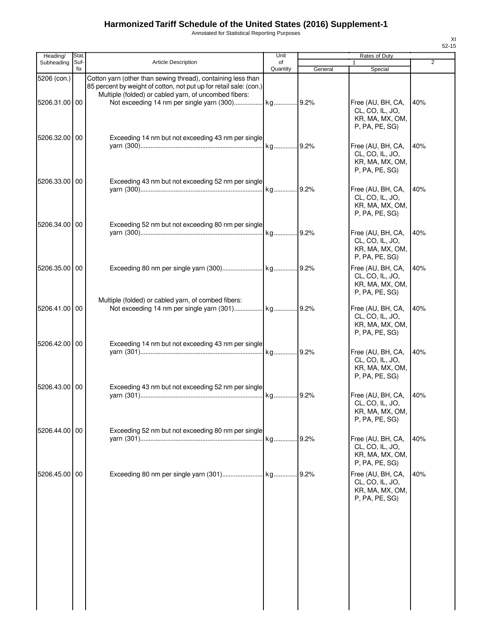Annotated for Statistical Reporting Purposes

| Heading/      | Stat.       |                                                                                                                                                                                             | Unit           |         | Rates of Duty                                                             |                |
|---------------|-------------|---------------------------------------------------------------------------------------------------------------------------------------------------------------------------------------------|----------------|---------|---------------------------------------------------------------------------|----------------|
| Subheading    | Suf-<br>fix | <b>Article Description</b>                                                                                                                                                                  | of<br>Quantity | General | 1<br>Special                                                              | $\overline{2}$ |
| 5206 (con.)   |             | Cotton yarn (other than sewing thread), containing less than<br>85 percent by weight of cotton, not put up for retail sale: (con.)<br>Multiple (folded) or cabled yarn, of uncombed fibers: |                |         |                                                                           |                |
| 5206.31.00 00 |             |                                                                                                                                                                                             |                |         | Free (AU, BH, CA,<br>CL, CO, IL, JO,<br>KR, MA, MX, OM,<br>P, PA, PE, SG) | 40%            |
| 5206.32.00 00 |             | Exceeding 14 nm but not exceeding 43 nm per single                                                                                                                                          |                |         | Free (AU, BH, CA,<br>CL, CO, IL, JO,<br>KR, MA, MX, OM,<br>P, PA, PE, SG) | 40%            |
| 5206.33.00 00 |             | Exceeding 43 nm but not exceeding 52 nm per single                                                                                                                                          |                |         | Free (AU, BH, CA,<br>CL, CO, IL, JO,<br>KR, MA, MX, OM,<br>P, PA, PE, SG) | 40%            |
| 5206.34.00 00 |             | Exceeding 52 nm but not exceeding 80 nm per single                                                                                                                                          |                |         | Free (AU, BH, CA,<br>CL, CO, IL, JO,<br>KR, MA, MX, OM,<br>P, PA, PE, SG) | 40%            |
| 5206.35.00 00 |             | Multiple (folded) or cabled yarn, of combed fibers:                                                                                                                                         |                |         | Free (AU, BH, CA,<br>CL, CO, IL, JO,<br>KR, MA, MX, OM,<br>P, PA, PE, SG) | 40%            |
| 5206.41.00 00 |             |                                                                                                                                                                                             |                |         | Free (AU, BH, CA,<br>CL, CO, IL, JO,<br>KR, MA, MX, OM,<br>P, PA, PE, SG) | 40%            |
| 5206.42.00 00 |             | Exceeding 14 nm but not exceeding 43 nm per single                                                                                                                                          |                |         | Free (AU, BH, CA,<br>CL, CO, IL, JO,<br>KR, MA, MX, OM,<br>P, PA, PE, SG) | 40%            |
| 5206.43.00 00 |             | Exceeding 43 nm but not exceeding 52 nm per single                                                                                                                                          |                |         | Free (AU, BH, CA,<br>CL, CO, IL, JO,<br>KR, MA, MX, OM,<br>P, PA, PE, SG) | 40%            |
| 5206.44.00 00 |             | Exceeding 52 nm but not exceeding 80 nm per single                                                                                                                                          |                |         | Free (AU, BH, CA,<br>CL, CO, IL, JO,<br>KR, MA, MX, OM,<br>P, PA, PE, SG) | 40%            |
| 5206.45.00 00 |             |                                                                                                                                                                                             |                |         | Free (AU, BH, CA,<br>CL, CO, IL, JO,<br>KR, MA, MX, OM,<br>P, PA, PE, SG) | 40%            |
|               |             |                                                                                                                                                                                             |                |         |                                                                           |                |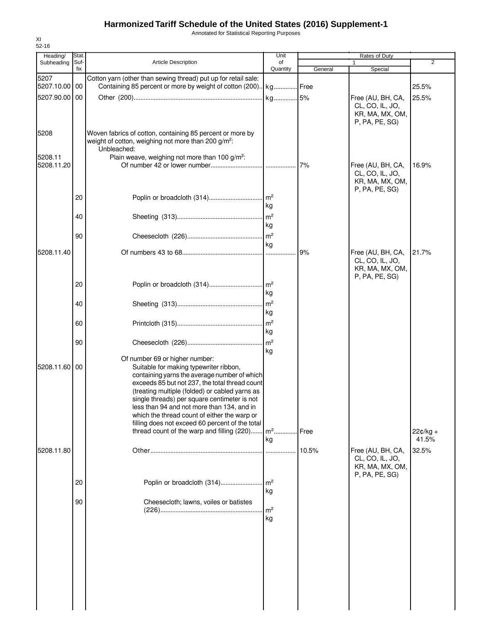Annotated for Statistical Reporting Purposes

| Heading/              | Stat.<br>Suf- | <b>Article Description</b>                                                                                                                                                                                                                                                                                                                                                                                                                                                                      | Unit<br>of           |         | Rates of Duty<br>$\mathbf{1}$                                             | $\overline{2}$      |
|-----------------------|---------------|-------------------------------------------------------------------------------------------------------------------------------------------------------------------------------------------------------------------------------------------------------------------------------------------------------------------------------------------------------------------------------------------------------------------------------------------------------------------------------------------------|----------------------|---------|---------------------------------------------------------------------------|---------------------|
| Subheading            | fix           |                                                                                                                                                                                                                                                                                                                                                                                                                                                                                                 | Quantity             | General | Special                                                                   |                     |
| 5207<br>5207.10.00 00 |               | Cotton yarn (other than sewing thread) put up for retail sale:<br>Containing 85 percent or more by weight of cotton (200).   kg Free                                                                                                                                                                                                                                                                                                                                                            |                      |         |                                                                           | 25.5%               |
| 5207.90.00 00         |               |                                                                                                                                                                                                                                                                                                                                                                                                                                                                                                 |                      |         | Free (AU, BH, CA,<br>CL, CO, IL, JO,<br>KR, MA, MX, OM,<br>P, PA, PE, SG) | 25.5%               |
| 5208                  |               | Woven fabrics of cotton, containing 85 percent or more by<br>weight of cotton, weighing not more than 200 g/m <sup>2</sup> :<br>Unbleached:                                                                                                                                                                                                                                                                                                                                                     |                      |         |                                                                           |                     |
| 5208.11<br>5208.11.20 |               | Plain weave, weighing not more than 100 g/m <sup>2</sup> :                                                                                                                                                                                                                                                                                                                                                                                                                                      |                      | 7%      | Free (AU, BH, CA,<br>CL, CO, IL, JO,<br>KR, MA, MX, OM,<br>P, PA, PE, SG) | 16.9%               |
|                       | 20            |                                                                                                                                                                                                                                                                                                                                                                                                                                                                                                 | kg                   |         |                                                                           |                     |
|                       | 40            |                                                                                                                                                                                                                                                                                                                                                                                                                                                                                                 | kg                   |         |                                                                           |                     |
|                       | 90            |                                                                                                                                                                                                                                                                                                                                                                                                                                                                                                 | kg                   |         |                                                                           |                     |
| 5208.11.40            |               |                                                                                                                                                                                                                                                                                                                                                                                                                                                                                                 |                      | 9%      | Free (AU, BH, CA,<br>CL, CO, IL, JO,<br>KR, MA, MX, OM,<br>P, PA, PE, SG) | 21.7%               |
|                       | 20            |                                                                                                                                                                                                                                                                                                                                                                                                                                                                                                 | kg                   |         |                                                                           |                     |
|                       | 40            |                                                                                                                                                                                                                                                                                                                                                                                                                                                                                                 | kg                   |         |                                                                           |                     |
|                       | 60<br>90      |                                                                                                                                                                                                                                                                                                                                                                                                                                                                                                 | kg<br>m <sup>2</sup> |         |                                                                           |                     |
| 5208.11.60            | 00            | Of number 69 or higher number:<br>Suitable for making typewriter ribbon,<br>containing yarns the average number of which<br>exceeds 85 but not 237, the total thread count<br>(treating multiple (folded) or cabled yarns as<br>single threads) per square centimeter is not<br>less than 94 and not more than 134, and in<br>which the thread count of either the warp or<br>filling does not exceed 60 percent of the total<br>thread count of the warp and filling (220) m <sup>2</sup> Free | kg<br>kg             |         |                                                                           | $22¢/kg +$<br>41.5% |
| 5208.11.80            |               |                                                                                                                                                                                                                                                                                                                                                                                                                                                                                                 |                      | 10.5%   | Free (AU, BH, CA,<br>CL, CO, IL, JO,<br>KR, MA, MX, OM,<br>P, PA, PE, SG) | 32.5%               |
|                       | 20            | Poplin or broadcloth (314)                                                                                                                                                                                                                                                                                                                                                                                                                                                                      | m <sup>2</sup><br>kg |         |                                                                           |                     |
|                       | 90            | Cheesecloth; lawns, voiles or batistes                                                                                                                                                                                                                                                                                                                                                                                                                                                          | m <sup>2</sup><br>kg |         |                                                                           |                     |

XI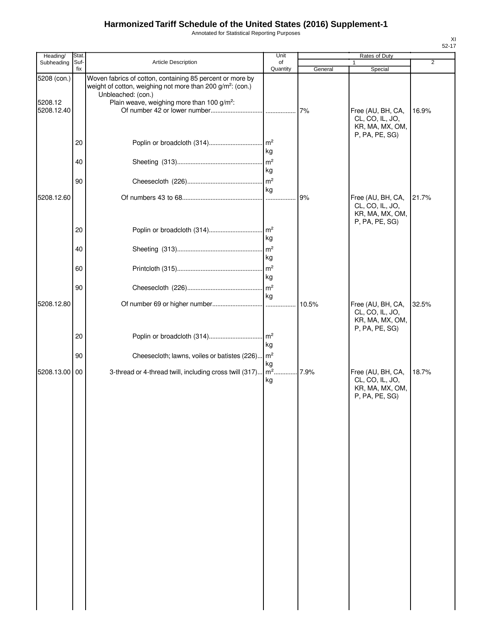Annotated for Statistical Reporting Purposes

| Heading/              | Stat.       |                                                                                                                                                           | Unit                                    |         | Rates of Duty                                           |                |
|-----------------------|-------------|-----------------------------------------------------------------------------------------------------------------------------------------------------------|-----------------------------------------|---------|---------------------------------------------------------|----------------|
| Subheading            | Suf-<br>fix | Article Description                                                                                                                                       | of<br>Quantity                          | General | 1<br>Special                                            | $\overline{2}$ |
| 5208 (con.)           |             | Woven fabrics of cotton, containing 85 percent or more by<br>weight of cotton, weighing not more than 200 g/m <sup>2</sup> : (con.)<br>Unbleached: (con.) |                                         |         |                                                         |                |
| 5208.12<br>5208.12.40 |             | Plain weave, weighing more than 100 g/m <sup>2</sup> :                                                                                                    |                                         | 7%      | Free (AU, BH, CA,<br>CL, CO, IL, JO,<br>KR, MA, MX, OM, | 16.9%          |
|                       | 20          |                                                                                                                                                           | $\mathsf{Im}^2$<br>kg                   |         | P, PA, PE, SG)                                          |                |
|                       | 40          |                                                                                                                                                           | $\mathsf{m}^2$<br>kg<br>$\mathsf{Im}^2$ |         |                                                         |                |
| 5208.12.60            | 90          |                                                                                                                                                           | kg                                      | 9%      | Free (AU, BH, CA,                                       | 21.7%          |
|                       |             |                                                                                                                                                           |                                         |         | CL, CO, IL, JO,<br>KR, MA, MX, OM,<br>P, PA, PE, SG)    |                |
|                       | 20          |                                                                                                                                                           | m <sup>2</sup><br>kg                    |         |                                                         |                |
|                       | 40          |                                                                                                                                                           | $\mathsf{m}^2$<br>kg<br>$\mathsf{Im}^2$ |         |                                                         |                |
|                       | 60<br>90    |                                                                                                                                                           | kg<br>$\mathsf{m}^2$                    |         |                                                         |                |
| 5208.12.80            |             |                                                                                                                                                           | kg                                      | 10.5%   | Free (AU, BH, CA,                                       | 32.5%          |
|                       |             |                                                                                                                                                           |                                         |         | CL, CO, IL, JO,<br>KR, MA, MX, OM,<br>P, PA, PE, SG)    |                |
|                       | 20<br>90    | Poplin or broadcloth (314)<br>Cheesecloth; lawns, voiles or batistes (226)                                                                                | m <sup>2</sup><br>kg<br>$\mathsf{Im}^2$ |         |                                                         |                |
| 5208.13.00 00         |             | 3-thread or 4-thread twill, including cross twill (317)                                                                                                   | kg<br>$\overline{m^2}$ .                | 7.9%    | Free (AU, BH, CA,                                       | 18.7%          |
|                       |             |                                                                                                                                                           | kg                                      |         | CL, CO, IL, JO,<br>KR, MA, MX, OM,<br>P, PA, PE, SG)    |                |
|                       |             |                                                                                                                                                           |                                         |         |                                                         |                |
|                       |             |                                                                                                                                                           |                                         |         |                                                         |                |
|                       |             |                                                                                                                                                           |                                         |         |                                                         |                |
|                       |             |                                                                                                                                                           |                                         |         |                                                         |                |
|                       |             |                                                                                                                                                           |                                         |         |                                                         |                |
|                       |             |                                                                                                                                                           |                                         |         |                                                         |                |
|                       |             |                                                                                                                                                           |                                         |         |                                                         |                |
|                       |             |                                                                                                                                                           |                                         |         |                                                         |                |
|                       |             |                                                                                                                                                           |                                         |         |                                                         |                |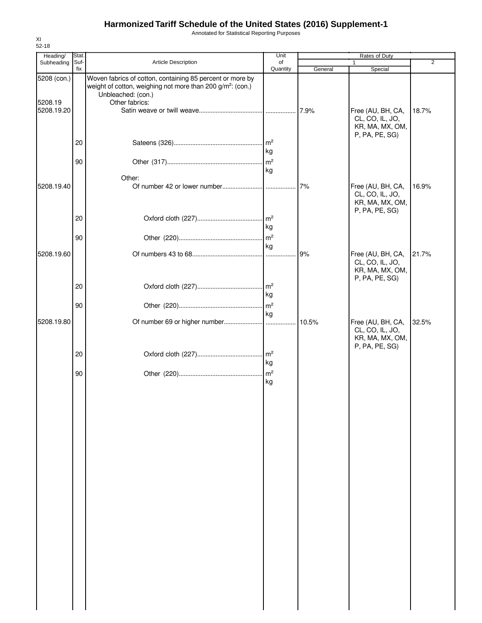Annotated for Statistical Reporting Purposes

| Heading/              | Stat.       |                                                                                                                                     | Unit           |         | Rates of Duty                                                             |                |
|-----------------------|-------------|-------------------------------------------------------------------------------------------------------------------------------------|----------------|---------|---------------------------------------------------------------------------|----------------|
| Subheading            | Suf-<br>fix | <b>Article Description</b>                                                                                                          | of<br>Quantity | General | 1<br>Special                                                              | $\overline{2}$ |
| 5208 (con.)           |             | Woven fabrics of cotton, containing 85 percent or more by<br>weight of cotton, weighing not more than 200 g/m <sup>2</sup> : (con.) |                |         |                                                                           |                |
| 5208.19<br>5208.19.20 |             | Unbleached: (con.)<br>Other fabrics:                                                                                                |                |         | Free (AU, BH, CA,                                                         | 18.7%          |
|                       |             |                                                                                                                                     |                |         | CL, CO, IL, JO,<br>KR, MA, MX, OM,<br>P, PA, PE, SG)                      |                |
|                       | 20<br>90    |                                                                                                                                     | kg             |         |                                                                           |                |
|                       |             | Other:                                                                                                                              | kg             |         |                                                                           |                |
| 5208.19.40            |             |                                                                                                                                     |                | 7%      | Free (AU, BH, CA,<br>CL, CO, IL, JO,<br>KR, MA, MX, OM,<br>P, PA, PE, SG) | 16.9%          |
|                       | 20          |                                                                                                                                     | kg             |         |                                                                           |                |
| 5208.19.60            | 90          |                                                                                                                                     | kg             | 9%      | Free (AU, BH, CA,                                                         | 21.7%          |
|                       |             |                                                                                                                                     |                |         | CL, CO, IL, JO,<br>KR, MA, MX, OM,<br>P, PA, PE, SG)                      |                |
|                       | 20<br>90    |                                                                                                                                     | kg             |         |                                                                           |                |
| 5208.19.80            |             |                                                                                                                                     | kg             |         | Free (AU, BH, CA,                                                         | 32.5%          |
|                       |             |                                                                                                                                     |                |         | CL, CO, IL, JO,<br>KR, MA, MX, OM,<br>P, PA, PE, SG)                      |                |
|                       | 20<br>90    |                                                                                                                                     | kg             |         |                                                                           |                |
|                       |             |                                                                                                                                     | kg             |         |                                                                           |                |
|                       |             |                                                                                                                                     |                |         |                                                                           |                |
|                       |             |                                                                                                                                     |                |         |                                                                           |                |
|                       |             |                                                                                                                                     |                |         |                                                                           |                |
|                       |             |                                                                                                                                     |                |         |                                                                           |                |
|                       |             |                                                                                                                                     |                |         |                                                                           |                |
|                       |             |                                                                                                                                     |                |         |                                                                           |                |
|                       |             |                                                                                                                                     |                |         |                                                                           |                |
|                       |             |                                                                                                                                     |                |         |                                                                           |                |
|                       |             |                                                                                                                                     |                |         |                                                                           |                |
|                       |             |                                                                                                                                     |                |         |                                                                           |                |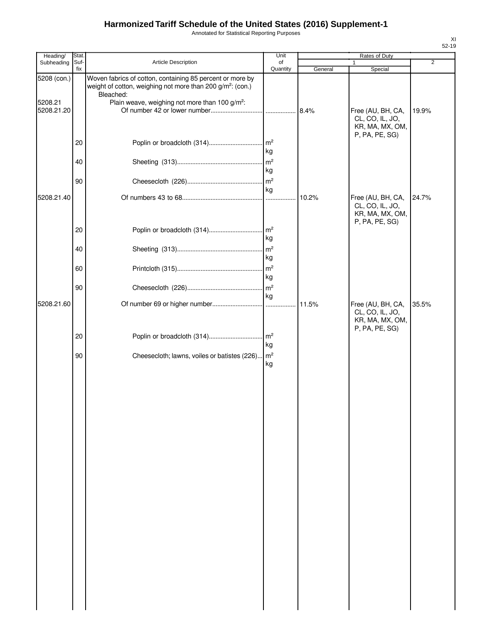Annotated for Statistical Reporting Purposes

| Heading/              | Stat.       |                                                                                                                                                  | Unit                  |         | Rates of Duty                                                             |                |
|-----------------------|-------------|--------------------------------------------------------------------------------------------------------------------------------------------------|-----------------------|---------|---------------------------------------------------------------------------|----------------|
| Subheading            | Suf-<br>fix | Article Description                                                                                                                              | of<br>Quantity        | General | 1<br>Special                                                              | $\overline{2}$ |
| 5208 (con.)           |             | Woven fabrics of cotton, containing 85 percent or more by<br>weight of cotton, weighing not more than 200 g/m <sup>2</sup> : (con.)<br>Bleached: |                       |         |                                                                           |                |
| 5208.21<br>5208.21.20 |             | Plain weave, weighing not more than 100 g/m <sup>2</sup> :                                                                                       |                       |         | Free (AU, BH, CA,<br>CL, CO, IL, JO,                                      | 19.9%          |
|                       | 20          | Poplin or broadcloth (314)                                                                                                                       | m <sup>2</sup><br>kg  |         | KR, MA, MX, OM,<br>P, PA, PE, SG)                                         |                |
|                       | 40          |                                                                                                                                                  | m <sup>2</sup><br>kg  |         |                                                                           |                |
|                       | 90          |                                                                                                                                                  | $\mathsf{m}^2$<br>kg  |         |                                                                           |                |
| 5208.21.40            |             |                                                                                                                                                  |                       | 10.2%   | Free (AU, BH, CA,<br>CL, CO, IL, JO,<br>KR, MA, MX, OM,                   | 24.7%          |
|                       | 20          |                                                                                                                                                  | $\mathsf{Im}^2$<br>kg |         | P, PA, PE, SG)                                                            |                |
|                       | 40          |                                                                                                                                                  | m <sup>2</sup><br>kg  |         |                                                                           |                |
|                       | 60          |                                                                                                                                                  | $\mathsf{m}^2$<br>kg  |         |                                                                           |                |
|                       | 90          |                                                                                                                                                  | m <sup>2</sup><br>kg  |         |                                                                           |                |
| 5208.21.60            |             |                                                                                                                                                  |                       |         | Free (AU, BH, CA,<br>CL, CO, IL, JO,<br>KR, MA, MX, OM,<br>P, PA, PE, SG) | 35.5%          |
|                       | 20          | Poplin or broadcloth (314)                                                                                                                       | m <sup>2</sup><br>kg  |         |                                                                           |                |
|                       | 90          | Cheesecloth; lawns, voiles or batistes (226) m <sup>2</sup>                                                                                      | kg                    |         |                                                                           |                |
|                       |             |                                                                                                                                                  |                       |         |                                                                           |                |
|                       |             |                                                                                                                                                  |                       |         |                                                                           |                |
|                       |             |                                                                                                                                                  |                       |         |                                                                           |                |
|                       |             |                                                                                                                                                  |                       |         |                                                                           |                |
|                       |             |                                                                                                                                                  |                       |         |                                                                           |                |
|                       |             |                                                                                                                                                  |                       |         |                                                                           |                |
|                       |             |                                                                                                                                                  |                       |         |                                                                           |                |
|                       |             |                                                                                                                                                  |                       |         |                                                                           |                |
|                       |             |                                                                                                                                                  |                       |         |                                                                           |                |
|                       |             |                                                                                                                                                  |                       |         |                                                                           |                |
|                       |             |                                                                                                                                                  |                       |         |                                                                           |                |
|                       |             |                                                                                                                                                  |                       |         |                                                                           |                |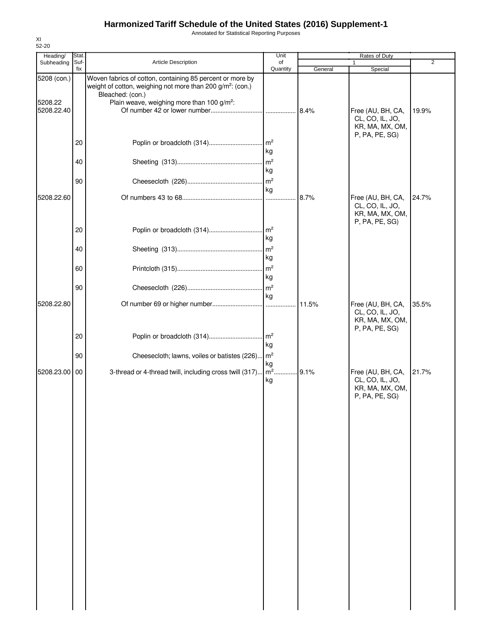Annotated for Statistical Reporting Purposes

| Heading/                             | Stat.       |                                                                                                                                                                                                                   | Unit                                     |         | Rates of Duty                                                             |                |
|--------------------------------------|-------------|-------------------------------------------------------------------------------------------------------------------------------------------------------------------------------------------------------------------|------------------------------------------|---------|---------------------------------------------------------------------------|----------------|
| Subheading                           | Suf-<br>fix | Article Description                                                                                                                                                                                               | of<br>Quantity                           | General | Special                                                                   | $\overline{2}$ |
| 5208 (con.)<br>5208.22<br>5208.22.40 |             | Woven fabrics of cotton, containing 85 percent or more by<br>weight of cotton, weighing not more than 200 g/m <sup>2</sup> : (con.)<br>Bleached: (con.)<br>Plain weave, weighing more than 100 g/m <sup>2</sup> : |                                          | 8.4%    | Free (AU, BH, CA,<br>CL, CO, IL, JO,                                      | 19.9%          |
|                                      | 20<br>40    | Poplin or broadcloth (314)                                                                                                                                                                                        | $\mathsf{Im}^2$<br>kg<br>m <sup>2</sup>  |         | KR, MA, MX, OM,<br>P, PA, PE, SG)                                         |                |
|                                      | 90          |                                                                                                                                                                                                                   | kg<br>$\mathsf{m}^2$                     |         |                                                                           |                |
| 5208.22.60                           |             |                                                                                                                                                                                                                   | kg<br>$\ddotsc$                          | 8.7%    | Free (AU, BH, CA,<br>CL, CO, IL, JO,<br>KR, MA, MX, OM,<br>P, PA, PE, SG) | 24.7%          |
|                                      | 20          |                                                                                                                                                                                                                   | $\mathsf{Im}^2$<br>kg                    |         |                                                                           |                |
|                                      | 40          |                                                                                                                                                                                                                   | m <sup>2</sup><br>kg                     |         |                                                                           |                |
|                                      | 60<br>90    |                                                                                                                                                                                                                   | $\mathsf{Im}^2$<br>kg<br>$\mathsf{Im}^2$ |         |                                                                           |                |
| 5208.22.80                           |             |                                                                                                                                                                                                                   | kg                                       | . 11.5% | Free (AU, BH, CA,<br>CL, CO, IL, JO,                                      | 35.5%          |
|                                      | 20          | Poplin or broadcloth (314)                                                                                                                                                                                        | m <sup>2</sup>                           |         | KR, MA, MX, OM,<br>P, PA, PE, SG)                                         |                |
|                                      | 90          | Cheesecloth; lawns, voiles or batistes (226) m <sup>2</sup>                                                                                                                                                       | kg                                       |         |                                                                           |                |
| 5208.23.00                           | 00          | 3-thread or 4-thread twill, including cross twill (317)                                                                                                                                                           | kg<br>$m2$ .<br>kg                       | .9.1%   | Free (AU, BH, CA,<br>CL, CO, IL, JO,<br>KR, MA, MX, OM,<br>P, PA, PE, SG) | 21.7%          |
|                                      |             |                                                                                                                                                                                                                   |                                          |         |                                                                           |                |
|                                      |             |                                                                                                                                                                                                                   |                                          |         |                                                                           |                |
|                                      |             |                                                                                                                                                                                                                   |                                          |         |                                                                           |                |
|                                      |             |                                                                                                                                                                                                                   |                                          |         |                                                                           |                |
|                                      |             |                                                                                                                                                                                                                   |                                          |         |                                                                           |                |
|                                      |             |                                                                                                                                                                                                                   |                                          |         |                                                                           |                |
|                                      |             |                                                                                                                                                                                                                   |                                          |         |                                                                           |                |
|                                      |             |                                                                                                                                                                                                                   |                                          |         |                                                                           |                |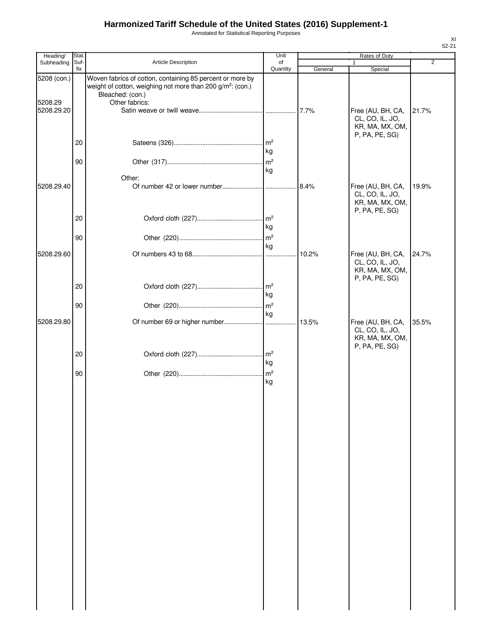Annotated for Statistical Reporting Purposes

| Heading/               | <b>Stat</b> |                                                                                                                                                                           | Unit                                    |         | Rates of Duty                                                             |                |
|------------------------|-------------|---------------------------------------------------------------------------------------------------------------------------------------------------------------------------|-----------------------------------------|---------|---------------------------------------------------------------------------|----------------|
| Subheading             | Suf-<br>fix | Article Description                                                                                                                                                       | of<br>Quantity                          | General | 1<br>Special                                                              | $\overline{2}$ |
| 5208 (con.)<br>5208.29 |             | Woven fabrics of cotton, containing 85 percent or more by<br>weight of cotton, weighing not more than 200 g/m <sup>2</sup> : (con.)<br>Bleached: (con.)<br>Other fabrics: |                                         |         |                                                                           |                |
| 5208.29.20             | 20          |                                                                                                                                                                           | $\mathsf{Im}^2$                         |         | Free (AU, BH, CA,<br>CL, CO, IL, JO,<br>KR, MA, MX, OM,<br>P, PA, PE, SG) | 21.7%          |
|                        | 90          |                                                                                                                                                                           | kg<br>m <sup>2</sup><br>kg              |         |                                                                           |                |
| 5208.29.40             |             | Other:                                                                                                                                                                    |                                         | 8.4%    | Free (AU, BH, CA,<br>CL, CO, IL, JO,<br>KR, MA, MX, OM,<br>P, PA, PE, SG) | 19.9%          |
|                        | 20<br>90    |                                                                                                                                                                           | $\mathsf{Im}^2$<br>kg<br>$\mathsf{m}^2$ |         |                                                                           |                |
| 5208.29.60             |             |                                                                                                                                                                           | kg<br>1.1.1.1                           | 10.2%   | Free (AU, BH, CA,<br>CL, CO, IL, JO,<br>KR, MA, MX, OM,<br>P, PA, PE, SG) | 24.7%          |
|                        | 20          |                                                                                                                                                                           | kg                                      |         |                                                                           |                |
| 5208.29.80             | 90          |                                                                                                                                                                           | $\mathsf{Im}^2$<br>kg                   | 13.5%   | Free (AU, BH, CA,<br>CL, CO, IL, JO,                                      | 35.5%          |
|                        | 20          |                                                                                                                                                                           | kg                                      |         | KR, MA, MX, OM,<br>P, PA, PE, SG)                                         |                |
|                        | 90          |                                                                                                                                                                           | kg                                      |         |                                                                           |                |
|                        |             |                                                                                                                                                                           |                                         |         |                                                                           |                |
|                        |             |                                                                                                                                                                           |                                         |         |                                                                           |                |
|                        |             |                                                                                                                                                                           |                                         |         |                                                                           |                |
|                        |             |                                                                                                                                                                           |                                         |         |                                                                           |                |
|                        |             |                                                                                                                                                                           |                                         |         |                                                                           |                |
|                        |             |                                                                                                                                                                           |                                         |         |                                                                           |                |
|                        |             |                                                                                                                                                                           |                                         |         |                                                                           |                |
|                        |             |                                                                                                                                                                           |                                         |         |                                                                           |                |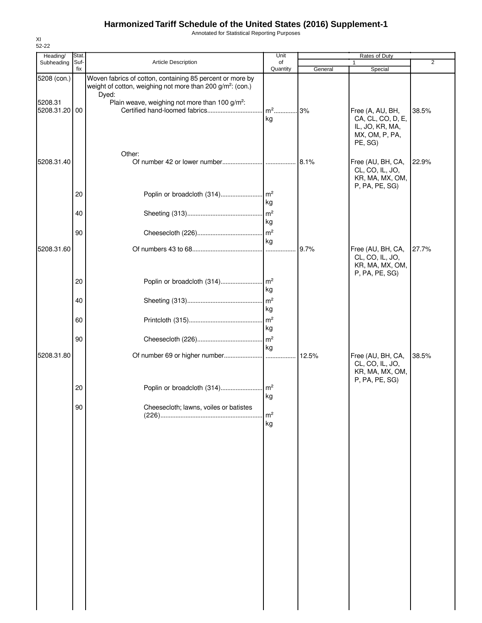Annotated for Statistical Reporting Purposes

| Heading/      | Stat.       |                                                                                                                                              | Unit                 |         | Rates of Duty                                                                         | 2     |
|---------------|-------------|----------------------------------------------------------------------------------------------------------------------------------------------|----------------------|---------|---------------------------------------------------------------------------------------|-------|
| Subheading    | Suf-<br>fix | Article Description                                                                                                                          | of<br>Quantity       | General | Special                                                                               |       |
| 5208 (con.)   |             | Woven fabrics of cotton, containing 85 percent or more by<br>weight of cotton, weighing not more than 200 g/m <sup>2</sup> : (con.)<br>Dyed: |                      |         |                                                                                       |       |
| 5208.31       |             | Plain weave, weighing not more than 100 g/m <sup>2</sup> :                                                                                   |                      |         |                                                                                       |       |
| 5208.31.20 00 |             |                                                                                                                                              | kg                   |         | Free (A, AU, BH,<br>CA, CL, CO, D, E,<br>IL, JO, KR, MA,<br>MX, OM, P, PA,<br>PE, SG) | 38.5% |
|               |             | Other:                                                                                                                                       |                      |         |                                                                                       |       |
| 5208.31.40    |             |                                                                                                                                              |                      |         | Free (AU, BH, CA,<br>CL, CO, IL, JO,<br>KR, MA, MX, OM,<br>P, PA, PE, SG)             | 22.9% |
|               | 20          | Poplin or broadcloth (314)                                                                                                                   | $\mathsf{Im}^2$      |         |                                                                                       |       |
|               | 40          |                                                                                                                                              | kg<br>$\mathsf{m}^2$ |         |                                                                                       |       |
|               |             |                                                                                                                                              | kg                   |         |                                                                                       |       |
|               | 90          |                                                                                                                                              | $\mathsf{Im}^2$      |         |                                                                                       |       |
|               |             |                                                                                                                                              | kg                   |         |                                                                                       |       |
| 5208.31.60    |             |                                                                                                                                              |                      | 9.7%    | Free (AU, BH, CA,<br>CL, CO, IL, JO,<br>KR, MA, MX, OM,<br>P, PA, PE, SG)             | 27.7% |
|               | 20          | Poplin or broadcloth (314)                                                                                                                   | m <sup>2</sup><br>kg |         |                                                                                       |       |
|               | 40          |                                                                                                                                              | m <sup>2</sup>       |         |                                                                                       |       |
|               |             |                                                                                                                                              | kg                   |         |                                                                                       |       |
|               | 60          |                                                                                                                                              | $\mathsf{Im}^2$      |         |                                                                                       |       |
|               |             |                                                                                                                                              | kg                   |         |                                                                                       |       |
|               | 90          |                                                                                                                                              | kg                   |         |                                                                                       |       |
| 5208.31.80    |             |                                                                                                                                              |                      |         | Free (AU, BH, CA,<br>CL, CO, IL, JO,<br>KR, MA, MX, OM,<br>P, PA, PE, SG)             | 38.5% |
|               | 20          |                                                                                                                                              | kg                   |         |                                                                                       |       |
|               | 90          | Cheesecloth; lawns, voiles or batistes                                                                                                       |                      |         |                                                                                       |       |
|               |             |                                                                                                                                              | m <sup>2</sup><br>kg |         |                                                                                       |       |
|               |             |                                                                                                                                              |                      |         |                                                                                       |       |
|               |             |                                                                                                                                              |                      |         |                                                                                       |       |
|               |             |                                                                                                                                              |                      |         |                                                                                       |       |
|               |             |                                                                                                                                              |                      |         |                                                                                       |       |
|               |             |                                                                                                                                              |                      |         |                                                                                       |       |
|               |             |                                                                                                                                              |                      |         |                                                                                       |       |
|               |             |                                                                                                                                              |                      |         |                                                                                       |       |
|               |             |                                                                                                                                              |                      |         |                                                                                       |       |

XI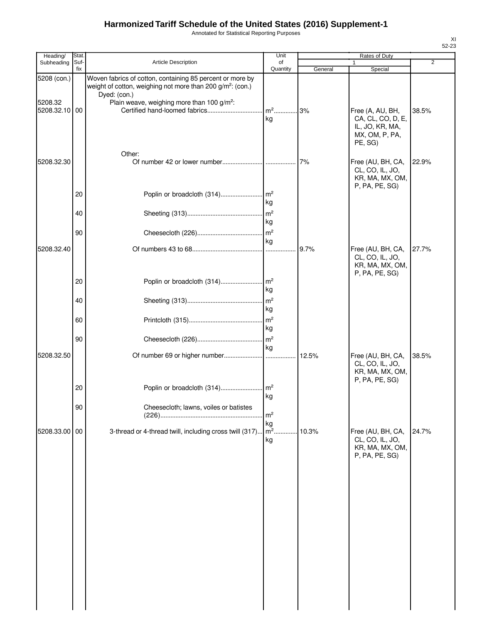Annotated for Statistical Reporting Purposes

| Heading/                 | Stat.       |                                                                                                                                                     | Unit                    |         | Rates of Duty                                                                         |       |
|--------------------------|-------------|-----------------------------------------------------------------------------------------------------------------------------------------------------|-------------------------|---------|---------------------------------------------------------------------------------------|-------|
| Subheading               | Suf-<br>fix | <b>Article Description</b>                                                                                                                          | of<br>Quantity          | General | 1<br>Special                                                                          | 2     |
| 5208 (con.)              |             | Woven fabrics of cotton, containing 85 percent or more by<br>weight of cotton, weighing not more than 200 g/m <sup>2</sup> : (con.)<br>Dyed: (con.) |                         |         |                                                                                       |       |
| 5208.32<br>5208.32.10 00 |             | Plain weave, weighing more than 100 g/m <sup>2</sup> :                                                                                              | m <sup>2</sup> 3%<br>kg |         | Free (A, AU, BH,<br>CA, CL, CO, D, E,<br>IL, JO, KR, MA,<br>MX, OM, P, PA,<br>PE, SG) | 38.5% |
| 5208.32.30               |             | Other:                                                                                                                                              |                         |         | Free (AU, BH, CA,<br>CL, CO, IL, JO,<br>KR, MA, MX, OM,                               | 22.9% |
|                          | 20          | Poplin or broadcloth (314)                                                                                                                          | $\mathsf{Im}^2$<br>kg   |         | P, PA, PE, SG)                                                                        |       |
|                          | 40          |                                                                                                                                                     | m <sup>2</sup><br>kg    |         |                                                                                       |       |
|                          | 90          |                                                                                                                                                     | $\mathsf{Im}^2$<br>kg   |         |                                                                                       |       |
| 5208.32.40               |             |                                                                                                                                                     |                         | 9.7%    | Free (AU, BH, CA,<br>CL, CO, IL, JO,<br>KR, MA, MX, OM,<br>P, PA, PE, SG)             | 27.7% |
|                          | 20          | Poplin or broadcloth (314)                                                                                                                          | $\mathsf{Im}^2$<br>kg   |         |                                                                                       |       |
|                          | 40          |                                                                                                                                                     | m <sup>2</sup><br>kg    |         |                                                                                       |       |
|                          | 60          |                                                                                                                                                     | m <sup>2</sup><br>kg    |         |                                                                                       |       |
| 5208.32.50               | 90          |                                                                                                                                                     | $\mathsf{m}^2$<br>kg    |         | Free (AU, BH, CA,                                                                     |       |
|                          |             |                                                                                                                                                     |                         | 12.5%   | CL, CO, IL, JO,<br>KR, MA, MX, OM,<br>P, PA, PE, SG)                                  | 38.5% |
|                          | 20          | Poplin or broadcloth (314)                                                                                                                          | $\mathsf{Im}^2$<br>kg   |         |                                                                                       |       |
|                          | 90          | Cheesecloth; lawns, voiles or batistes                                                                                                              | m <sup>2</sup><br>kg    |         |                                                                                       |       |
| 5208.33.00 00            |             | 3-thread or 4-thread twill, including cross twill (317)                                                                                             | $\mathsf{m}^2$ .<br>kg  | 10.3%   | Free (AU, BH, CA,<br>CL, CO, IL, JO,<br>KR, MA, MX, OM,<br>P, PA, PE, SG)             | 24.7% |
|                          |             |                                                                                                                                                     |                         |         |                                                                                       |       |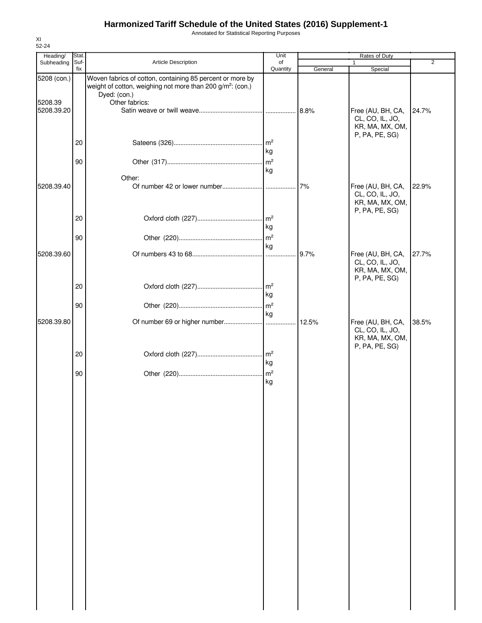Annotated for Statistical Reporting Purposes

| Heading/              | Stat.       |                                                                                                                                                     | Unit           | Rates of Duty |                                                                           |                |
|-----------------------|-------------|-----------------------------------------------------------------------------------------------------------------------------------------------------|----------------|---------------|---------------------------------------------------------------------------|----------------|
| Subheading            | Suf-<br>fix | Article Description                                                                                                                                 | of<br>Quantity | General       | $\mathbf{1}$<br>Special                                                   | $\overline{2}$ |
| 5208 (con.)           |             | Woven fabrics of cotton, containing 85 percent or more by<br>weight of cotton, weighing not more than 200 g/m <sup>2</sup> : (con.)<br>Dyed: (con.) |                |               |                                                                           |                |
| 5208.39<br>5208.39.20 |             | Other fabrics:                                                                                                                                      |                |               | Free (AU, BH, CA,<br>CL, CO, IL, JO,<br>KR, MA, MX, OM,                   | 24.7%          |
|                       | 20          |                                                                                                                                                     | kg             |               | P, PA, PE, SG)                                                            |                |
|                       | 90          | Other:                                                                                                                                              | kg             |               |                                                                           |                |
| 5208.39.40            |             |                                                                                                                                                     |                | 7%            | Free (AU, BH, CA,<br>CL, CO, IL, JO,<br>KR, MA, MX, OM,<br>P, PA, PE, SG) | 22.9%          |
|                       | 20          |                                                                                                                                                     | kg             |               |                                                                           |                |
| 5208.39.60            | 90          |                                                                                                                                                     | kg             | 9.7%          | Free (AU, BH, CA,                                                         | 27.7%          |
|                       |             |                                                                                                                                                     |                |               | CL, CO, IL, JO,<br>KR, MA, MX, OM,<br>P, PA, PE, SG)                      |                |
|                       | 20<br>90    |                                                                                                                                                     | kg             |               |                                                                           |                |
| 5208.39.80            |             |                                                                                                                                                     | kg             | 12.5%         | Free (AU, BH, CA,<br>CL, CO, IL, JO,                                      | 38.5%          |
|                       | 20          |                                                                                                                                                     | kg             |               | KR, MA, MX, OM,<br>P, PA, PE, SG)                                         |                |
|                       | 90          |                                                                                                                                                     | kg             |               |                                                                           |                |
|                       |             |                                                                                                                                                     |                |               |                                                                           |                |
|                       |             |                                                                                                                                                     |                |               |                                                                           |                |
|                       |             |                                                                                                                                                     |                |               |                                                                           |                |
|                       |             |                                                                                                                                                     |                |               |                                                                           |                |
|                       |             |                                                                                                                                                     |                |               |                                                                           |                |
|                       |             |                                                                                                                                                     |                |               |                                                                           |                |
|                       |             |                                                                                                                                                     |                |               |                                                                           |                |
|                       |             |                                                                                                                                                     |                |               |                                                                           |                |
|                       |             |                                                                                                                                                     |                |               |                                                                           |                |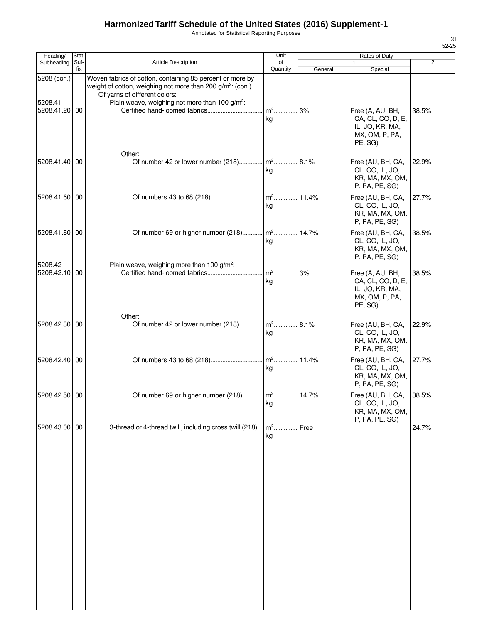Annotated for Statistical Reporting Purposes

| Heading/                             | Stat.       |                                                                                                                                                                                                                                    | Unit                 |         | Rates of Duty                                                                               |                |
|--------------------------------------|-------------|------------------------------------------------------------------------------------------------------------------------------------------------------------------------------------------------------------------------------------|----------------------|---------|---------------------------------------------------------------------------------------------|----------------|
| Subheading                           | Suf-<br>fix | Article Description                                                                                                                                                                                                                | of<br>Quantity       | General | 1<br>Special                                                                                | $\overline{2}$ |
| 5208 (con.)<br>5208.41<br>5208.41.20 | 00          | Woven fabrics of cotton, containing 85 percent or more by<br>weight of cotton, weighing not more than 200 g/m <sup>2</sup> : (con.)<br>Of yarns of different colors:<br>Plain weave, weighing not more than 100 g/m <sup>2</sup> : | $m^2$<br>ka          | 3%      | Free (A, AU, BH,<br>CA, CL, CO, D, E,<br>IL, JO, KR, MA,                                    | 38.5%          |
| 5208.41.40 00                        |             | Other:<br>Of number 42 or lower number (218) m <sup>2</sup>                                                                                                                                                                        | ka                   | 8.1%    | MX, OM, P, PA,<br>PE, SG)<br>Free (AU, BH, CA,<br>CL, CO, IL, JO,<br>KR, MA, MX, OM,        | 22.9%          |
| 5208.41.60 00                        |             |                                                                                                                                                                                                                                    | $\mathsf{m}^2$<br>kg | 11.4%   | P, PA, PE, SG)<br>Free (AU, BH, CA,<br>CL, CO, IL, JO,<br>KR, MA, MX, OM,                   | 27.7%          |
| 5208.41.80 00                        |             | Of number 69 or higher number (218) m <sup>2</sup>                                                                                                                                                                                 | kg                   | 14.7%   | P, PA, PE, SG)<br>Free (AU, BH, CA,<br>CL, CO, IL, JO,<br>KR, MA, MX, OM,<br>P, PA, PE, SG) | 38.5%          |
| 5208.42<br>5208.42.10 00             |             | Plain weave, weighing more than 100 g/m <sup>2</sup> :<br>Certified hand-loomed fabrics                                                                                                                                            | $m2$ .<br>kg         | 3%      | Free (A, AU, BH,<br>CA, CL, CO, D, E,<br>IL, JO, KR, MA,<br>MX, OM, P, PA,<br>PE, SG)       | 38.5%          |
| 5208.42.30 00                        |             | Other:<br>Of number 42 or lower number (218) m <sup>2</sup>                                                                                                                                                                        | kg                   | 8.1%    | Free (AU, BH, CA,<br>CL, CO, IL, JO,<br>KR, MA, MX, OM,<br>P, PA, PE, SG)                   | 22.9%          |
| 5208.42.40 00                        |             |                                                                                                                                                                                                                                    | kg                   |         | Free (AU, BH, CA,<br>CL, CO, IL, JO,<br>KR, MA, MX, OM,<br>P, PA, PE, SG)                   | 27.7%          |
| 5208.42.50 00                        |             | Of number 69 or higher number (218) m <sup>2</sup> 14.7%                                                                                                                                                                           | kg                   |         | Free (AU, BH, CA,<br>CL, CO, IL, JO,<br>KR, MA, MX, OM,<br>P, PA, PE, SG)                   | 38.5%          |
| 5208.43.00 00                        |             | 3-thread or 4-thread twill, including cross twill (218) m <sup>2</sup> .                                                                                                                                                           | kg                   | Free    |                                                                                             | 24.7%          |
|                                      |             |                                                                                                                                                                                                                                    |                      |         |                                                                                             |                |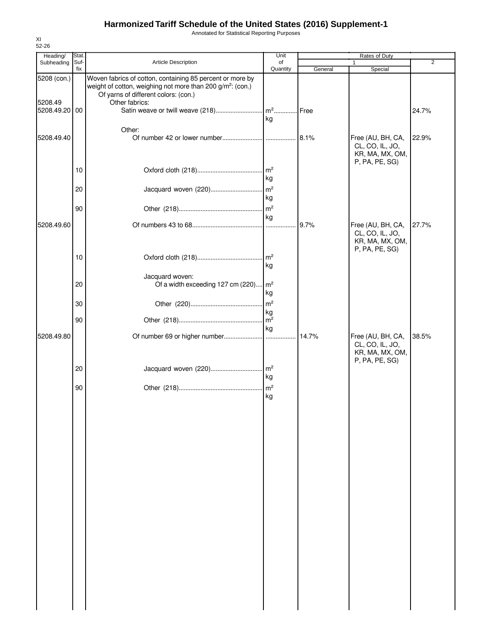Annotated for Statistical Reporting Purposes

| Heading/                 | Stat. |                                                                                                                | Unit                  |         | Rates of Duty                                                             |       |
|--------------------------|-------|----------------------------------------------------------------------------------------------------------------|-----------------------|---------|---------------------------------------------------------------------------|-------|
| Subheading               | Suf-  | <b>Article Description</b>                                                                                     | of                    |         | 1                                                                         | 2     |
| 5208 (con.)              | fix   | Woven fabrics of cotton, containing 85 percent or more by                                                      | Quantity              | General | Special                                                                   |       |
|                          |       | weight of cotton, weighing not more than 200 g/m <sup>2</sup> : (con.)<br>Of yarns of different colors: (con.) |                       |         |                                                                           |       |
| 5208.49<br>5208.49.20 00 |       | Other fabrics:                                                                                                 |                       | Free    |                                                                           | 24.7% |
|                          |       | Other:                                                                                                         | kg                    |         |                                                                           |       |
| 5208.49.40               |       |                                                                                                                |                       | 8.1%    | Free (AU, BH, CA,<br>CL, CO, IL, JO,<br>KR, MA, MX, OM,<br>P, PA, PE, SG) | 22.9% |
|                          | 10    |                                                                                                                | $\mathsf{Im}^2$<br>kg |         |                                                                           |       |
|                          | 20    | Jacquard woven (220)                                                                                           | $\mathsf{Im}^2$<br>kg |         |                                                                           |       |
|                          | 90    |                                                                                                                | $\mathsf{m}^2$<br>kg  |         |                                                                           |       |
| 5208.49.60               |       |                                                                                                                |                       | 9.7%    | Free (AU, BH, CA,<br>CL, CO, IL, JO,                                      | 27.7% |
|                          |       |                                                                                                                |                       |         | KR, MA, MX, OM,<br>P, PA, PE, SG)                                         |       |
|                          | 10    |                                                                                                                | kg                    |         |                                                                           |       |
|                          | 20    | Jacquard woven:<br>Of a width exceeding 127 cm (220)                                                           | $\mathsf{Im}^2$<br>kg |         |                                                                           |       |
|                          | 30    |                                                                                                                | m <sup>2</sup>        |         |                                                                           |       |
|                          | 90    |                                                                                                                | kg<br>kg              |         |                                                                           |       |
| 5208.49.80               |       |                                                                                                                |                       | 14.7%   | Free (AU, BH, CA,<br>CL, CO, IL, JO,<br>KR, MA, MX, OM,                   | 38.5% |
|                          | 20    | Jacquard woven (220)                                                                                           | $\mathsf{Im}^2$<br>kg |         | P, PA, PE, SG)                                                            |       |
|                          | 90    |                                                                                                                | $\mathsf{m}^2$<br>kg  |         |                                                                           |       |
|                          |       |                                                                                                                |                       |         |                                                                           |       |
|                          |       |                                                                                                                |                       |         |                                                                           |       |
|                          |       |                                                                                                                |                       |         |                                                                           |       |
|                          |       |                                                                                                                |                       |         |                                                                           |       |
|                          |       |                                                                                                                |                       |         |                                                                           |       |
|                          |       |                                                                                                                |                       |         |                                                                           |       |
|                          |       |                                                                                                                |                       |         |                                                                           |       |
|                          |       |                                                                                                                |                       |         |                                                                           |       |
|                          |       |                                                                                                                |                       |         |                                                                           |       |
|                          |       |                                                                                                                |                       |         |                                                                           |       |
|                          |       |                                                                                                                |                       |         |                                                                           |       |
|                          |       |                                                                                                                |                       |         |                                                                           |       |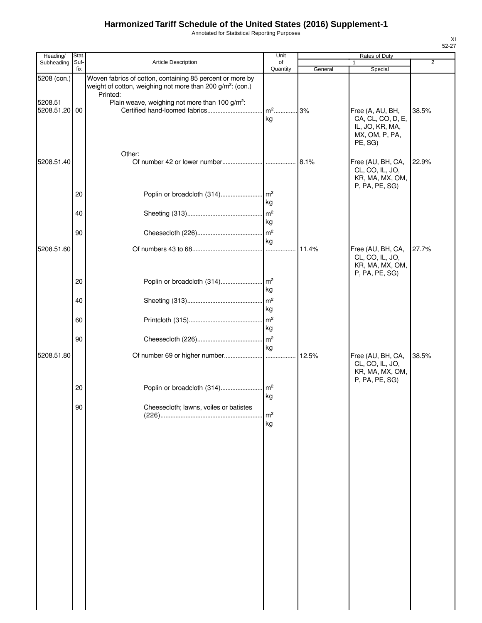Annotated for Statistical Reporting Purposes

| Heading/                 | Stat.       |                                                                                                                                                 | Unit                  |         | Rates of Duty                                                                        |                |
|--------------------------|-------------|-------------------------------------------------------------------------------------------------------------------------------------------------|-----------------------|---------|--------------------------------------------------------------------------------------|----------------|
| Subheading               | Suf-<br>fix | Article Description                                                                                                                             | of<br>Quantity        | General | Special                                                                              | $\overline{2}$ |
| 5208 (con.)              |             | Woven fabrics of cotton, containing 85 percent or more by<br>weight of cotton, weighing not more than 200 g/m <sup>2</sup> : (con.)<br>Printed: |                       |         |                                                                                      |                |
| 5208.51<br>5208.51.20 00 |             | Plain weave, weighing not more than 100 g/m <sup>2</sup> :<br>Certified hand-loomed fabrics                                                     | $m2$<br>kg            | 3%      | Free (A, AU, BH,<br>CA, CL, CO, D, E,<br>IL, JO, KR, MA,<br>MX, OM, P, PA,           | 38.5%          |
| 5208.51.40               |             | Other:                                                                                                                                          |                       |         | PE, SG)<br>Free (AU, BH, CA,<br>CL, CO, IL, JO,<br>KR, MA, MX, OM,<br>P, PA, PE, SG) | 22.9%          |
|                          | 20          |                                                                                                                                                 | kg                    |         |                                                                                      |                |
|                          | 40          |                                                                                                                                                 | kg                    |         |                                                                                      |                |
|                          | 90          |                                                                                                                                                 | kg                    |         |                                                                                      |                |
| 5208.51.60               |             |                                                                                                                                                 |                       | 11.4%   | Free (AU, BH, CA,<br>CL, CO, IL, JO,<br>KR, MA, MX, OM,<br>P, PA, PE, SG)            | 27.7%          |
|                          | 20          |                                                                                                                                                 | kg                    |         |                                                                                      |                |
|                          | 40          |                                                                                                                                                 | $\mathsf{Im}^2$<br>kg |         |                                                                                      |                |
|                          | 60          |                                                                                                                                                 | kg                    |         |                                                                                      |                |
|                          | 90          |                                                                                                                                                 | $\mathsf{Im}^2$<br>kg |         |                                                                                      |                |
| 5208.51.80               |             |                                                                                                                                                 |                       | 12.5%   | Free (AU, BH, CA,<br>CL, CO, IL, JO,<br>KR, MA, MX, OM,<br>P, PA, PE, SG)            | 38.5%          |
|                          | 20          |                                                                                                                                                 | kg                    |         |                                                                                      |                |
|                          | 90          | Cheesecloth; lawns, voiles or batistes                                                                                                          | m <sup>2</sup><br>kg  |         |                                                                                      |                |
|                          |             |                                                                                                                                                 |                       |         |                                                                                      |                |
|                          |             |                                                                                                                                                 |                       |         |                                                                                      |                |
|                          |             |                                                                                                                                                 |                       |         |                                                                                      |                |
|                          |             |                                                                                                                                                 |                       |         |                                                                                      |                |
|                          |             |                                                                                                                                                 |                       |         |                                                                                      |                |
|                          |             |                                                                                                                                                 |                       |         |                                                                                      |                |
|                          |             |                                                                                                                                                 |                       |         |                                                                                      |                |
|                          |             |                                                                                                                                                 |                       |         |                                                                                      |                |
|                          |             |                                                                                                                                                 |                       |         |                                                                                      |                |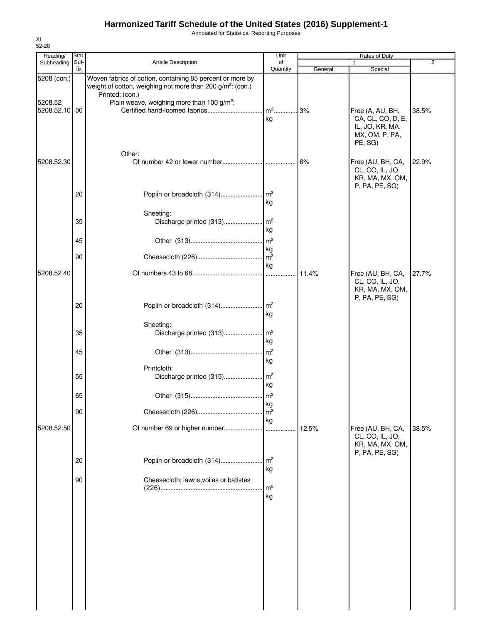Annotated for Statistical Reporting Purposes

| Heading/              | Stat.       |                                                                                                                                                        | Unit                  |         | Rates of Duty                                                                         |                |
|-----------------------|-------------|--------------------------------------------------------------------------------------------------------------------------------------------------------|-----------------------|---------|---------------------------------------------------------------------------------------|----------------|
| Subheading            | Suf-<br>fix | Article Description                                                                                                                                    | of<br>Quantity        | General | Special                                                                               | $\overline{2}$ |
| 5208 (con.)           |             | Woven fabrics of cotton, containing 85 percent or more by<br>weight of cotton, weighing not more than 200 g/m <sup>2</sup> : (con.)<br>Printed: (con.) |                       |         |                                                                                       |                |
| 5208.52<br>5208.52.10 | 00          | Plain weave, weighing more than 100 g/m <sup>2</sup> :                                                                                                 | $m2$<br>kg            | .3%     | Free (A, AU, BH,<br>CA, CL, CO, D, E,<br>IL, JO, KR, MA,<br>MX, OM, P, PA,<br>PE, SG) | 38.5%          |
| 5208.52.30            |             | Other:                                                                                                                                                 |                       | 6%      | Free (AU, BH, CA,<br>CL, CO, IL, JO,<br>KR, MA, MX, OM,                               | 22.9%          |
|                       | 20          |                                                                                                                                                        | kg                    |         | P, PA, PE, SG)                                                                        |                |
|                       | 35          | Sheeting:                                                                                                                                              | kg                    |         |                                                                                       |                |
|                       | 45<br>90    |                                                                                                                                                        | kg                    |         |                                                                                       |                |
| 5208.52.40            |             |                                                                                                                                                        | kg                    | 11.4%   | Free (AU, BH, CA,<br>CL, CO, IL, JO,<br>KR, MA, MX, OM,                               | 27.7%          |
|                       | 20          |                                                                                                                                                        | kg                    |         | P, PA, PE, SG)                                                                        |                |
|                       | 35          | Sheeting:                                                                                                                                              | kg                    |         |                                                                                       |                |
|                       | 45          |                                                                                                                                                        | kg                    |         |                                                                                       |                |
|                       | 55          | Printcloth:                                                                                                                                            | kg                    |         |                                                                                       |                |
|                       | 65<br>90    |                                                                                                                                                        | kg<br>m <sup>2</sup>  |         |                                                                                       |                |
| 5208.52.50            |             | Of number 69 or higher number                                                                                                                          | kg                    | 12.5%   | Free (AU, BH, CA,<br>CL, CO, IL, JO,                                                  | 38.5%          |
|                       | 20          |                                                                                                                                                        | kg                    |         | KR, MA, MX, OM,<br>P, PA, PE, SG)                                                     |                |
|                       | 90          | Cheesecloth; lawns, voiles or batistes                                                                                                                 | $\mathsf{Im}^2$<br>kg |         |                                                                                       |                |
|                       |             |                                                                                                                                                        |                       |         |                                                                                       |                |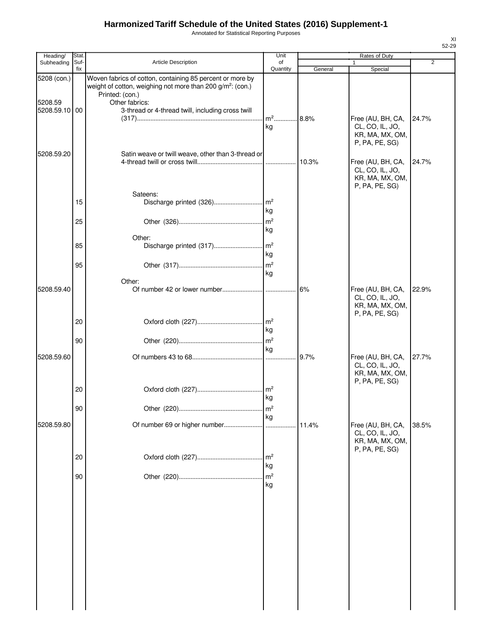Annotated for Statistical Reporting Purposes

| Heading/      | Stat.       |                                                                                                                                     | Unit                  |         | Rates of Duty                                                             |       |
|---------------|-------------|-------------------------------------------------------------------------------------------------------------------------------------|-----------------------|---------|---------------------------------------------------------------------------|-------|
| Subheading    | Suf-<br>fix | <b>Article Description</b>                                                                                                          | of<br>Quantity        | General | Special                                                                   | 2     |
| 5208 (con.)   |             | Woven fabrics of cotton, containing 85 percent or more by<br>weight of cotton, weighing not more than 200 g/m <sup>2</sup> : (con.) |                       |         |                                                                           |       |
|               |             | Printed: (con.)                                                                                                                     |                       |         |                                                                           |       |
| 5208.59       |             | Other fabrics:                                                                                                                      |                       |         |                                                                           |       |
| 5208.59.10 00 |             | 3-thread or 4-thread twill, including cross twill                                                                                   | m <sup>2</sup> 8.8%   |         |                                                                           |       |
|               |             |                                                                                                                                     | kg                    |         | Free (AU, BH, CA,<br>CL, CO, IL, JO,<br>KR, MA, MX, OM,<br>P, PA, PE, SG) | 24.7% |
| 5208.59.20    |             | Satin weave or twill weave, other than 3-thread or                                                                                  |                       |         | Free (AU, BH, CA,                                                         | 24.7% |
|               |             |                                                                                                                                     |                       |         | CL, CO, IL, JO,<br>KR, MA, MX, OM,<br>P, PA, PE, SG)                      |       |
|               |             | Sateens:                                                                                                                            |                       |         |                                                                           |       |
|               | 15          |                                                                                                                                     | kg                    |         |                                                                           |       |
|               |             |                                                                                                                                     |                       |         |                                                                           |       |
|               | 25          |                                                                                                                                     |                       |         |                                                                           |       |
|               |             | Other:                                                                                                                              | kg                    |         |                                                                           |       |
|               | 85          | Discharge printed (317)                                                                                                             | m <sup>2</sup>        |         |                                                                           |       |
|               |             |                                                                                                                                     | kg                    |         |                                                                           |       |
|               | 95          |                                                                                                                                     | m <sup>2</sup>        |         |                                                                           |       |
|               |             |                                                                                                                                     | kg                    |         |                                                                           |       |
| 5208.59.40    |             | Other:                                                                                                                              |                       | .16%    | Free (AU, BH, CA,                                                         | 22.9% |
|               |             |                                                                                                                                     |                       |         | CL, CO, IL, JO,<br>KR, MA, MX, OM,<br>P, PA, PE, SG)                      |       |
|               | 20          |                                                                                                                                     | $\mathsf{Im}^2$<br>kg |         |                                                                           |       |
|               | 90          |                                                                                                                                     | $\mathsf{m}^2$        |         |                                                                           |       |
|               |             |                                                                                                                                     | kg                    |         |                                                                           |       |
| 5208.59.60    |             |                                                                                                                                     |                       | 9.7%    | Free (AU, BH, CA,<br>CL, CO, IL, JO,<br>KR, MA, MX, OM,<br>P, PA, PE, SG) | 27.7% |
|               | 20          |                                                                                                                                     | kg                    |         |                                                                           |       |
|               | 90          |                                                                                                                                     | m <sup>2</sup>        |         |                                                                           |       |
|               |             |                                                                                                                                     | kg                    |         |                                                                           |       |
| 5208.59.80    |             |                                                                                                                                     |                       | 11.4%   | Free (AU, BH, CA,<br>CL, CO, IL, JO,<br>KR, MA, MX, OM,<br>P, PA, PE, SG) | 38.5% |
|               | 20          |                                                                                                                                     | $\mathsf{Im}^2$<br>kg |         |                                                                           |       |
|               | 90          |                                                                                                                                     | m <sup>2</sup><br>kg  |         |                                                                           |       |
|               |             |                                                                                                                                     |                       |         |                                                                           |       |
|               |             |                                                                                                                                     |                       |         |                                                                           |       |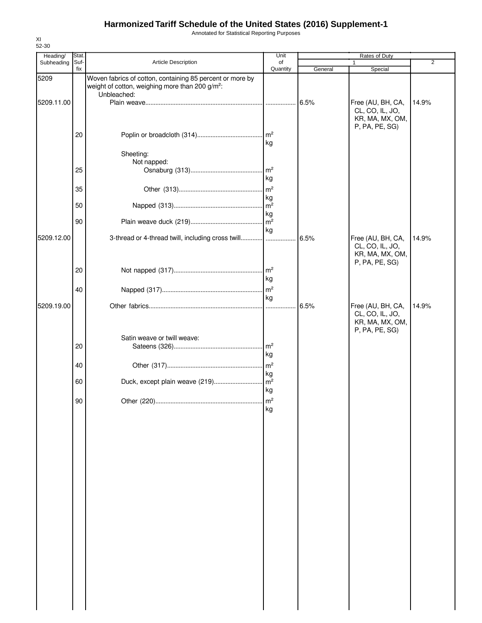Annotated for Statistical Reporting Purposes

| Heading/   | Stat.       |                                                                                                                                         | Unit                                     |         | <b>Rates of Duty</b>                                                      |                |
|------------|-------------|-----------------------------------------------------------------------------------------------------------------------------------------|------------------------------------------|---------|---------------------------------------------------------------------------|----------------|
| Subheading | Suf-<br>fix | Article Description                                                                                                                     | of<br>Quantity                           | General | 1<br>Special                                                              | $\overline{2}$ |
| 5209       |             | Woven fabrics of cotton, containing 85 percent or more by<br>weight of cotton, weighing more than 200 g/m <sup>2</sup> :<br>Unbleached: |                                          |         |                                                                           |                |
| 5209.11.00 |             |                                                                                                                                         |                                          | 6.5%    | Free (AU, BH, CA,<br>CL, CO, IL, JO,<br>KR, MA, MX, OM,<br>P, PA, PE, SG) | 14.9%          |
|            | 20          |                                                                                                                                         | kg                                       |         |                                                                           |                |
|            |             | Sheeting:<br>Not napped:                                                                                                                |                                          |         |                                                                           |                |
|            | 25          |                                                                                                                                         | $\mathsf{Im}^2$<br>kg                    |         |                                                                           |                |
|            | 35          |                                                                                                                                         | $\mathsf{Im}^2$<br>kg                    |         |                                                                           |                |
|            | 50          |                                                                                                                                         | $\mathsf{m}^2$<br>kg<br>$\overline{m^2}$ |         |                                                                           |                |
| 5209.12.00 | 90          | 3-thread or 4-thread twill, including cross twill                                                                                       | kg                                       | 6.5%    | Free (AU, BH, CA,                                                         | 14.9%          |
|            |             |                                                                                                                                         |                                          |         | CL, CO, IL, JO,<br>KR, MA, MX, OM,<br>P, PA, PE, SG)                      |                |
|            | 20          |                                                                                                                                         | kg                                       |         |                                                                           |                |
|            | 40          |                                                                                                                                         | $\mathsf{Im}^2$<br>kg                    |         |                                                                           |                |
| 5209.19.00 |             |                                                                                                                                         | .                                        | 6.5%    | Free (AU, BH, CA,<br>CL, CO, IL, JO,<br>KR, MA, MX, OM,<br>P, PA, PE, SG) | 14.9%          |
|            | 20          | Satin weave or twill weave:                                                                                                             | m <sup>2</sup><br>kg                     |         |                                                                           |                |
|            | 40          |                                                                                                                                         | $\mathsf{m}^2$<br>kg                     |         |                                                                           |                |
|            | 60          | Duck, except plain weave (219)                                                                                                          | $m^2$<br>kg                              |         |                                                                           |                |
|            | 90          |                                                                                                                                         | kg                                       |         |                                                                           |                |
|            |             |                                                                                                                                         |                                          |         |                                                                           |                |
|            |             |                                                                                                                                         |                                          |         |                                                                           |                |
|            |             |                                                                                                                                         |                                          |         |                                                                           |                |
|            |             |                                                                                                                                         |                                          |         |                                                                           |                |
|            |             |                                                                                                                                         |                                          |         |                                                                           |                |
|            |             |                                                                                                                                         |                                          |         |                                                                           |                |
|            |             |                                                                                                                                         |                                          |         |                                                                           |                |
|            |             |                                                                                                                                         |                                          |         |                                                                           |                |
|            |             |                                                                                                                                         |                                          |         |                                                                           |                |
|            |             |                                                                                                                                         |                                          |         |                                                                           |                |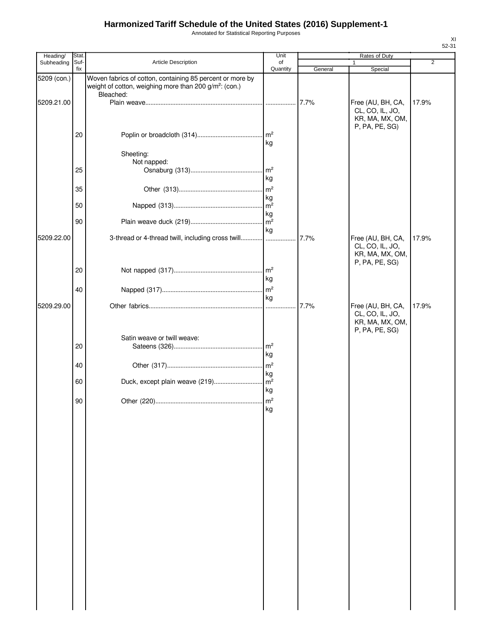Annotated for Statistical Reporting Purposes

| Heading/    | <b>Stat</b> |                                                                                                                                              | Unit                                    |         | Rates of Duty                                                             |                |
|-------------|-------------|----------------------------------------------------------------------------------------------------------------------------------------------|-----------------------------------------|---------|---------------------------------------------------------------------------|----------------|
| Subheading  | Suf-<br>fix | Article Description                                                                                                                          | of<br>Quantity                          | General | 1<br>Special                                                              | $\overline{2}$ |
| 5209 (con.) |             | Woven fabrics of cotton, containing 85 percent or more by<br>weight of cotton, weighing more than 200 g/m <sup>2</sup> : (con.)<br>Bleached: |                                         |         |                                                                           |                |
| 5209.21.00  |             |                                                                                                                                              |                                         | 7.7%    | Free (AU, BH, CA,<br>CL, CO, IL, JO,<br>KR, MA, MX, OM,<br>P, PA, PE, SG) | 17.9%          |
|             | 20          |                                                                                                                                              | kg                                      |         |                                                                           |                |
|             | 25          | Sheeting:<br>Not napped:                                                                                                                     |                                         |         |                                                                           |                |
|             | 35          |                                                                                                                                              | kg<br>$\mathsf{Im}^2$                   |         |                                                                           |                |
|             | 50          |                                                                                                                                              | kg<br>kg                                |         |                                                                           |                |
| 5209.22.00  | 90          | 3-thread or 4-thread twill, including cross twill                                                                                            | kg                                      | 7.7%    | Free (AU, BH, CA,                                                         | 17.9%          |
|             |             |                                                                                                                                              |                                         |         | CL, CO, IL, JO,<br>KR, MA, MX, OM,<br>P, PA, PE, SG)                      |                |
|             | 20          |                                                                                                                                              | kg                                      |         |                                                                           |                |
| 5209.29.00  | 40          |                                                                                                                                              | kg                                      | 7.7%    | Free (AU, BH, CA,                                                         | 17.9%          |
|             |             |                                                                                                                                              |                                         |         | CL, CO, IL, JO,<br>KR, MA, MX, OM,<br>P, PA, PE, SG)                      |                |
|             | 20          | Satin weave or twill weave:                                                                                                                  | $\mathsf{Im}^2$<br>kg                   |         |                                                                           |                |
|             | 40<br>60    | Duck, except plain weave (219)                                                                                                               | $\mathsf{Im}^2$<br>kg<br>m <sup>2</sup> |         |                                                                           |                |
|             | 90          |                                                                                                                                              | kg<br>$\mathsf{m}^2$                    |         |                                                                           |                |
|             |             |                                                                                                                                              | kg                                      |         |                                                                           |                |
|             |             |                                                                                                                                              |                                         |         |                                                                           |                |
|             |             |                                                                                                                                              |                                         |         |                                                                           |                |
|             |             |                                                                                                                                              |                                         |         |                                                                           |                |
|             |             |                                                                                                                                              |                                         |         |                                                                           |                |
|             |             |                                                                                                                                              |                                         |         |                                                                           |                |
|             |             |                                                                                                                                              |                                         |         |                                                                           |                |
|             |             |                                                                                                                                              |                                         |         |                                                                           |                |
|             |             |                                                                                                                                              |                                         |         |                                                                           |                |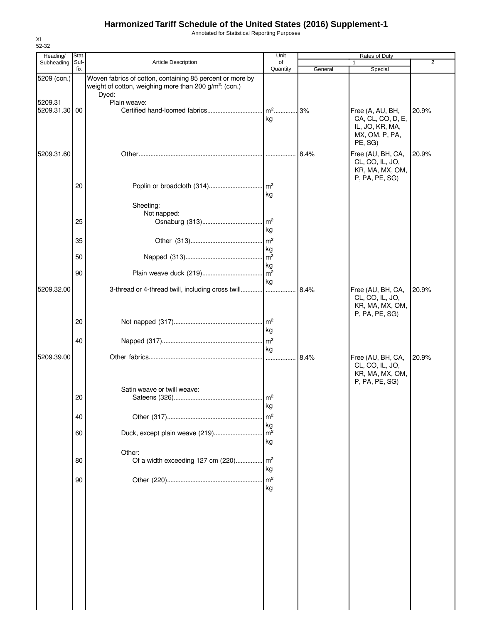Annotated for Statistical Reporting Purposes

| Heading/                 | Stat.       |                                                                                                                                 | Unit                  |         | Rates of Duty                                                             |       |
|--------------------------|-------------|---------------------------------------------------------------------------------------------------------------------------------|-----------------------|---------|---------------------------------------------------------------------------|-------|
| Subheading               | Suf-<br>fix | <b>Article Description</b>                                                                                                      | of<br>Quantity        | General |                                                                           | 2     |
| 5209 (con.)              |             | Woven fabrics of cotton, containing 85 percent or more by<br>weight of cotton, weighing more than 200 g/m <sup>2</sup> : (con.) |                       |         | Special                                                                   |       |
|                          |             | Dyed:                                                                                                                           |                       |         |                                                                           |       |
| 5209.31<br>5209.31.30 00 |             | Plain weave:                                                                                                                    | kg                    |         | Free (A, AU, BH,<br>CA, CL, CO, D, E,                                     | 20.9% |
|                          |             |                                                                                                                                 |                       |         | IL, JO, KR, MA,<br>MX, OM, P, PA,<br>PE, SG)                              |       |
| 5209.31.60               |             |                                                                                                                                 |                       | 8.4%    | Free (AU, BH, CA,<br>CL, CO, IL, JO,<br>KR, MA, MX, OM,                   | 20.9% |
|                          | 20          |                                                                                                                                 | kg                    |         | P, PA, PE, SG)                                                            |       |
|                          |             | Sheeting:                                                                                                                       |                       |         |                                                                           |       |
|                          | 25          | Not napped:                                                                                                                     |                       |         |                                                                           |       |
|                          |             |                                                                                                                                 | kg                    |         |                                                                           |       |
|                          | 35          |                                                                                                                                 |                       |         |                                                                           |       |
|                          |             |                                                                                                                                 | kg                    |         |                                                                           |       |
|                          | 50          |                                                                                                                                 |                       |         |                                                                           |       |
|                          |             |                                                                                                                                 | kg                    |         |                                                                           |       |
|                          | 90          |                                                                                                                                 | kg                    |         |                                                                           |       |
| 5209.32.00               |             | 3-thread or 4-thread twill, including cross twill                                                                               |                       | 8.4%    | Free (AU, BH, CA,<br>CL, CO, IL, JO,<br>KR, MA, MX, OM,                   | 20.9% |
|                          | 20          |                                                                                                                                 | kg                    |         | P, PA, PE, SG)                                                            |       |
|                          | 40          |                                                                                                                                 | kg                    |         |                                                                           |       |
| 5209.39.00               |             |                                                                                                                                 |                       | 8.4%    | Free (AU, BH, CA,<br>CL, CO, IL, JO,<br>KR, MA, MX, OM,<br>P, PA, PE, SG) | 20.9% |
|                          |             | Satin weave or twill weave:                                                                                                     |                       |         |                                                                           |       |
|                          | 20          |                                                                                                                                 | kg                    |         |                                                                           |       |
|                          |             |                                                                                                                                 | m <sup>2</sup>        |         |                                                                           |       |
|                          | 40          |                                                                                                                                 | kg                    |         |                                                                           |       |
|                          | 60          | Duck, except plain weave (219)                                                                                                  | m <sup>2</sup>        |         |                                                                           |       |
|                          |             |                                                                                                                                 | kg                    |         |                                                                           |       |
|                          | 80          | Other:<br>Of a width exceeding 127 cm (220)                                                                                     | $\mathsf{Im}^2$<br>kg |         |                                                                           |       |
|                          | 90          |                                                                                                                                 | m <sup>2</sup><br>kg  |         |                                                                           |       |
|                          |             |                                                                                                                                 |                       |         |                                                                           |       |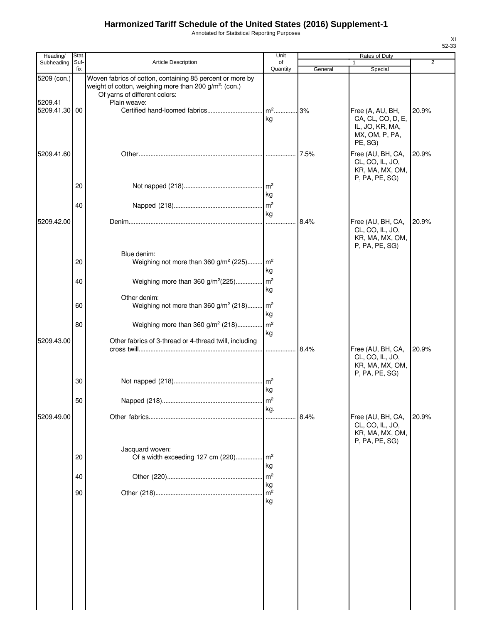Annotated for Statistical Reporting Purposes

| Heading/               | <b>Stat</b> |                                                                                                                                                                                  | Unit                 |         | Rates of Duty                                                                         |                |
|------------------------|-------------|----------------------------------------------------------------------------------------------------------------------------------------------------------------------------------|----------------------|---------|---------------------------------------------------------------------------------------|----------------|
| Subheading             | Suf-<br>fix | Article Description                                                                                                                                                              | οf<br>Quantity       | General | 1<br>Special                                                                          | $\overline{2}$ |
| 5209 (con.)<br>5209.41 |             | Woven fabrics of cotton, containing 85 percent or more by<br>weight of cotton, weighing more than 200 g/m <sup>2</sup> : (con.)<br>Of yarns of different colors:<br>Plain weave: |                      |         |                                                                                       |                |
| 5209.41.30 00          |             |                                                                                                                                                                                  | kg                   |         | Free (A, AU, BH,<br>CA, CL, CO, D, E,<br>IL, JO, KR, MA,<br>MX, OM, P, PA,<br>PE, SG) | 20.9%          |
| 5209.41.60             |             |                                                                                                                                                                                  |                      |         | Free (AU, BH, CA,<br>CL, CO, IL, JO,<br>KR, MA, MX, OM,<br>P, PA, PE, SG)             | 20.9%          |
|                        | 20          |                                                                                                                                                                                  | kg                   |         |                                                                                       |                |
|                        | 40          |                                                                                                                                                                                  | kg                   |         |                                                                                       |                |
| 5209.42.00             |             |                                                                                                                                                                                  |                      | 8.4%    | Free (AU, BH, CA,<br>CL, CO, IL, JO,<br>KR, MA, MX, OM,<br>P, PA, PE, SG)             | 20.9%          |
|                        | 20          | Blue denim:<br>Weighing not more than 360 g/m <sup>2</sup> (225) m <sup>2</sup>                                                                                                  | kg                   |         |                                                                                       |                |
|                        | 40          | Weighing more than 360 g/m <sup>2</sup> (225) m <sup>2</sup>                                                                                                                     | kg                   |         |                                                                                       |                |
|                        | 60          | Other denim:<br>Weighing not more than 360 g/m <sup>2</sup> (218) m <sup>2</sup>                                                                                                 | kg                   |         |                                                                                       |                |
|                        | 80          | Weighing more than 360 g/m <sup>2</sup> (218)                                                                                                                                    | m <sup>2</sup><br>kg |         |                                                                                       |                |
| 5209.43.00             |             | Other fabrics of 3-thread or 4-thread twill, including                                                                                                                           |                      | 8.4%    | Free (AU, BH, CA,<br>CL, CO, IL, JO,<br>KR, MA, MX, OM,<br>P, PA, PE, SG)             | 20.9%          |
|                        | 30          |                                                                                                                                                                                  | kg                   |         |                                                                                       |                |
|                        | 50          |                                                                                                                                                                                  | kg.                  |         |                                                                                       |                |
| 5209.49.00             |             |                                                                                                                                                                                  |                      | 8.4%    | Free (AU, BH, CA,<br>CL, CO, IL, JO,<br>KR, MA, MX, OM,<br>P, PA, PE, SG)             | 20.9%          |
|                        | 20          | Jacquard woven:<br>Of a width exceeding 127 cm (220)                                                                                                                             | m <sup>2</sup><br>kg |         |                                                                                       |                |
|                        | 40          |                                                                                                                                                                                  | m <sup>2</sup><br>kg |         |                                                                                       |                |
|                        | 90          |                                                                                                                                                                                  | m <sup>2</sup><br>kg |         |                                                                                       |                |
|                        |             |                                                                                                                                                                                  |                      |         |                                                                                       |                |
|                        |             |                                                                                                                                                                                  |                      |         |                                                                                       |                |
|                        |             |                                                                                                                                                                                  |                      |         |                                                                                       |                |
|                        |             |                                                                                                                                                                                  |                      |         |                                                                                       |                |
|                        |             |                                                                                                                                                                                  |                      |         |                                                                                       |                |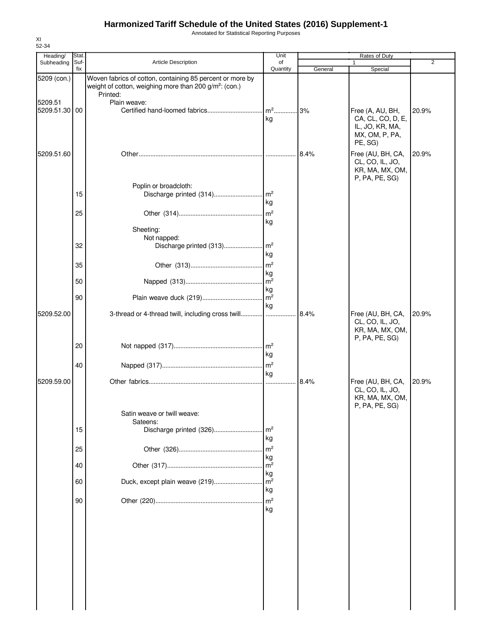Annotated for Statistical Reporting Purposes

| Subheading    | Stat.<br>Suf- | <b>Article Description</b>                                                                                                                  | Unit<br>of                 |         | Rates of Duty                                                                         | 2     |
|---------------|---------------|---------------------------------------------------------------------------------------------------------------------------------------------|----------------------------|---------|---------------------------------------------------------------------------------------|-------|
|               | fix           |                                                                                                                                             | Quantity                   | General | Special                                                                               |       |
| 5209 (con.)   |               | Woven fabrics of cotton, containing 85 percent or more by<br>weight of cotton, weighing more than 200 g/m <sup>2</sup> : (con.)<br>Printed: |                            |         |                                                                                       |       |
| 5209.51       |               | Plain weave:                                                                                                                                |                            |         |                                                                                       |       |
| 5209.51.30 00 |               |                                                                                                                                             | kg                         |         | Free (A, AU, BH,<br>CA, CL, CO, D, E,<br>IL, JO, KR, MA,<br>MX, OM, P, PA,<br>PE, SG) | 20.9% |
| 5209.51.60    |               |                                                                                                                                             |                            | 8.4%    | Free (AU, BH, CA,<br>CL, CO, IL, JO,<br>KR, MA, MX, OM,<br>P, PA, PE, SG)             | 20.9% |
|               | 15            | Poplin or broadcloth:<br>Discharge printed (314)                                                                                            | $\mathsf{Im}^2$            |         |                                                                                       |       |
|               |               |                                                                                                                                             | kg                         |         |                                                                                       |       |
|               | 25            |                                                                                                                                             | m <sup>2</sup>             |         |                                                                                       |       |
|               |               | Sheeting:<br>Not napped:                                                                                                                    | kg                         |         |                                                                                       |       |
|               | 32            | Discharge printed (313)                                                                                                                     | m <sup>2</sup>             |         |                                                                                       |       |
|               |               |                                                                                                                                             | kg                         |         |                                                                                       |       |
|               | 35            |                                                                                                                                             | m <sup>2</sup>             |         |                                                                                       |       |
|               |               |                                                                                                                                             | kg                         |         |                                                                                       |       |
|               | 50            |                                                                                                                                             | m <sup>2</sup>             |         |                                                                                       |       |
|               | 90            |                                                                                                                                             | kg<br>m <sup>2</sup>       |         |                                                                                       |       |
|               |               |                                                                                                                                             | kg                         |         |                                                                                       |       |
| 5209.52.00    |               | 3-thread or 4-thread twill, including cross twill                                                                                           |                            | 8.4%    | Free (AU, BH, CA,<br>CL, CO, IL, JO,<br>KR, MA, MX, OM,                               | 20.9% |
|               | 20            |                                                                                                                                             | $\mathsf{Im}^2$<br>kg      |         | P, PA, PE, SG)                                                                        |       |
|               | 40            |                                                                                                                                             | kg                         |         |                                                                                       |       |
| 5209.59.00    |               |                                                                                                                                             |                            | 8.4%    | Free (AU, BH, CA,<br>CL, CO, IL, JO,<br>KR, MA, MX, OM,<br>P, PA, PE, SG)             | 20.9% |
|               |               | Satin weave or twill weave:                                                                                                                 |                            |         |                                                                                       |       |
|               |               | Sateens:                                                                                                                                    |                            |         |                                                                                       |       |
|               | 15            | Discharge printed (326)                                                                                                                     | m <sup>2</sup>             |         |                                                                                       |       |
|               |               |                                                                                                                                             | kg                         |         |                                                                                       |       |
|               | 25            |                                                                                                                                             | m <sup>2</sup>             |         |                                                                                       |       |
|               | 40            |                                                                                                                                             | kg<br>m <sup>2</sup><br>kg |         |                                                                                       |       |
|               |               |                                                                                                                                             | m <sup>2</sup>             |         |                                                                                       |       |
|               | 60            | Duck, except plain weave (219)                                                                                                              | kg                         |         |                                                                                       |       |

XI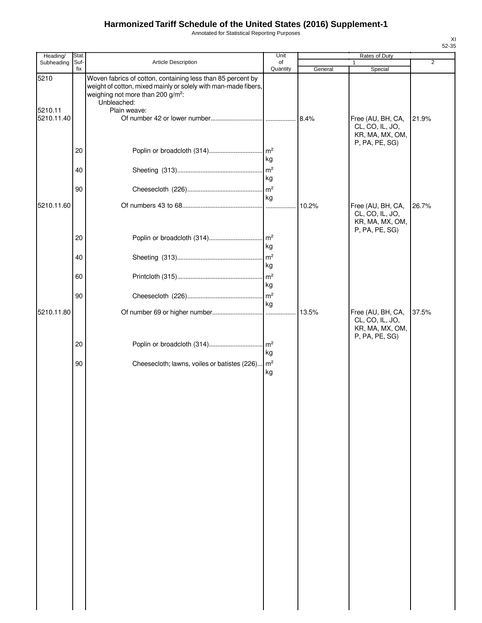Annotated for Statistical Reporting Purposes

| Heading/              | <b>Stat</b> |                                                                                                                                                                                               | Unit                  |         | Rates of Duty                                                             |                |
|-----------------------|-------------|-----------------------------------------------------------------------------------------------------------------------------------------------------------------------------------------------|-----------------------|---------|---------------------------------------------------------------------------|----------------|
| Subheading            | Suf-<br>fix | <b>Article Description</b>                                                                                                                                                                    | of<br>Quantity        | General | Special                                                                   | $\overline{2}$ |
| 5210                  |             | Woven fabrics of cotton, containing less than 85 percent by<br>weight of cotton, mixed mainly or solely with man-made fibers,<br>weighing not more than 200 g/m <sup>2</sup> :<br>Unbleached: |                       |         |                                                                           |                |
| 5210.11<br>5210.11.40 |             | Plain weave:                                                                                                                                                                                  |                       | 8.4%    | Free (AU, BH, CA,<br>CL, CO, IL, JO,<br>KR, MA, MX, OM,                   | 21.9%          |
|                       | 20          |                                                                                                                                                                                               | kg                    |         | P, PA, PE, SG)                                                            |                |
|                       | 40          |                                                                                                                                                                                               | m <sup>2</sup><br>kg  |         |                                                                           |                |
|                       | 90          |                                                                                                                                                                                               | kg                    |         |                                                                           |                |
| 5210.11.60            |             |                                                                                                                                                                                               | $\cdots$              | 10.2%   | Free (AU, BH, CA,<br>CL, CO, IL, JO,<br>KR, MA, MX, OM,<br>P, PA, PE, SG) | 26.7%          |
|                       | 20<br>40    |                                                                                                                                                                                               | kg<br>$\mathsf{Im}^2$ |         |                                                                           |                |
|                       | 60          |                                                                                                                                                                                               | kg                    |         |                                                                           |                |
|                       | 90          |                                                                                                                                                                                               | kg                    |         |                                                                           |                |
| 5210.11.80            |             |                                                                                                                                                                                               | kg                    |         | Free (AU, BH, CA,<br>CL, CO, IL, JO,<br>KR, MA, MX, OM,                   | 37.5%          |
|                       | 20          | Poplin or broadcloth (314)                                                                                                                                                                    | m <sup>2</sup><br>kg  |         | P, PA, PE, SG)                                                            |                |
|                       | 90          | Cheesecloth; lawns, voiles or batistes (226) m <sup>2</sup>                                                                                                                                   | kg                    |         |                                                                           |                |
|                       |             |                                                                                                                                                                                               |                       |         |                                                                           |                |
|                       |             |                                                                                                                                                                                               |                       |         |                                                                           |                |
|                       |             |                                                                                                                                                                                               |                       |         |                                                                           |                |
|                       |             |                                                                                                                                                                                               |                       |         |                                                                           |                |
|                       |             |                                                                                                                                                                                               |                       |         |                                                                           |                |
|                       |             |                                                                                                                                                                                               |                       |         |                                                                           |                |
|                       |             |                                                                                                                                                                                               |                       |         |                                                                           |                |
|                       |             |                                                                                                                                                                                               |                       |         |                                                                           |                |
|                       |             |                                                                                                                                                                                               |                       |         |                                                                           |                |
|                       |             |                                                                                                                                                                                               |                       |         |                                                                           |                |
|                       |             |                                                                                                                                                                                               |                       |         |                                                                           |                |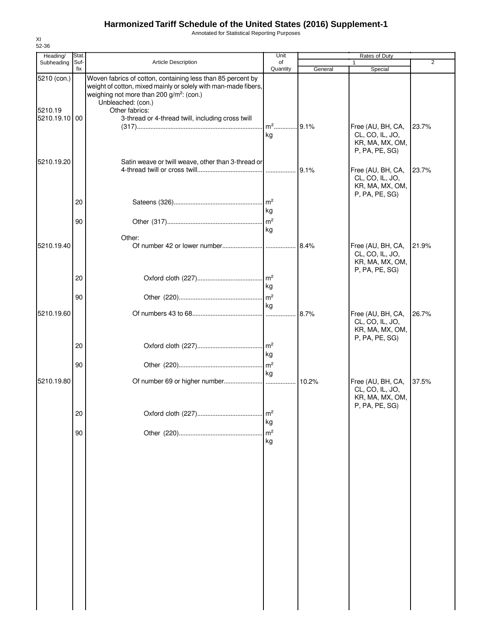Annotated for Statistical Reporting Purposes

| Heading/<br>Subheading   | Stat.<br>Suf- | Article Description                                                                                                                                                                                         | Unit<br>of            |         | Rates of Duty                                                             | 2     |
|--------------------------|---------------|-------------------------------------------------------------------------------------------------------------------------------------------------------------------------------------------------------------|-----------------------|---------|---------------------------------------------------------------------------|-------|
|                          | fix           |                                                                                                                                                                                                             | Quantity              | General | Special                                                                   |       |
| 5210 (con.)              |               | Woven fabrics of cotton, containing less than 85 percent by<br>weight of cotton, mixed mainly or solely with man-made fibers,<br>weighing not more than 200 g/m <sup>2</sup> : (con.)<br>Unbleached: (con.) |                       |         |                                                                           |       |
| 5210.19<br>5210.19.10 00 |               | Other fabrics:<br>3-thread or 4-thread twill, including cross twill                                                                                                                                         | m <sup>2</sup> 9.1%   |         | Free (AU, BH, CA,                                                         | 23.7% |
| 5210.19.20               |               |                                                                                                                                                                                                             | kg                    |         | CL, CO, IL, JO,<br>KR, MA, MX, OM,<br>P, PA, PE, SG)                      |       |
|                          |               | Satin weave or twill weave, other than 3-thread or                                                                                                                                                          |                       |         | Free (AU, BH, CA,<br>CL, CO, IL, JO,<br>KR, MA, MX, OM,<br>P, PA, PE, SG) | 23.7% |
|                          | 20            |                                                                                                                                                                                                             | Im <sup>2</sup><br>kg |         |                                                                           |       |
|                          | 90            |                                                                                                                                                                                                             | kg                    |         |                                                                           |       |
| 5210.19.40               |               | Other:                                                                                                                                                                                                      |                       |         | Free (AU, BH, CA,<br>CL, CO, IL, JO,<br>KR, MA, MX, OM,                   | 21.9% |
|                          | 20            |                                                                                                                                                                                                             | kg                    |         | P, PA, PE, SG)                                                            |       |
|                          | 90            |                                                                                                                                                                                                             | $\mathsf{Im}^2$<br>kg |         |                                                                           |       |
| 5210.19.60               |               |                                                                                                                                                                                                             |                       | 8.7%    | Free (AU, BH, CA,<br>CL, CO, IL, JO,<br>KR, MA, MX, OM,<br>P, PA, PE, SG) | 26.7% |
|                          | 20            |                                                                                                                                                                                                             | kg                    |         |                                                                           |       |
|                          | 90            |                                                                                                                                                                                                             | kg                    |         |                                                                           |       |
| 5210.19.80               |               |                                                                                                                                                                                                             |                       | .10.2%  | Free (AU, BH, CA,<br>CL, CO, IL, JO,<br>KR, MA, MX, OM,<br>P, PA, PE, SG) | 37.5% |
|                          | 20            |                                                                                                                                                                                                             | m <sup>2</sup><br>kg  |         |                                                                           |       |
|                          | 90            |                                                                                                                                                                                                             | m <sup>2</sup><br>kg  |         |                                                                           |       |
|                          |               |                                                                                                                                                                                                             |                       |         |                                                                           |       |
|                          |               |                                                                                                                                                                                                             |                       |         |                                                                           |       |
|                          |               |                                                                                                                                                                                                             |                       |         |                                                                           |       |
|                          |               |                                                                                                                                                                                                             |                       |         |                                                                           |       |
|                          |               |                                                                                                                                                                                                             |                       |         |                                                                           |       |
|                          |               |                                                                                                                                                                                                             |                       |         |                                                                           |       |
|                          |               |                                                                                                                                                                                                             |                       |         |                                                                           |       |

XI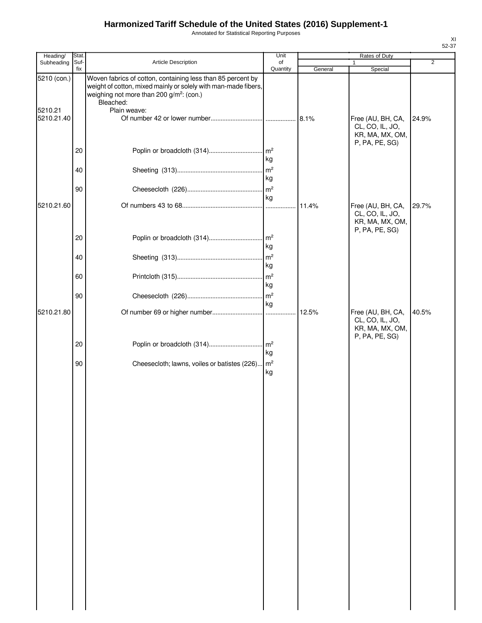Annotated for Statistical Reporting Purposes

| Heading/              | Stat.       |                                                                                                                                                                                                    | Unit                  |         | Rates of Duty                                                             |       |
|-----------------------|-------------|----------------------------------------------------------------------------------------------------------------------------------------------------------------------------------------------------|-----------------------|---------|---------------------------------------------------------------------------|-------|
| Subheading            | Suf-<br>fix | Article Description                                                                                                                                                                                | of<br>Quantity        | General | 1<br>Special                                                              | 2     |
| 5210 (con.)           |             | Woven fabrics of cotton, containing less than 85 percent by<br>weight of cotton, mixed mainly or solely with man-made fibers,<br>weighing not more than 200 g/m <sup>2</sup> : (con.)<br>Bleached: |                       |         |                                                                           |       |
| 5210.21<br>5210.21.40 |             | Plain weave:                                                                                                                                                                                       |                       |         | Free (AU, BH, CA,<br>CL, CO, IL, JO,<br>KR, MA, MX, OM,<br>P, PA, PE, SG) | 24.9% |
|                       | 20          |                                                                                                                                                                                                    | kg                    |         |                                                                           |       |
|                       | 40          |                                                                                                                                                                                                    | m <sup>2</sup><br>kg  |         |                                                                           |       |
|                       | 90          |                                                                                                                                                                                                    | m <sup>2</sup><br>kg  |         |                                                                           |       |
| 5210.21.60            |             |                                                                                                                                                                                                    | 1.1.1.1               | 11.4%   | Free (AU, BH, CA,<br>CL, CO, IL, JO,<br>KR, MA, MX, OM,<br>P, PA, PE, SG) | 29.7% |
|                       | 20<br>40    |                                                                                                                                                                                                    | kg<br>m <sup>2</sup>  |         |                                                                           |       |
|                       | 60          |                                                                                                                                                                                                    | kg<br>m <sup>2</sup>  |         |                                                                           |       |
|                       | 90          |                                                                                                                                                                                                    | kg<br>m <sup>2</sup>  |         |                                                                           |       |
| 5210.21.80            |             |                                                                                                                                                                                                    | kg                    |         | Free (AU, BH, CA,<br>CL, CO, IL, JO,<br>KR, MA, MX, OM,                   | 40.5% |
|                       | 20          | Poplin or broadcloth (314)                                                                                                                                                                         | $\mathsf{Im}^2$<br>kg |         | P, PA, PE, SG)                                                            |       |
|                       | 90          | Cheesecloth; lawns, voiles or batistes (226)                                                                                                                                                       | m <sup>2</sup><br>kg  |         |                                                                           |       |
|                       |             |                                                                                                                                                                                                    |                       |         |                                                                           |       |
|                       |             |                                                                                                                                                                                                    |                       |         |                                                                           |       |
|                       |             |                                                                                                                                                                                                    |                       |         |                                                                           |       |
|                       |             |                                                                                                                                                                                                    |                       |         |                                                                           |       |
|                       |             |                                                                                                                                                                                                    |                       |         |                                                                           |       |
|                       |             |                                                                                                                                                                                                    |                       |         |                                                                           |       |
|                       |             |                                                                                                                                                                                                    |                       |         |                                                                           |       |
|                       |             |                                                                                                                                                                                                    |                       |         |                                                                           |       |
|                       |             |                                                                                                                                                                                                    |                       |         |                                                                           |       |
|                       |             |                                                                                                                                                                                                    |                       |         |                                                                           |       |
|                       |             |                                                                                                                                                                                                    |                       |         |                                                                           |       |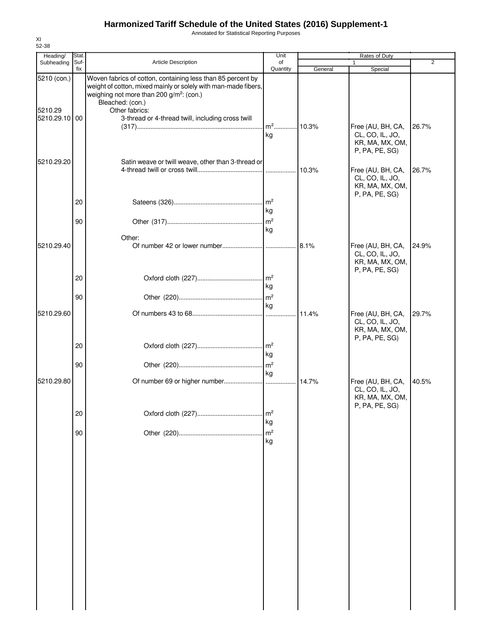Annotated for Statistical Reporting Purposes

| Heading/<br>Subheading   | Stat.<br>Suf- | Article Description                                                                                                                                                                                       | Unit<br>of                 |         | Rates of Duty                                                             | 2     |
|--------------------------|---------------|-----------------------------------------------------------------------------------------------------------------------------------------------------------------------------------------------------------|----------------------------|---------|---------------------------------------------------------------------------|-------|
|                          | fix           |                                                                                                                                                                                                           | Quantity                   | General | Special                                                                   |       |
| 5210 (con.)              |               | Woven fabrics of cotton, containing less than 85 percent by<br>weight of cotton, mixed mainly or solely with man-made fibers,<br>weighing not more than 200 g/m <sup>2</sup> : (con.)<br>Bleached: (con.) |                            |         |                                                                           |       |
| 5210.29<br>5210.29.10 00 |               | Other fabrics:<br>3-thread or 4-thread twill, including cross twill                                                                                                                                       | m <sup>2</sup> 10.3%<br>kg |         | Free (AU, BH, CA,<br>CL, CO, IL, JO,<br>KR, MA, MX, OM,                   | 26.7% |
| 5210.29.20               |               | Satin weave or twill weave, other than 3-thread or                                                                                                                                                        |                            |         | P, PA, PE, SG)<br>Free (AU, BH, CA,<br>CL, CO, IL, JO,                    | 26.7% |
|                          | 20            |                                                                                                                                                                                                           | $\mathsf{Im}^2$<br>kg      |         | KR, MA, MX, OM,<br>P, PA, PE, SG)                                         |       |
|                          | 90            |                                                                                                                                                                                                           | kg                         |         |                                                                           |       |
| 5210.29.40               |               | Other:                                                                                                                                                                                                    |                            |         | Free (AU, BH, CA,<br>CL, CO, IL, JO,<br>KR, MA, MX, OM,<br>P, PA, PE, SG) | 24.9% |
|                          | 20            |                                                                                                                                                                                                           | kg                         |         |                                                                           |       |
|                          | 90            |                                                                                                                                                                                                           | $\mathsf{Im}^2$<br>kg      |         |                                                                           |       |
| 5210.29.60               |               |                                                                                                                                                                                                           |                            | 11.4%   | Free (AU, BH, CA,<br>CL, CO, IL, JO,<br>KR, MA, MX, OM,<br>P, PA, PE, SG) | 29.7% |
|                          | 20            |                                                                                                                                                                                                           | kg                         |         |                                                                           |       |
|                          | 90            |                                                                                                                                                                                                           | kg                         |         |                                                                           |       |
| 5210.29.80               |               |                                                                                                                                                                                                           |                            | 14.7%   | Free (AU, BH, CA,<br>CL, CO, IL, JO,<br>KR, MA, MX, OM,<br>P, PA, PE, SG) | 40.5% |
|                          | 20            |                                                                                                                                                                                                           | m <sup>2</sup><br>kg       |         |                                                                           |       |
|                          | 90            |                                                                                                                                                                                                           | m <sup>2</sup><br>kg       |         |                                                                           |       |
|                          |               |                                                                                                                                                                                                           |                            |         |                                                                           |       |
|                          |               |                                                                                                                                                                                                           |                            |         |                                                                           |       |
|                          |               |                                                                                                                                                                                                           |                            |         |                                                                           |       |
|                          |               |                                                                                                                                                                                                           |                            |         |                                                                           |       |
|                          |               |                                                                                                                                                                                                           |                            |         |                                                                           |       |
|                          |               |                                                                                                                                                                                                           |                            |         |                                                                           |       |

XI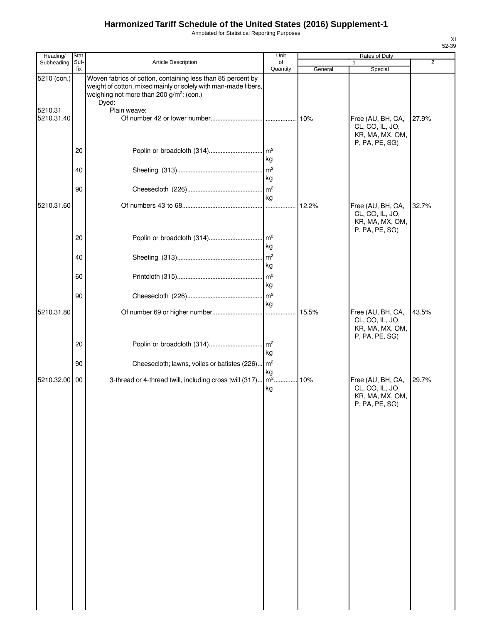Annotated for Statistical Reporting Purposes

| Heading/              | Stat.       |                                                                                                                                                                                                | Unit                           |         | <b>Rates of Duty</b>                                                      |                |
|-----------------------|-------------|------------------------------------------------------------------------------------------------------------------------------------------------------------------------------------------------|--------------------------------|---------|---------------------------------------------------------------------------|----------------|
| Subheading            | Suf-<br>fix | <b>Article Description</b>                                                                                                                                                                     | of                             |         |                                                                           | $\overline{2}$ |
| 5210 (con.)           |             | Woven fabrics of cotton, containing less than 85 percent by<br>weight of cotton, mixed mainly or solely with man-made fibers,<br>weighing not more than 200 g/m <sup>2</sup> : (con.)<br>Dyed: | Quantity                       | General | Special                                                                   |                |
| 5210.31<br>5210.31.40 |             | Plain weave:                                                                                                                                                                                   |                                |         | Free (AU, BH, CA,<br>CL, CO, IL, JO,<br>KR, MA, MX, OM,                   | 27.9%          |
|                       | 20          |                                                                                                                                                                                                | $\mathsf{Im}^2$<br>kg          |         | P, PA, PE, SG)                                                            |                |
|                       | 40          |                                                                                                                                                                                                | m <sup>2</sup><br>kg           |         |                                                                           |                |
|                       | 90          |                                                                                                                                                                                                | m <sup>2</sup><br>kg           |         |                                                                           |                |
| 5210.31.60            |             |                                                                                                                                                                                                | $\cdots$                       | 12.2%   | Free (AU, BH, CA,<br>CL, CO, IL, JO,<br>KR, MA, MX, OM,<br>P, PA, PE, SG) | 32.7%          |
|                       | 20<br>40    |                                                                                                                                                                                                | kg<br>m <sup>2</sup>           |         |                                                                           |                |
|                       |             |                                                                                                                                                                                                | kg<br>m <sup>2</sup>           |         |                                                                           |                |
|                       | 60          |                                                                                                                                                                                                | kg                             |         |                                                                           |                |
| 5210.31.80            | 90          |                                                                                                                                                                                                | m <sup>2</sup><br>kg           |         | Free (AU, BH, CA,                                                         | 43.5%          |
|                       |             |                                                                                                                                                                                                |                                |         | CL, CO, IL, JO,<br>KR, MA, MX, OM,<br>P, PA, PE, SG)                      |                |
|                       | 20          | Poplin or broadcloth (314)                                                                                                                                                                     | m <sup>2</sup><br>kg           |         |                                                                           |                |
|                       | 90          | Cheesecloth; lawns, voiles or batistes (226)                                                                                                                                                   | m <sup>2</sup><br>kg<br>$m2$ . |         |                                                                           |                |
| 5210.32.00 00         |             | 3-thread or 4-thread twill, including cross twill (317)                                                                                                                                        | kg                             | 10%     | Free (AU, BH, CA,<br>CL, CO, IL, JO,<br>KR, MA, MX, OM,<br>P, PA, PE, SG) | 29.7%          |
|                       |             |                                                                                                                                                                                                |                                |         |                                                                           |                |
|                       |             |                                                                                                                                                                                                |                                |         |                                                                           |                |
|                       |             |                                                                                                                                                                                                |                                |         |                                                                           |                |
|                       |             |                                                                                                                                                                                                |                                |         |                                                                           |                |
|                       |             |                                                                                                                                                                                                |                                |         |                                                                           |                |
|                       |             |                                                                                                                                                                                                |                                |         |                                                                           |                |
|                       |             |                                                                                                                                                                                                |                                |         |                                                                           |                |
|                       |             |                                                                                                                                                                                                |                                |         |                                                                           |                |
|                       |             |                                                                                                                                                                                                |                                |         |                                                                           |                |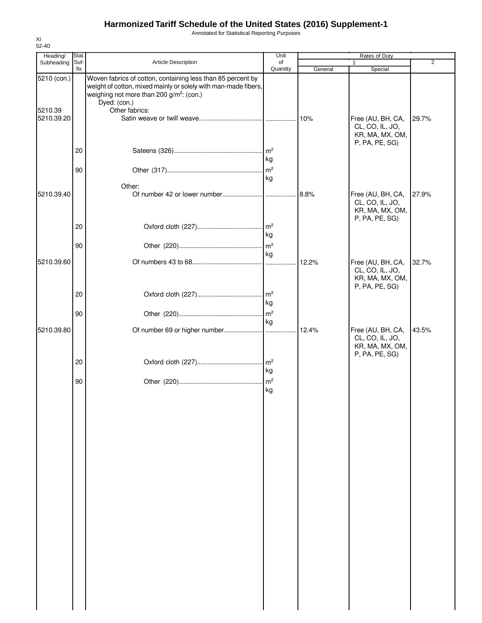Annotated for Statistical Reporting Purposes

| Heading/                             | Stat.       |                                                                                                                                                                                                                         | Unit                 |         | <b>Rates of Duty</b>                                                      |       |
|--------------------------------------|-------------|-------------------------------------------------------------------------------------------------------------------------------------------------------------------------------------------------------------------------|----------------------|---------|---------------------------------------------------------------------------|-------|
| Subheading                           | Suf-<br>fix | Article Description                                                                                                                                                                                                     | of<br>Quantity       | General | 1<br>Special                                                              | 2     |
| 5210 (con.)<br>5210.39<br>5210.39.20 |             | Woven fabrics of cotton, containing less than 85 percent by<br>weight of cotton, mixed mainly or solely with man-made fibers,<br>weighing not more than 200 g/m <sup>2</sup> : (con.)<br>Dyed: (con.)<br>Other fabrics: |                      | 10%     | Free (AU, BH, CA,<br>CL, CO, IL, JO,<br>KR, MA, MX, OM,<br>P, PA, PE, SG) | 29.7% |
|                                      | 20<br>90    |                                                                                                                                                                                                                         | kg<br>kg             |         |                                                                           |       |
| 5210.39.40                           |             | Other:                                                                                                                                                                                                                  |                      | 8.8%    | Free (AU, BH, CA,<br>CL, CO, IL, JO,<br>KR, MA, MX, OM,<br>P, PA, PE, SG) | 27.9% |
|                                      | 20          |                                                                                                                                                                                                                         | kg                   |         |                                                                           |       |
| 5210.39.60                           | 90          |                                                                                                                                                                                                                         | kg                   | 12.2%   | Free (AU, BH, CA,<br>CL, CO, IL, JO,<br>KR, MA, MX, OM,                   | 32.7% |
|                                      | 20          |                                                                                                                                                                                                                         | kg                   |         | P, PA, PE, SG)                                                            |       |
|                                      | 90          |                                                                                                                                                                                                                         | kg                   |         |                                                                           |       |
| 5210.39.80                           |             |                                                                                                                                                                                                                         |                      | 12.4%   | Free (AU, BH, CA,<br>CL, CO, IL, JO,<br>KR, MA, MX, OM,<br>P, PA, PE, SG) | 43.5% |
|                                      | 20          |                                                                                                                                                                                                                         | kg                   |         |                                                                           |       |
|                                      | 90          |                                                                                                                                                                                                                         | m <sup>2</sup><br>kg |         |                                                                           |       |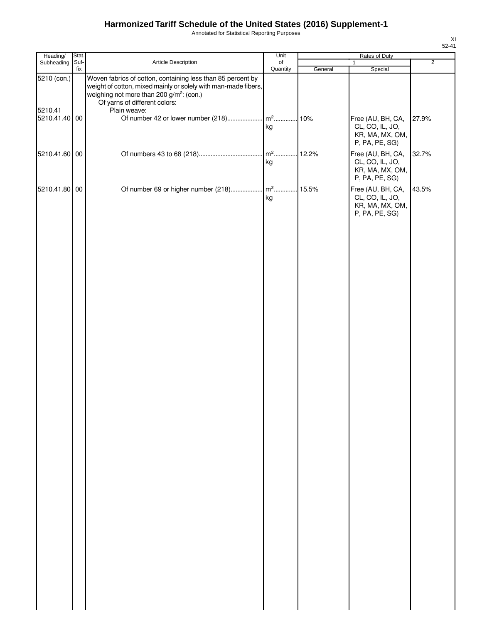Annotated for Statistical Reporting Purposes

| $\overline{2}$<br>Article Description<br>Subheading<br>Suf-<br>of<br>1<br>fix<br>Quantity<br>General<br>Special<br>Woven fabrics of cotton, containing less than 85 percent by<br>5210 (con.)<br>weight of cotton, mixed mainly or solely with man-made fibers,<br>weighing not more than 200 g/m <sup>2</sup> : (con.)<br>Of yarns of different colors:<br>5210.41<br>Plain weave:<br>.10%<br>Free (AU, BH, CA,<br>5210.41.40 00<br>27.9%<br>kg<br>CL, CO, IL, JO,<br>KR, MA, MX, OM,<br>P, PA, PE, SG)<br>$m^2$<br>Free (AU, BH, CA,<br>12.2%<br>5210.41.60 00<br>32.7%<br>kg<br>CL, CO, IL, JO,<br>KR, MA, MX, OM,<br>P, PA, PE, SG)<br>Free (AU, BH, CA,<br>5210.41.80 00<br>43.5%<br>kg<br>CL, CO, IL, JO,<br>KR, MA, MX, OM,<br>P, PA, PE, SG) | Heading/ | Stat. | Unit | Rates of Duty |  |
|------------------------------------------------------------------------------------------------------------------------------------------------------------------------------------------------------------------------------------------------------------------------------------------------------------------------------------------------------------------------------------------------------------------------------------------------------------------------------------------------------------------------------------------------------------------------------------------------------------------------------------------------------------------------------------------------------------------------------------------------------|----------|-------|------|---------------|--|
|                                                                                                                                                                                                                                                                                                                                                                                                                                                                                                                                                                                                                                                                                                                                                      |          |       |      |               |  |
|                                                                                                                                                                                                                                                                                                                                                                                                                                                                                                                                                                                                                                                                                                                                                      |          |       |      |               |  |
|                                                                                                                                                                                                                                                                                                                                                                                                                                                                                                                                                                                                                                                                                                                                                      |          |       |      |               |  |
|                                                                                                                                                                                                                                                                                                                                                                                                                                                                                                                                                                                                                                                                                                                                                      |          |       |      |               |  |
|                                                                                                                                                                                                                                                                                                                                                                                                                                                                                                                                                                                                                                                                                                                                                      |          |       |      |               |  |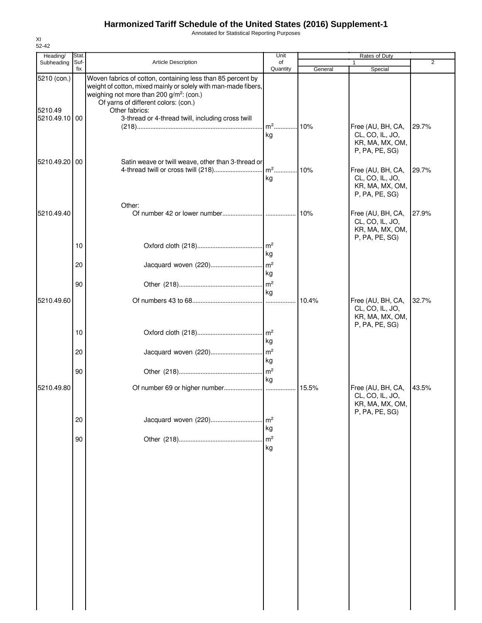Annotated for Statistical Reporting Purposes

| Heading/               | <b>Stat</b> |                                                                                                                                                                                                                                                 | Unit                                    |         | Rates of Duty                                                             |                |
|------------------------|-------------|-------------------------------------------------------------------------------------------------------------------------------------------------------------------------------------------------------------------------------------------------|-----------------------------------------|---------|---------------------------------------------------------------------------|----------------|
| Subheading             | Suf-<br>fix | Article Description                                                                                                                                                                                                                             | of<br>Quantity                          | General | 1<br>Special                                                              | $\overline{2}$ |
| 5210 (con.)<br>5210.49 |             | Woven fabrics of cotton, containing less than 85 percent by<br>weight of cotton, mixed mainly or solely with man-made fibers,<br>weighing not more than 200 g/m <sup>2</sup> : (con.)<br>Of yarns of different colors: (con.)<br>Other fabrics: |                                         |         |                                                                           |                |
| 5210.49.10 00          |             | 3-thread or 4-thread twill, including cross twill                                                                                                                                                                                               | m <sup>2</sup><br>kg                    | 10%     | Free (AU, BH, CA,<br>CL, CO, IL, JO,<br>KR, MA, MX, OM,<br>P, PA, PE, SG) | 29.7%          |
| 5210.49.20 00          |             | Satin weave or twill weave, other than 3-thread or                                                                                                                                                                                              | kg                                      |         | Free (AU, BH, CA,<br>CL, CO, IL, JO,<br>KR, MA, MX, OM,<br>P, PA, PE, SG) | 29.7%          |
| 5210.49.40             |             | Other:                                                                                                                                                                                                                                          |                                         | 10%     | Free (AU, BH, CA,<br>CL, CO, IL, JO,<br>KR, MA, MX, OM,<br>P, PA, PE, SG) | 27.9%          |
|                        | 10          |                                                                                                                                                                                                                                                 | kg                                      |         |                                                                           |                |
|                        | 20<br>90    | Jacquard woven (220)                                                                                                                                                                                                                            | $\mathsf{Im}^2$<br>kg<br>m <sup>2</sup> |         |                                                                           |                |
| 5210.49.60             |             |                                                                                                                                                                                                                                                 | kg<br>$\ddotsc$                         | 10.4%   | Free (AU, BH, CA,<br>CL, CO, IL, JO,<br>KR, MA, MX, OM,                   | 32.7%          |
|                        | 10          |                                                                                                                                                                                                                                                 | kg                                      |         | P, PA, PE, SG)                                                            |                |
|                        | 20          | Jacquard woven (220)                                                                                                                                                                                                                            | m <sup>2</sup><br>kg                    |         |                                                                           |                |
| 5210.49.80             | 90          |                                                                                                                                                                                                                                                 | $\mathsf{Im}^2$<br>kg                   | 15.5%   | Free (AU, BH, CA,                                                         | 43.5%          |
|                        |             |                                                                                                                                                                                                                                                 |                                         |         | CL, CO, IL, JO,<br>KR, MA, MX, OM,<br>P, PA, PE, SG)                      |                |
|                        | 20<br>90    | Jacquard woven (220)                                                                                                                                                                                                                            | m <sup>2</sup><br>kg<br>m <sup>2</sup>  |         |                                                                           |                |
|                        |             |                                                                                                                                                                                                                                                 | kg                                      |         |                                                                           |                |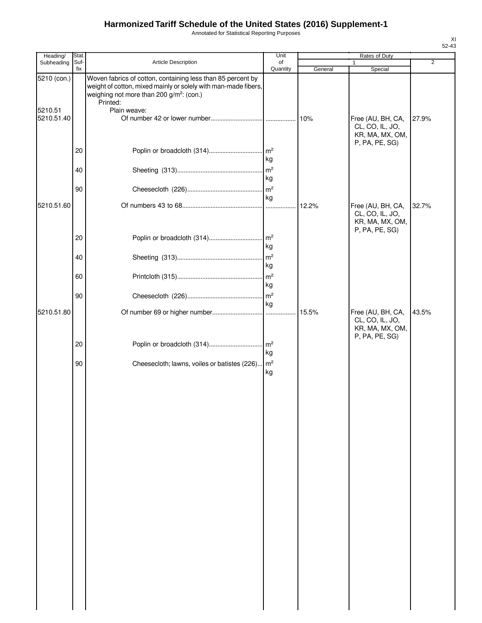Annotated for Statistical Reporting Purposes

| Heading/              | Stat.       |                                                                                                                                                                                       | Unit                  |         | Rates of Duty                                                             |       |
|-----------------------|-------------|---------------------------------------------------------------------------------------------------------------------------------------------------------------------------------------|-----------------------|---------|---------------------------------------------------------------------------|-------|
| Subheading            | Suf-<br>fix | Article Description                                                                                                                                                                   | of<br>Quantity        |         |                                                                           | 2     |
| 5210 (con.)           |             | Woven fabrics of cotton, containing less than 85 percent by<br>weight of cotton, mixed mainly or solely with man-made fibers,<br>weighing not more than 200 g/m <sup>2</sup> : (con.) |                       | General | Special                                                                   |       |
| 5210.51<br>5210.51.40 |             | Printed:<br>Plain weave:                                                                                                                                                              |                       |         | Free (AU, BH, CA,<br>CL, CO, IL, JO,<br>KR, MA, MX, OM,                   | 27.9% |
|                       | 20          |                                                                                                                                                                                       | $\mathsf{Im}^2$<br>kg |         | P, PA, PE, SG)                                                            |       |
|                       | 40          |                                                                                                                                                                                       | m <sup>2</sup><br>kg  |         |                                                                           |       |
|                       | 90          |                                                                                                                                                                                       | $\mathsf{m}^2$<br>kg  |         |                                                                           |       |
| 5210.51.60            |             |                                                                                                                                                                                       | $\cdots$              | 12.2%   | Free (AU, BH, CA,<br>CL, CO, IL, JO,<br>KR, MA, MX, OM,<br>P, PA, PE, SG) | 32.7% |
|                       | 20<br>40    |                                                                                                                                                                                       | kg<br>m <sup>2</sup>  |         |                                                                           |       |
|                       | 60          |                                                                                                                                                                                       | kg<br>m <sup>2</sup>  |         |                                                                           |       |
|                       | 90          |                                                                                                                                                                                       | kg<br>$\mathsf{Im}^2$ |         |                                                                           |       |
| 5210.51.80            |             |                                                                                                                                                                                       | kg                    |         | Free (AU, BH, CA,<br>CL, CO, IL, JO,<br>KR, MA, MX, OM,                   | 43.5% |
|                       | 20          | Poplin or broadcloth (314)                                                                                                                                                            | m <sup>2</sup><br>kg  |         | P, PA, PE, SG)                                                            |       |
|                       | 90          | Cheesecloth; lawns, voiles or batistes (226)                                                                                                                                          | $\mathsf{Im}^2$<br>kg |         |                                                                           |       |
|                       |             |                                                                                                                                                                                       |                       |         |                                                                           |       |
|                       |             |                                                                                                                                                                                       |                       |         |                                                                           |       |
|                       |             |                                                                                                                                                                                       |                       |         |                                                                           |       |
|                       |             |                                                                                                                                                                                       |                       |         |                                                                           |       |
|                       |             |                                                                                                                                                                                       |                       |         |                                                                           |       |
|                       |             |                                                                                                                                                                                       |                       |         |                                                                           |       |
|                       |             |                                                                                                                                                                                       |                       |         |                                                                           |       |
|                       |             |                                                                                                                                                                                       |                       |         |                                                                           |       |
|                       |             |                                                                                                                                                                                       |                       |         |                                                                           |       |
|                       |             |                                                                                                                                                                                       |                       |         |                                                                           |       |
|                       |             |                                                                                                                                                                                       |                       |         |                                                                           |       |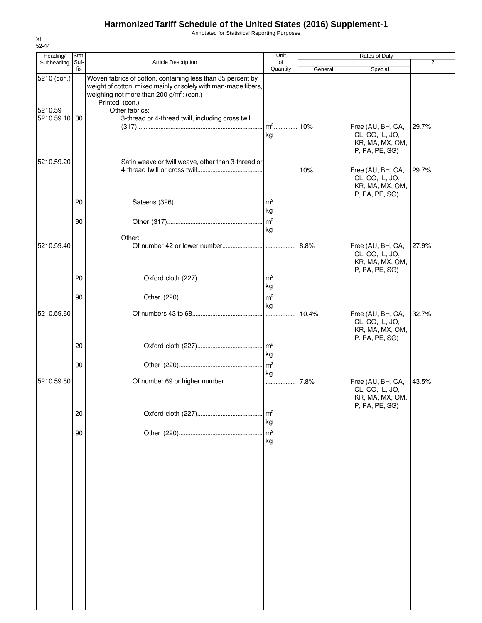Annotated for Statistical Reporting Purposes

| Heading/<br>Subheading   | Stat.<br>Suf- | Article Description                                                                                                                                                                                      | Unit<br>of            |         | Rates of Duty<br>1                                                        | $\overline{2}$ |
|--------------------------|---------------|----------------------------------------------------------------------------------------------------------------------------------------------------------------------------------------------------------|-----------------------|---------|---------------------------------------------------------------------------|----------------|
|                          | fix           |                                                                                                                                                                                                          | Quantity              | General | Special                                                                   |                |
| 5210 (con.)              |               | Woven fabrics of cotton, containing less than 85 percent by<br>weight of cotton, mixed mainly or solely with man-made fibers,<br>weighing not more than 200 g/m <sup>2</sup> : (con.)<br>Printed: (con.) |                       |         |                                                                           |                |
| 5210.59<br>5210.59.10 00 |               | Other fabrics:<br>3-thread or 4-thread twill, including cross twill                                                                                                                                      | m <sup>2</sup> 10%    |         | Free (AU, BH, CA,                                                         | 29.7%          |
| 5210.59.20               |               | Satin weave or twill weave, other than 3-thread or                                                                                                                                                       | kg                    |         | CL, CO, IL, JO,<br>KR, MA, MX, OM,<br>P, PA, PE, SG)                      |                |
|                          |               |                                                                                                                                                                                                          |                       | 10%     | Free (AU, BH, CA,<br>CL, CO, IL, JO,<br>KR, MA, MX, OM,<br>P, PA, PE, SG) | 29.7%          |
|                          | 20            |                                                                                                                                                                                                          | kg                    |         |                                                                           |                |
|                          | 90            |                                                                                                                                                                                                          | kg                    |         |                                                                           |                |
| 5210.59.40               |               | Other:                                                                                                                                                                                                   |                       | 8.8%    | Free (AU, BH, CA,<br>CL, CO, IL, JO,<br>KR, MA, MX, OM,                   | 27.9%          |
|                          | 20            |                                                                                                                                                                                                          | kg                    |         | P, PA, PE, SG)                                                            |                |
|                          | 90            |                                                                                                                                                                                                          | $\mathsf{Im}^2$<br>kg |         |                                                                           |                |
| 5210.59.60               |               |                                                                                                                                                                                                          | .                     | 10.4%   | Free (AU, BH, CA,<br>CL, CO, IL, JO,<br>KR, MA, MX, OM,<br>P, PA, PE, SG) | 32.7%          |
|                          | 20            |                                                                                                                                                                                                          | kg                    |         |                                                                           |                |
|                          | 90            |                                                                                                                                                                                                          | kg                    |         |                                                                           |                |
| 5210.59.80               |               |                                                                                                                                                                                                          |                       | 17.8%   | Free (AU, BH, CA,<br>CL, CO, IL, JO,<br>KR, MA, MX, OM,<br>P, PA, PE, SG) | 43.5%          |
|                          | 20            |                                                                                                                                                                                                          | m <sup>2</sup><br>kg  |         |                                                                           |                |
|                          | 90            |                                                                                                                                                                                                          | m <sup>2</sup><br>kg  |         |                                                                           |                |
|                          |               |                                                                                                                                                                                                          |                       |         |                                                                           |                |
|                          |               |                                                                                                                                                                                                          |                       |         |                                                                           |                |
|                          |               |                                                                                                                                                                                                          |                       |         |                                                                           |                |
|                          |               |                                                                                                                                                                                                          |                       |         |                                                                           |                |
|                          |               |                                                                                                                                                                                                          |                       |         |                                                                           |                |
|                          |               |                                                                                                                                                                                                          |                       |         |                                                                           |                |
|                          |               |                                                                                                                                                                                                          |                       |         |                                                                           |                |

XI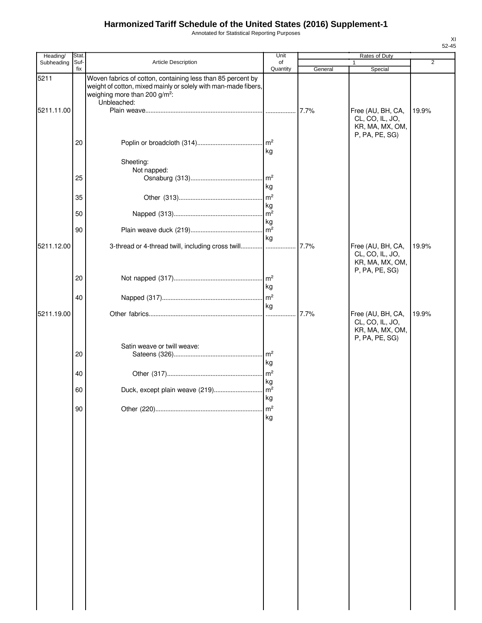Annotated for Statistical Reporting Purposes

| Heading/   | <b>Stat</b> |                                                                                                                                                                                           | Unit                         |         | Rates of Duty                                                             |                |
|------------|-------------|-------------------------------------------------------------------------------------------------------------------------------------------------------------------------------------------|------------------------------|---------|---------------------------------------------------------------------------|----------------|
| Subheading | Suf-<br>fix | Article Description                                                                                                                                                                       | of<br>Quantity               | General | Special                                                                   | $\overline{2}$ |
| 5211       |             | Woven fabrics of cotton, containing less than 85 percent by<br>weight of cotton, mixed mainly or solely with man-made fibers,<br>weighing more than 200 g/m <sup>2</sup> :<br>Unbleached: |                              |         |                                                                           |                |
| 5211.11.00 |             |                                                                                                                                                                                           |                              | 7.7%    | Free (AU, BH, CA,<br>CL, CO, IL, JO,<br>KR, MA, MX, OM,<br>P, PA, PE, SG) | 19.9%          |
|            | 20          |                                                                                                                                                                                           | kg                           |         |                                                                           |                |
|            | 25          | Sheeting:<br>Not napped:                                                                                                                                                                  | m <sup>2</sup>               |         |                                                                           |                |
|            | 35          |                                                                                                                                                                                           | kg<br>m <sup>2</sup>         |         |                                                                           |                |
|            | 50          |                                                                                                                                                                                           | kg<br>m <sup>2</sup>         |         |                                                                           |                |
|            | 90          |                                                                                                                                                                                           | kg<br>$\overline{m^2}$<br>kg |         |                                                                           |                |
| 5211.12.00 |             | 3-thread or 4-thread twill, including cross twill                                                                                                                                         |                              | 7.7%    | Free (AU, BH, CA,<br>CL, CO, IL, JO,<br>KR, MA, MX, OM,<br>P, PA, PE, SG) | 19.9%          |
|            | 20          |                                                                                                                                                                                           | kg                           |         |                                                                           |                |
|            | 40          |                                                                                                                                                                                           | kg                           |         |                                                                           |                |
| 5211.19.00 |             |                                                                                                                                                                                           |                              | 7.7%    | Free (AU, BH, CA,<br>CL, CO, IL, JO,<br>KR, MA, MX, OM,<br>P, PA, PE, SG) | 19.9%          |
|            | 20          | Satin weave or twill weave:                                                                                                                                                               | kg                           |         |                                                                           |                |
|            | 40          |                                                                                                                                                                                           | kg                           |         |                                                                           |                |
|            | 60          |                                                                                                                                                                                           | kg                           |         |                                                                           |                |
|            | 90          |                                                                                                                                                                                           | m <sup>2</sup><br>kg         |         |                                                                           |                |
|            |             |                                                                                                                                                                                           |                              |         |                                                                           |                |
|            |             |                                                                                                                                                                                           |                              |         |                                                                           |                |
|            |             |                                                                                                                                                                                           |                              |         |                                                                           |                |
|            |             |                                                                                                                                                                                           |                              |         |                                                                           |                |
|            |             |                                                                                                                                                                                           |                              |         |                                                                           |                |
|            |             |                                                                                                                                                                                           |                              |         |                                                                           |                |
|            |             |                                                                                                                                                                                           |                              |         |                                                                           |                |
|            |             |                                                                                                                                                                                           |                              |         |                                                                           |                |
|            |             |                                                                                                                                                                                           |                              |         |                                                                           |                |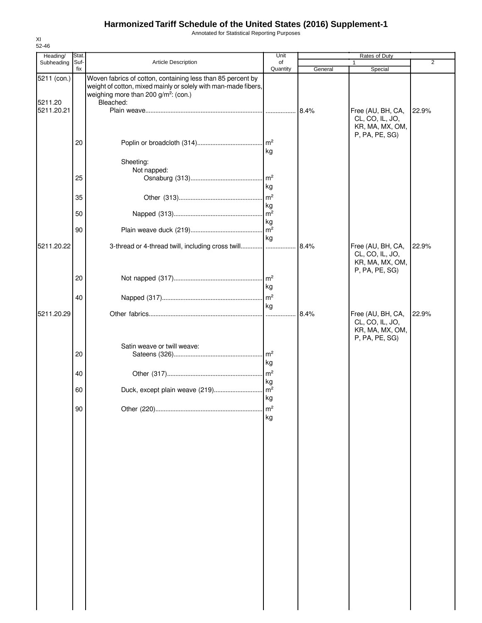Annotated for Statistical Reporting Purposes

| 52-46                  |               |                                                                                                                                                                                                |                       |         |                                                                           |                |
|------------------------|---------------|------------------------------------------------------------------------------------------------------------------------------------------------------------------------------------------------|-----------------------|---------|---------------------------------------------------------------------------|----------------|
| Heading/<br>Subheading | Stat.<br>Suf- | Article Description                                                                                                                                                                            | Unit<br>of            |         | Rates of Duty                                                             | $\overline{2}$ |
|                        | fix           |                                                                                                                                                                                                | Quantity              | General | Special                                                                   |                |
| 5211 (con.)<br>5211.20 |               | Woven fabrics of cotton, containing less than 85 percent by<br>weight of cotton, mixed mainly or solely with man-made fibers,<br>weighing more than 200 g/m <sup>2</sup> : (con.)<br>Bleached: |                       |         |                                                                           |                |
| 5211.20.21             |               |                                                                                                                                                                                                |                       | 8.4%    | Free (AU, BH, CA,<br>CL, CO, IL, JO,<br>KR, MA, MX, OM,<br>P, PA, PE, SG) | 22.9%          |
|                        | 20            | Sheeting:                                                                                                                                                                                      | kg                    |         |                                                                           |                |
|                        | 25            | Not napped:                                                                                                                                                                                    | Im <sup>2</sup>       |         |                                                                           |                |
|                        | 35            |                                                                                                                                                                                                | kg<br>kg              |         |                                                                           |                |
|                        | 50            |                                                                                                                                                                                                | kg                    |         |                                                                           |                |
| 5211.20.22             | 90            | 3-thread or 4-thread twill, including cross twill                                                                                                                                              | $\mathsf{m}^2$<br>kg  | 8.4%    | Free (AU, BH, CA,                                                         | 22.9%          |
|                        | 20            |                                                                                                                                                                                                |                       |         | CL, CO, IL, JO,<br>KR, MA, MX, OM,<br>P, PA, PE, SG)                      |                |
|                        | 40            |                                                                                                                                                                                                | kg                    |         |                                                                           |                |
| 5211.20.29             |               |                                                                                                                                                                                                | kg                    | 8.4%    | Free (AU, BH, CA,                                                         | 22.9%          |
|                        |               |                                                                                                                                                                                                |                       |         | CL, CO, IL, JO,<br>KR, MA, MX, OM,<br>P, PA, PE, SG)                      |                |
|                        | 20            | Satin weave or twill weave:                                                                                                                                                                    | Im <sup>2</sup><br>kg |         |                                                                           |                |
|                        | 40            |                                                                                                                                                                                                | kg                    |         |                                                                           |                |
|                        | 60            |                                                                                                                                                                                                | kg                    |         |                                                                           |                |
|                        | 90            |                                                                                                                                                                                                | m <sup>2</sup><br>kg  |         |                                                                           |                |
|                        |               |                                                                                                                                                                                                |                       |         |                                                                           |                |
|                        |               |                                                                                                                                                                                                |                       |         |                                                                           |                |
|                        |               |                                                                                                                                                                                                |                       |         |                                                                           |                |
|                        |               |                                                                                                                                                                                                |                       |         |                                                                           |                |
|                        |               |                                                                                                                                                                                                |                       |         |                                                                           |                |
|                        |               |                                                                                                                                                                                                |                       |         |                                                                           |                |
|                        |               |                                                                                                                                                                                                |                       |         |                                                                           |                |
|                        |               |                                                                                                                                                                                                |                       |         |                                                                           |                |
|                        |               |                                                                                                                                                                                                |                       |         |                                                                           |                |

XI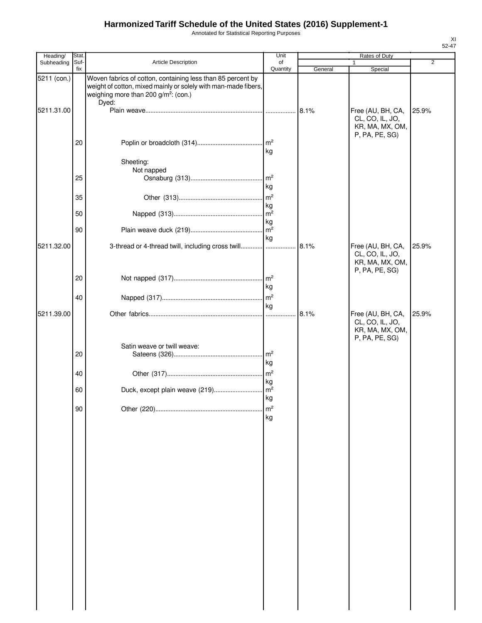Annotated for Statistical Reporting Purposes

| Heading/    | Stat        |                                                                                                                                                                                   | Unit                   |         | Rates of Duty                                                             |                |
|-------------|-------------|-----------------------------------------------------------------------------------------------------------------------------------------------------------------------------------|------------------------|---------|---------------------------------------------------------------------------|----------------|
| Subheading  | Suf-<br>fix | Article Description                                                                                                                                                               | of<br>Quantity         | General | Special                                                                   | $\overline{2}$ |
| 5211 (con.) |             | Woven fabrics of cotton, containing less than 85 percent by<br>weight of cotton, mixed mainly or solely with man-made fibers,<br>weighing more than 200 $g/m^2$ : (con.)<br>Dyed: |                        |         |                                                                           |                |
| 5211.31.00  |             |                                                                                                                                                                                   |                        | 8.1%    | Free (AU, BH, CA,<br>CL, CO, IL, JO,<br>KR, MA, MX, OM,<br>P, PA, PE, SG) | 25.9%          |
|             | 20          |                                                                                                                                                                                   | kg                     |         |                                                                           |                |
|             | 25          | Sheeting:<br>Not napped                                                                                                                                                           | m <sup>2</sup>         |         |                                                                           |                |
|             | 35          |                                                                                                                                                                                   | kg<br>m <sup>2</sup>   |         |                                                                           |                |
|             | 50          |                                                                                                                                                                                   | kg<br>m <sup>2</sup>   |         |                                                                           |                |
|             | 90          |                                                                                                                                                                                   | kg<br>$\overline{m^2}$ |         |                                                                           |                |
| 5211.32.00  |             | 3-thread or 4-thread twill, including cross twill                                                                                                                                 | kg                     | 8.1%    | Free (AU, BH, CA,<br>CL, CO, IL, JO,<br>KR, MA, MX, OM,<br>P, PA, PE, SG) | 25.9%          |
|             | 20          |                                                                                                                                                                                   | kg                     |         |                                                                           |                |
|             | 40          |                                                                                                                                                                                   | kg                     |         |                                                                           |                |
| 5211.39.00  |             |                                                                                                                                                                                   |                        | 8.1%    | Free (AU, BH, CA,<br>CL, CO, IL, JO,<br>KR, MA, MX, OM,<br>P, PA, PE, SG) | 25.9%          |
|             | 20          | Satin weave or twill weave:                                                                                                                                                       | kg                     |         |                                                                           |                |
|             | 40          |                                                                                                                                                                                   | kg                     |         |                                                                           |                |
|             | 60          |                                                                                                                                                                                   | kg                     |         |                                                                           |                |
|             | 90          |                                                                                                                                                                                   | m <sup>2</sup><br>kg   |         |                                                                           |                |
|             |             |                                                                                                                                                                                   |                        |         |                                                                           |                |
|             |             |                                                                                                                                                                                   |                        |         |                                                                           |                |
|             |             |                                                                                                                                                                                   |                        |         |                                                                           |                |
|             |             |                                                                                                                                                                                   |                        |         |                                                                           |                |
|             |             |                                                                                                                                                                                   |                        |         |                                                                           |                |
|             |             |                                                                                                                                                                                   |                        |         |                                                                           |                |
|             |             |                                                                                                                                                                                   |                        |         |                                                                           |                |
|             |             |                                                                                                                                                                                   |                        |         |                                                                           |                |
|             |             |                                                                                                                                                                                   |                        |         |                                                                           |                |
|             |             |                                                                                                                                                                                   |                        |         |                                                                           |                |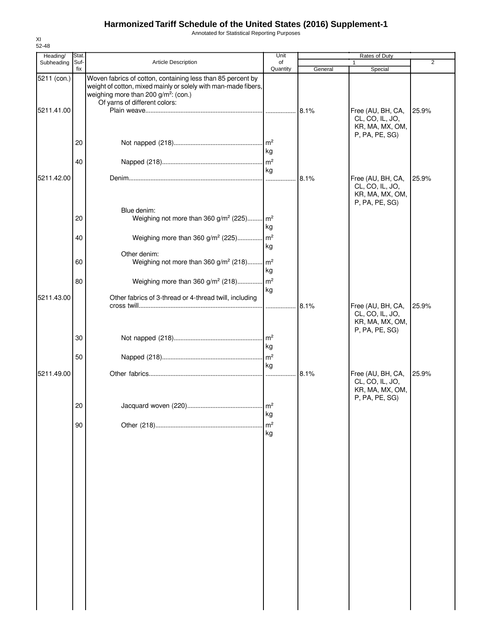Annotated for Statistical Reporting Purposes

| Heading/    | Stat.       |                                                                                                                                                                                                                    | Unit                              |         | Rates of Duty                                                             |       |
|-------------|-------------|--------------------------------------------------------------------------------------------------------------------------------------------------------------------------------------------------------------------|-----------------------------------|---------|---------------------------------------------------------------------------|-------|
| Subheading  | Suf-<br>fix | Article Description                                                                                                                                                                                                | of<br>Quantity                    | General | Special                                                                   | 2     |
| 5211 (con.) |             | Woven fabrics of cotton, containing less than 85 percent by<br>weight of cotton, mixed mainly or solely with man-made fibers,<br>weighing more than 200 g/m <sup>2</sup> : (con.)<br>Of yarns of different colors: |                                   |         |                                                                           |       |
| 5211.41.00  |             |                                                                                                                                                                                                                    |                                   |         | Free (AU, BH, CA,<br>CL, CO, IL, JO,<br>KR, MA, MX, OM,<br>P, PA, PE, SG) | 25.9% |
|             | 20          |                                                                                                                                                                                                                    | $\mathsf{Im}^2$<br>kg             |         |                                                                           |       |
| 5211.42.00  | 40          |                                                                                                                                                                                                                    | $\mathsf{Im}^2$<br>kg<br>$\cdots$ | 8.1%    | Free (AU, BH, CA,                                                         | 25.9% |
|             |             |                                                                                                                                                                                                                    |                                   |         | CL, CO, IL, JO,<br>KR, MA, MX, OM,<br>P, PA, PE, SG)                      |       |
|             | 20          | Blue denim:<br>Weighing not more than 360 g/m <sup>2</sup> (225) m <sup>2</sup>                                                                                                                                    | kg                                |         |                                                                           |       |
|             | 40          | Weighing more than 360 g/m <sup>2</sup> (225)<br>Other denim:                                                                                                                                                      | $\mathsf{Im}^2$<br>kg             |         |                                                                           |       |
|             | 60          | Weighing not more than 360 g/m <sup>2</sup> (218) m <sup>2</sup>                                                                                                                                                   | kg                                |         |                                                                           |       |
| 5211.43.00  | 80          | Weighing more than 360 g/m <sup>2</sup> (218)<br>Other fabrics of 3-thread or 4-thread twill, including                                                                                                            | $\mathsf{Im}^2$<br>kg             |         |                                                                           |       |
|             |             |                                                                                                                                                                                                                    | .                                 | 8.1%    | Free (AU, BH, CA,<br>CL, CO, IL, JO,<br>KR, MA, MX, OM,<br>P, PA, PE, SG) | 25.9% |
|             | 30          |                                                                                                                                                                                                                    | . $\mathsf{Im}^2$<br>kg           |         |                                                                           |       |
| 5211.49.00  | 50          |                                                                                                                                                                                                                    | $\mathsf{I}_{\mathsf{m}^2}$<br>kg | 8.1%    | Free (AU, BH, CA,                                                         | 25.9% |
|             |             |                                                                                                                                                                                                                    |                                   |         | CL, CO, IL, JO,<br>KR, MA, MX, OM,<br>P, PA, PE, SG)                      |       |
|             | 20          |                                                                                                                                                                                                                    | $\mathsf{Im}^2$<br>kg             |         |                                                                           |       |
|             | 90          |                                                                                                                                                                                                                    | m <sup>2</sup><br>kg              |         |                                                                           |       |
|             |             |                                                                                                                                                                                                                    |                                   |         |                                                                           |       |
|             |             |                                                                                                                                                                                                                    |                                   |         |                                                                           |       |
|             |             |                                                                                                                                                                                                                    |                                   |         |                                                                           |       |
|             |             |                                                                                                                                                                                                                    |                                   |         |                                                                           |       |
|             |             |                                                                                                                                                                                                                    |                                   |         |                                                                           |       |
|             |             |                                                                                                                                                                                                                    |                                   |         |                                                                           |       |
|             |             |                                                                                                                                                                                                                    |                                   |         |                                                                           |       |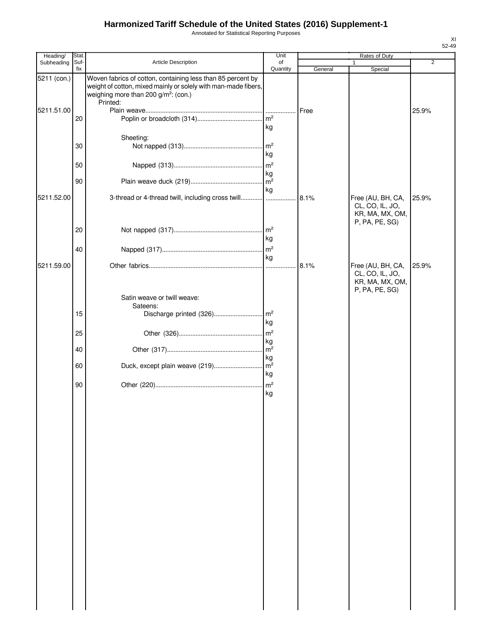Annotated for Statistical Reporting Purposes

52-49

XI

| Heading/    | Stat.       |                                                                                                                                                                                               | Unit                  |         | Rates of Duty                                                             |                |
|-------------|-------------|-----------------------------------------------------------------------------------------------------------------------------------------------------------------------------------------------|-----------------------|---------|---------------------------------------------------------------------------|----------------|
| Subheading  | Suf-<br>fix | <b>Article Description</b>                                                                                                                                                                    | of<br>Quantity        |         |                                                                           | $\overline{2}$ |
| 5211 (con.) |             | Woven fabrics of cotton, containing less than 85 percent by<br>weight of cotton, mixed mainly or solely with man-made fibers,<br>weighing more than 200 g/m <sup>2</sup> : (con.)<br>Printed: |                       | General | Special                                                                   |                |
| 5211.51.00  | 20          |                                                                                                                                                                                               | kg                    | Free    |                                                                           | 25.9%          |
|             | 30          | Sheeting:                                                                                                                                                                                     | kg                    |         |                                                                           |                |
|             | 50          |                                                                                                                                                                                               | m <sup>2</sup><br>kg  |         |                                                                           |                |
|             | 90          |                                                                                                                                                                                               | kg                    |         |                                                                           |                |
| 5211.52.00  |             | 3-thread or 4-thread twill, including cross twill                                                                                                                                             |                       | 8.1%    | Free (AU, BH, CA,<br>CL, CO, IL, JO,<br>KR, MA, MX, OM,<br>P, PA, PE, SG) | 25.9%          |
|             | 20          |                                                                                                                                                                                               | $\mathsf{Im}^2$<br>kg |         |                                                                           |                |
|             | 40          |                                                                                                                                                                                               | kg                    |         |                                                                           |                |
| 5211.59.00  |             |                                                                                                                                                                                               |                       | 8.1%    | Free (AU, BH, CA,<br>CL, CO, IL, JO,<br>KR, MA, MX, OM,<br>P, PA, PE, SG) | 25.9%          |
|             |             | Satin weave or twill weave:<br>Sateens:                                                                                                                                                       |                       |         |                                                                           |                |
|             | 15          |                                                                                                                                                                                               | kg                    |         |                                                                           |                |
|             | 25          |                                                                                                                                                                                               | m <sup>2</sup><br>kg  |         |                                                                           |                |
|             | 40          |                                                                                                                                                                                               | m <sup>2</sup><br>kg  |         |                                                                           |                |
|             | 60          |                                                                                                                                                                                               | kg                    |         |                                                                           |                |
|             | 90          |                                                                                                                                                                                               | kg                    |         |                                                                           |                |
|             |             |                                                                                                                                                                                               |                       |         |                                                                           |                |
|             |             |                                                                                                                                                                                               |                       |         |                                                                           |                |
|             |             |                                                                                                                                                                                               |                       |         |                                                                           |                |
|             |             |                                                                                                                                                                                               |                       |         |                                                                           |                |
|             |             |                                                                                                                                                                                               |                       |         |                                                                           |                |
|             |             |                                                                                                                                                                                               |                       |         |                                                                           |                |
|             |             |                                                                                                                                                                                               |                       |         |                                                                           |                |
|             |             |                                                                                                                                                                                               |                       |         |                                                                           |                |
|             |             |                                                                                                                                                                                               |                       |         |                                                                           |                |
|             |             |                                                                                                                                                                                               |                       |         |                                                                           |                |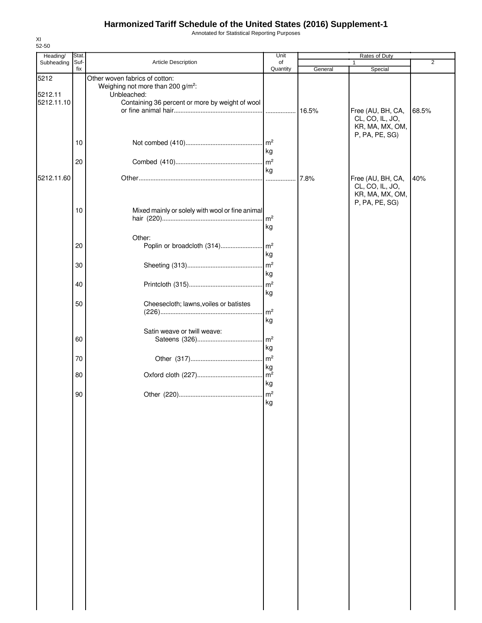Annotated for Statistical Reporting Purposes

| Heading/              | Stat.       |                                                                                 | Unit                  |         | Rates of Duty                                           |                |
|-----------------------|-------------|---------------------------------------------------------------------------------|-----------------------|---------|---------------------------------------------------------|----------------|
| Subheading            | Suf-<br>fix | Article Description                                                             | of<br>Quantity        | General | 1<br>Special                                            | $\overline{2}$ |
| 5212                  |             | Other woven fabrics of cotton:<br>Weighing not more than 200 g/m <sup>2</sup> : |                       |         |                                                         |                |
| 5212.11<br>5212.11.10 |             | Unbleached:<br>Containing 36 percent or more by weight of wool                  |                       | 16.5%   | Free (AU, BH, CA,                                       | 68.5%          |
|                       |             |                                                                                 |                       |         | CL, CO, IL, JO,<br>KR, MA, MX, OM,                      |                |
|                       | 10          |                                                                                 | kg                    |         | P, PA, PE, SG)                                          |                |
|                       | 20          |                                                                                 | $\mathsf{m}^2$<br>kg  |         |                                                         |                |
| 5212.11.60            |             |                                                                                 | .                     | 7.8%    | Free (AU, BH, CA,<br>CL, CO, IL, JO,<br>KR, MA, MX, OM, | 40%            |
|                       | 10          | Mixed mainly or solely with wool or fine animal                                 | m <sup>2</sup><br>kg  |         | P, PA, PE, SG)                                          |                |
|                       |             | Other:                                                                          |                       |         |                                                         |                |
|                       | 20          | Poplin or broadcloth (314)                                                      | m <sup>2</sup><br>kg  |         |                                                         |                |
|                       | 30          |                                                                                 | m <sup>2</sup><br>kg  |         |                                                         |                |
|                       | 40          |                                                                                 | $\mathsf{Im}^2$<br>kg |         |                                                         |                |
|                       | 50          | Cheesecloth; lawns, voiles or batistes                                          | m <sup>2</sup>        |         |                                                         |                |
|                       |             | Satin weave or twill weave:                                                     | kg                    |         |                                                         |                |
|                       | 60          |                                                                                 | kg                    |         |                                                         |                |
|                       | 70          |                                                                                 | kg                    |         |                                                         |                |
|                       | 80          |                                                                                 | kg                    |         |                                                         |                |
|                       | 90          |                                                                                 | kg                    |         |                                                         |                |
|                       |             |                                                                                 |                       |         |                                                         |                |
|                       |             |                                                                                 |                       |         |                                                         |                |
|                       |             |                                                                                 |                       |         |                                                         |                |
|                       |             |                                                                                 |                       |         |                                                         |                |
|                       |             |                                                                                 |                       |         |                                                         |                |
|                       |             |                                                                                 |                       |         |                                                         |                |
|                       |             |                                                                                 |                       |         |                                                         |                |
|                       |             |                                                                                 |                       |         |                                                         |                |
|                       |             |                                                                                 |                       |         |                                                         |                |
|                       |             |                                                                                 |                       |         |                                                         |                |
|                       |             |                                                                                 |                       |         |                                                         |                |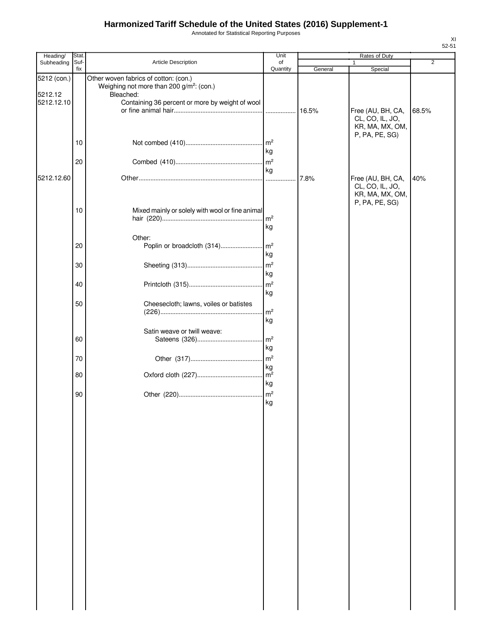Annotated for Statistical Reporting Purposes

| Heading/              | Stat.       |                                                                                               | Unit                 | Rates of Duty |                                                                           |                |  |
|-----------------------|-------------|-----------------------------------------------------------------------------------------------|----------------------|---------------|---------------------------------------------------------------------------|----------------|--|
| Subheading            | Suf-<br>fix | Article Description                                                                           | of<br>Quantity       | General       | 1<br>Special                                                              | $\overline{2}$ |  |
| 5212 (con.)           |             | Other woven fabrics of cotton: (con.)<br>Weighing not more than 200 g/m <sup>2</sup> : (con.) |                      |               |                                                                           |                |  |
| 5212.12<br>5212.12.10 |             | Bleached:<br>Containing 36 percent or more by weight of wool                                  |                      | 16.5%         | Free (AU, BH, CA,<br>CL, CO, IL, JO,                                      | 68.5%          |  |
|                       | 10          |                                                                                               | kg                   |               | KR, MA, MX, OM,<br>P, PA, PE, SG)                                         |                |  |
|                       | 20          |                                                                                               | m <sup>2</sup><br>kg |               |                                                                           |                |  |
| 5212.12.60            |             |                                                                                               |                      | 7.8%          | Free (AU, BH, CA,<br>CL, CO, IL, JO,<br>KR, MA, MX, OM,<br>P, PA, PE, SG) | 40%            |  |
|                       | 10          | Mixed mainly or solely with wool or fine animal                                               | m <sup>2</sup><br>kg |               |                                                                           |                |  |
|                       | 20          | Other:<br>Poplin or broadcloth (314)                                                          | $\mathsf{Im}^2$      |               |                                                                           |                |  |
|                       | 30          |                                                                                               | kg<br>m <sup>2</sup> |               |                                                                           |                |  |
|                       | 40          |                                                                                               | kg<br>m <sup>2</sup> |               |                                                                           |                |  |
|                       | 50          | Cheesecloth; lawns, voiles or batistes                                                        | kg                   |               |                                                                           |                |  |
|                       |             | Satin weave or twill weave:                                                                   | m <sup>2</sup><br>kg |               |                                                                           |                |  |
|                       | 60          |                                                                                               | m <sup>2</sup><br>kg |               |                                                                           |                |  |
|                       | 70          |                                                                                               | m <sup>2</sup><br>kg |               |                                                                           |                |  |
|                       | 80          |                                                                                               | m <sup>2</sup><br>kg |               |                                                                           |                |  |
|                       | 90          |                                                                                               | ka                   |               |                                                                           |                |  |
|                       |             |                                                                                               |                      |               |                                                                           |                |  |
|                       |             |                                                                                               |                      |               |                                                                           |                |  |
|                       |             |                                                                                               |                      |               |                                                                           |                |  |
|                       |             |                                                                                               |                      |               |                                                                           |                |  |
|                       |             |                                                                                               |                      |               |                                                                           |                |  |
|                       |             |                                                                                               |                      |               |                                                                           |                |  |
|                       |             |                                                                                               |                      |               |                                                                           |                |  |
|                       |             |                                                                                               |                      |               |                                                                           |                |  |
|                       |             |                                                                                               |                      |               |                                                                           |                |  |
|                       |             |                                                                                               |                      |               |                                                                           |                |  |
|                       |             |                                                                                               |                      |               |                                                                           |                |  |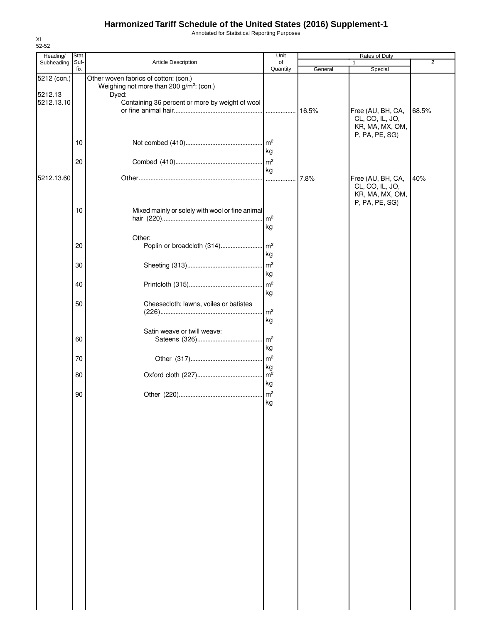Annotated for Statistical Reporting Purposes

| Heading/              | Stat.       |                                                                                               | Unit                        |         |                                                      |                |
|-----------------------|-------------|-----------------------------------------------------------------------------------------------|-----------------------------|---------|------------------------------------------------------|----------------|
| Subheading            | Suf-<br>fix | Article Description                                                                           | of<br>Quantity              | General | 1<br>Special                                         | $\overline{2}$ |
| 5212 (con.)           |             | Other woven fabrics of cotton: (con.)<br>Weighing not more than 200 g/m <sup>2</sup> : (con.) |                             |         |                                                      |                |
| 5212.13<br>5212.13.10 |             | Dyed:<br>Containing 36 percent or more by weight of wool                                      |                             | 16.5%   | Free (AU, BH, CA,                                    | 68.5%          |
|                       | 10          |                                                                                               |                             |         | CL, CO, IL, JO,<br>KR, MA, MX, OM,<br>P, PA, PE, SG) |                |
|                       | 20          |                                                                                               | kg<br>$\mathsf{Im}^2$       |         |                                                      |                |
| 5212.13.60            |             |                                                                                               | kg<br>.                     | 7.8%    | Free (AU, BH, CA,                                    | 40%            |
|                       |             |                                                                                               |                             |         | CL, CO, IL, JO,<br>KR, MA, MX, OM,<br>P, PA, PE, SG) |                |
|                       | 10          | Mixed mainly or solely with wool or fine animal                                               | m <sup>2</sup><br>kg        |         |                                                      |                |
|                       | 20          | Other:<br>Poplin or broadcloth (314)                                                          | $\mathsf{Im}^2$             |         |                                                      |                |
|                       | 30          |                                                                                               | kg<br>$\mathsf{Im}^2$<br>kg |         |                                                      |                |
|                       | 40          |                                                                                               | m <sup>2</sup><br>kg        |         |                                                      |                |
|                       | 50          | Cheesecloth; lawns, voiles or batistes                                                        | m <sup>2</sup>              |         |                                                      |                |
|                       | 60          | Satin weave or twill weave:                                                                   | kg<br>m <sup>2</sup>        |         |                                                      |                |
|                       | 70          |                                                                                               | kg<br>m <sup>2</sup>        |         |                                                      |                |
|                       | 80          |                                                                                               | kg<br>m <sup>2</sup><br>kg  |         |                                                      |                |
|                       | 90          |                                                                                               | $\mathsf{Im}^2$<br>l ka     |         |                                                      |                |
|                       |             |                                                                                               |                             |         |                                                      |                |
|                       |             |                                                                                               |                             |         |                                                      |                |
|                       |             |                                                                                               |                             |         |                                                      |                |
|                       |             |                                                                                               |                             |         |                                                      |                |
|                       |             |                                                                                               |                             |         |                                                      |                |
|                       |             |                                                                                               |                             |         |                                                      |                |
|                       |             |                                                                                               |                             |         |                                                      |                |
|                       |             |                                                                                               |                             |         |                                                      |                |
|                       |             |                                                                                               |                             |         |                                                      |                |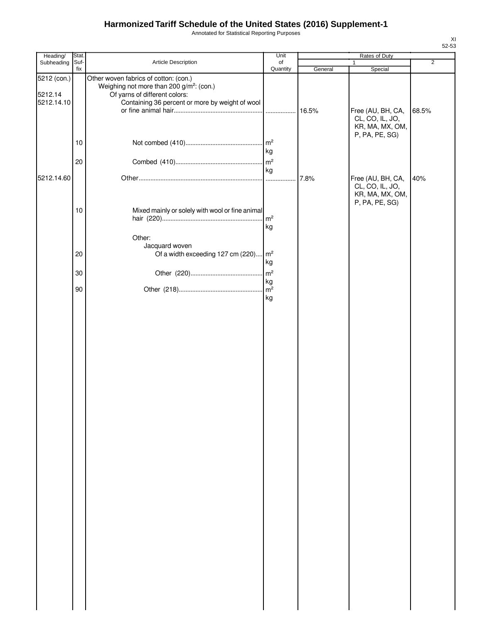Annotated for Statistical Reporting Purposes

| Heading/                             | Stat. |                                                                                                                                                                                   | Unit                  | Rates of Duty |                                                                           |                |  |
|--------------------------------------|-------|-----------------------------------------------------------------------------------------------------------------------------------------------------------------------------------|-----------------------|---------------|---------------------------------------------------------------------------|----------------|--|
| Subheading                           | Suf-  | Article Description                                                                                                                                                               | of                    |               |                                                                           | $\overline{2}$ |  |
| 5212 (con.)<br>5212.14<br>5212.14.10 | fix   | Other woven fabrics of cotton: (con.)<br>Weighing not more than 200 g/m <sup>2</sup> : (con.)<br>Of yarns of different colors:<br>Containing 36 percent or more by weight of wool | Quantity              | General       | Special<br>Free (AU, BH, CA,<br>CL, CO, IL, JO,<br>KR, MA, MX, OM,        | 68.5%          |  |
|                                      | 10    |                                                                                                                                                                                   | kg                    |               | P, PA, PE, SG)                                                            |                |  |
|                                      | 20    |                                                                                                                                                                                   |                       |               |                                                                           |                |  |
| 5212.14.60                           |       |                                                                                                                                                                                   | kg                    | 7.8%          | Free (AU, BH, CA,<br>CL, CO, IL, JO,<br>KR, MA, MX, OM,<br>P, PA, PE, SG) | 40%            |  |
|                                      | 10    | Mixed mainly or solely with wool or fine animal<br>Other:                                                                                                                         | $\mathsf{Im}^2$<br>kg |               |                                                                           |                |  |
|                                      | 20    | Jacquard woven<br>Of a width exceeding 127 cm (220) m <sup>2</sup>                                                                                                                | kg                    |               |                                                                           |                |  |
|                                      | 30    |                                                                                                                                                                                   |                       |               |                                                                           |                |  |
|                                      | 90    |                                                                                                                                                                                   | kg<br>kg              |               |                                                                           |                |  |
|                                      |       |                                                                                                                                                                                   |                       |               |                                                                           |                |  |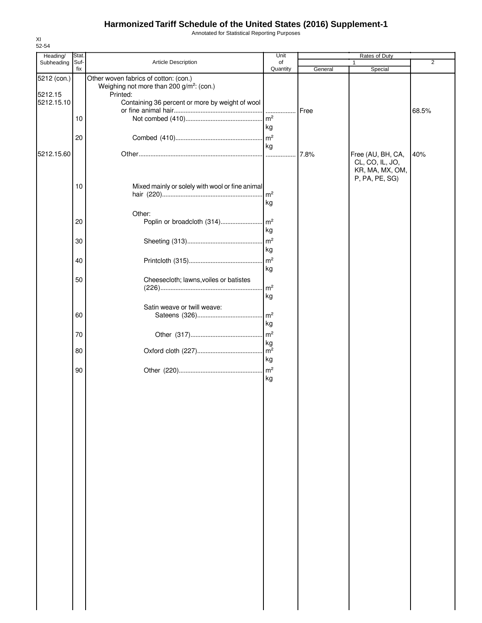Annotated for Statistical Reporting Purposes

| Heading/    | Stat. |                                                                  | Unit            |         |                                    |                |
|-------------|-------|------------------------------------------------------------------|-----------------|---------|------------------------------------|----------------|
| Subheading  | Suf-  | Article Description                                              | of              |         | 1                                  | $\overline{2}$ |
| 5212 (con.) | fix   | Other woven fabrics of cotton: (con.)                            | Quantity        | General | Special                            |                |
| 5212.15     |       | Weighing not more than 200 g/m <sup>2</sup> : (con.)<br>Printed: |                 |         |                                    |                |
| 5212.15.10  |       | Containing 36 percent or more by weight of wool                  |                 |         |                                    |                |
|             |       |                                                                  |                 | Free    |                                    | 68.5%          |
|             | 10    |                                                                  | m <sup>2</sup>  |         |                                    |                |
|             |       |                                                                  | kg              |         |                                    |                |
|             | 20    |                                                                  | $\mathsf{m}^2$  |         |                                    |                |
|             |       |                                                                  | kg              |         |                                    |                |
| 5212.15.60  |       |                                                                  | .               | 7.8%    | Free (AU, BH, CA,                  | 40%            |
|             |       |                                                                  |                 |         | CL, CO, IL, JO,<br>KR, MA, MX, OM, |                |
|             |       |                                                                  |                 |         | P, PA, PE, SG)                     |                |
|             | 10    | Mixed mainly or solely with wool or fine animal                  |                 |         |                                    |                |
|             |       |                                                                  | m <sup>2</sup>  |         |                                    |                |
|             |       |                                                                  | kg              |         |                                    |                |
|             |       | Other:                                                           |                 |         |                                    |                |
|             | 20    | Poplin or broadcloth (314)                                       | m <sup>2</sup>  |         |                                    |                |
|             |       |                                                                  | kg              |         |                                    |                |
|             | 30    |                                                                  | m <sup>2</sup>  |         |                                    |                |
|             |       |                                                                  | kg              |         |                                    |                |
|             | 40    |                                                                  | m <sup>2</sup>  |         |                                    |                |
|             |       |                                                                  | kg              |         |                                    |                |
|             | 50    | Cheesecloth; lawns, voiles or batistes                           |                 |         |                                    |                |
|             |       |                                                                  | m <sup>2</sup>  |         |                                    |                |
|             |       |                                                                  | kg              |         |                                    |                |
|             |       | Satin weave or twill weave:                                      |                 |         |                                    |                |
|             | 60    |                                                                  | $\mathsf{m}^2$  |         |                                    |                |
|             |       |                                                                  | kg              |         |                                    |                |
|             | 70    |                                                                  | $\mathsf{m}^2$  |         |                                    |                |
|             |       |                                                                  | kg              |         |                                    |                |
|             | 80    |                                                                  |                 |         |                                    |                |
|             |       |                                                                  | kg              |         |                                    |                |
|             | 90    |                                                                  | $\mathsf{Im}^2$ |         |                                    |                |
|             |       |                                                                  | kg              |         |                                    |                |
|             |       |                                                                  |                 |         |                                    |                |
|             |       |                                                                  |                 |         |                                    |                |
|             |       |                                                                  |                 |         |                                    |                |
|             |       |                                                                  |                 |         |                                    |                |
|             |       |                                                                  |                 |         |                                    |                |
|             |       |                                                                  |                 |         |                                    |                |
|             |       |                                                                  |                 |         |                                    |                |
|             |       |                                                                  |                 |         |                                    |                |
|             |       |                                                                  |                 |         |                                    |                |
|             |       |                                                                  |                 |         |                                    |                |
|             |       |                                                                  |                 |         |                                    |                |
|             |       |                                                                  |                 |         |                                    |                |
|             |       |                                                                  |                 |         |                                    |                |
|             |       |                                                                  |                 |         |                                    |                |
|             |       |                                                                  |                 |         |                                    |                |
|             |       |                                                                  |                 |         |                                    |                |
|             |       |                                                                  |                 |         |                                    |                |
|             |       |                                                                  |                 |         |                                    |                |
|             |       |                                                                  |                 |         |                                    |                |
|             |       |                                                                  |                 |         |                                    |                |
|             |       |                                                                  |                 |         |                                    |                |
|             |       |                                                                  |                 |         |                                    |                |
|             |       |                                                                  |                 |         |                                    |                |
|             |       |                                                                  |                 |         |                                    |                |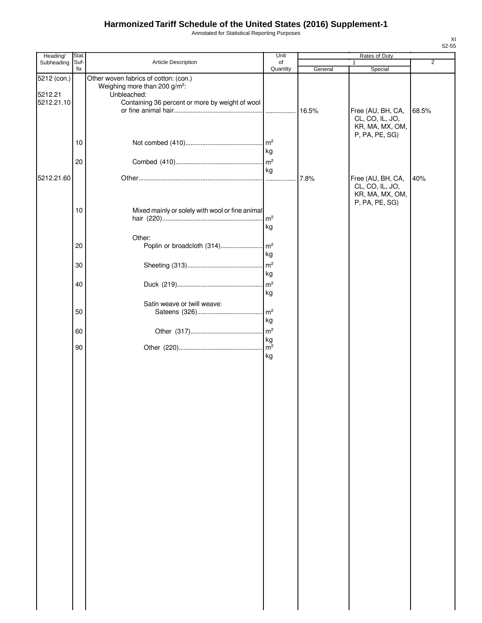Annotated for Statistical Reporting Purposes

| Heading/               | Stat.       |                                                                                                   | Unit                  | Rates of Duty |                                                                           | $\overline{2}$ |  |
|------------------------|-------------|---------------------------------------------------------------------------------------------------|-----------------------|---------------|---------------------------------------------------------------------------|----------------|--|
| Subheading             | Suf-<br>fix | Article Description                                                                               | of<br>Quantity        | General       | 1<br>Special                                                              |                |  |
| 5212 (con.)<br>5212.21 |             | Other woven fabrics of cotton: (con.)<br>Weighing more than 200 g/m <sup>2</sup> :<br>Unbleached: |                       |               |                                                                           |                |  |
| 5212.21.10             |             | Containing 36 percent or more by weight of wool                                                   |                       |               | Free (AU, BH, CA,                                                         | 68.5%          |  |
|                        |             |                                                                                                   |                       |               | CL, CO, IL, JO,<br>KR, MA, MX, OM,<br>P, PA, PE, SG)                      |                |  |
|                        | 10          |                                                                                                   | $\mathsf{Im}^2$<br>kg |               |                                                                           |                |  |
|                        | 20          |                                                                                                   | m <sup>2</sup><br>kg  |               |                                                                           |                |  |
| 5212.21.60             |             |                                                                                                   |                       | 7.8%          | Free (AU, BH, CA,<br>CL, CO, IL, JO,<br>KR, MA, MX, OM,<br>P, PA, PE, SG) | 40%            |  |
|                        | 10          | Mixed mainly or solely with wool or fine animal                                                   | m <sup>2</sup><br>kg  |               |                                                                           |                |  |
|                        |             | Other:                                                                                            |                       |               |                                                                           |                |  |
|                        | 20          | Poplin or broadcloth (314)                                                                        | $\mathsf{Im}^2$<br>kg |               |                                                                           |                |  |
|                        | 30          |                                                                                                   | $\mathsf{Im}^2$<br>kg |               |                                                                           |                |  |
|                        | 40          |                                                                                                   | m <sup>2</sup><br>kg  |               |                                                                           |                |  |
|                        | 50          | Satin weave or twill weave:                                                                       | $\mathsf{m}^2$        |               |                                                                           |                |  |
|                        | 60          |                                                                                                   | kg<br>$\mathsf{m}^2$  |               |                                                                           |                |  |
|                        | 90          |                                                                                                   | kg<br>kg              |               |                                                                           |                |  |
|                        |             |                                                                                                   |                       |               |                                                                           |                |  |
|                        |             |                                                                                                   |                       |               |                                                                           |                |  |
|                        |             |                                                                                                   |                       |               |                                                                           |                |  |
|                        |             |                                                                                                   |                       |               |                                                                           |                |  |
|                        |             |                                                                                                   |                       |               |                                                                           |                |  |
|                        |             |                                                                                                   |                       |               |                                                                           |                |  |
|                        |             |                                                                                                   |                       |               |                                                                           |                |  |
|                        |             |                                                                                                   |                       |               |                                                                           |                |  |
|                        |             |                                                                                                   |                       |               |                                                                           |                |  |
|                        |             |                                                                                                   |                       |               |                                                                           |                |  |
|                        |             |                                                                                                   |                       |               |                                                                           |                |  |
|                        |             |                                                                                                   |                       |               |                                                                           |                |  |
|                        |             |                                                                                                   |                       |               |                                                                           |                |  |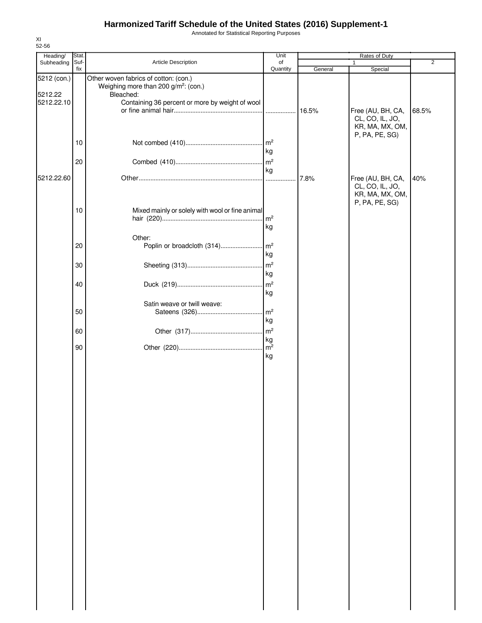Annotated for Statistical Reporting Purposes

| 52-56                  |             |                                                                                                        |                       |         |                                                                           |       |
|------------------------|-------------|--------------------------------------------------------------------------------------------------------|-----------------------|---------|---------------------------------------------------------------------------|-------|
| Heading/               | Stat.       |                                                                                                        | Unit                  |         | Rates of Duty                                                             |       |
| Subheading             | Suf-<br>fix | Article Description                                                                                    | of<br>Quantity        | General | Special                                                                   | 2     |
| 5212 (con.)<br>5212.22 |             | Other woven fabrics of cotton: (con.)<br>Weighing more than 200 g/m <sup>2</sup> : (con.)<br>Bleached: |                       |         |                                                                           |       |
| 5212.22.10             |             | Containing 36 percent or more by weight of wool                                                        |                       | 16.5%   | Free (AU, BH, CA,<br>CL, CO, IL, JO,<br>KR, MA, MX, OM,<br>P, PA, PE, SG) | 68.5% |
|                        | 10          |                                                                                                        | $\mathsf{Im}^2$<br>kg |         |                                                                           |       |
|                        | 20          |                                                                                                        | $\mathsf{Im}^2$<br>kg |         |                                                                           |       |
| 5212.22.60             |             |                                                                                                        |                       | 7.8%    | Free (AU, BH, CA,<br>CL, CO, IL, JO,<br>KR, MA, MX, OM,<br>P, PA, PE, SG) | 40%   |
|                        | 10          | Mixed mainly or solely with wool or fine animal                                                        | $\mathsf{Im}^2$<br>kg |         |                                                                           |       |
|                        | 20          | Other:<br>Poplin or broadcloth (314)                                                                   | m <sup>2</sup>        |         |                                                                           |       |
|                        |             |                                                                                                        | kg                    |         |                                                                           |       |
|                        | 30          |                                                                                                        | m <sup>2</sup><br>kg  |         |                                                                           |       |
|                        | 40          |                                                                                                        | $\mathsf{m}^2$<br>kg  |         |                                                                           |       |
|                        | 50          | Satin weave or twill weave:                                                                            | m <sup>2</sup>        |         |                                                                           |       |
|                        |             |                                                                                                        | kg                    |         |                                                                           |       |
|                        | 60          |                                                                                                        | $\mathsf{m}^2$<br>kg  |         |                                                                           |       |
|                        | 90          |                                                                                                        | $m^2$<br>kg           |         |                                                                           |       |
|                        |             |                                                                                                        |                       |         |                                                                           |       |
|                        |             |                                                                                                        |                       |         |                                                                           |       |
|                        |             |                                                                                                        |                       |         |                                                                           |       |
|                        |             |                                                                                                        |                       |         |                                                                           |       |
|                        |             |                                                                                                        |                       |         |                                                                           |       |
|                        |             |                                                                                                        |                       |         |                                                                           |       |
|                        |             |                                                                                                        |                       |         |                                                                           |       |
|                        |             |                                                                                                        |                       |         |                                                                           |       |
|                        |             |                                                                                                        |                       |         |                                                                           |       |
|                        |             |                                                                                                        |                       |         |                                                                           |       |
|                        |             |                                                                                                        |                       |         |                                                                           |       |
|                        |             |                                                                                                        |                       |         |                                                                           |       |
|                        |             |                                                                                                        |                       |         |                                                                           |       |

XI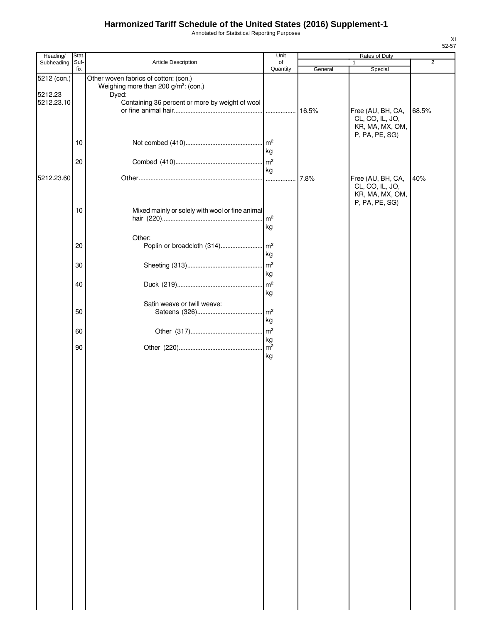Annotated for Statistical Reporting Purposes

| Heading/    | Stat. |                                                                                           | Unit                 |         | Rates of Duty                                        |                |
|-------------|-------|-------------------------------------------------------------------------------------------|----------------------|---------|------------------------------------------------------|----------------|
| Subheading  | Suf-  | Article Description                                                                       | of                   |         | 1                                                    | $\overline{2}$ |
| 5212 (con.) | fix   | Other woven fabrics of cotton: (con.)<br>Weighing more than 200 g/m <sup>2</sup> : (con.) | Quantity             | General | Special                                              |                |
| 5212.23     |       | Dyed:                                                                                     |                      |         |                                                      |                |
| 5212.23.10  |       | Containing 36 percent or more by weight of wool                                           |                      |         |                                                      |                |
|             |       |                                                                                           |                      |         | Free (AU, BH, CA,<br>CL, CO, IL, JO,                 | 68.5%          |
|             |       |                                                                                           |                      |         | KR, MA, MX, OM,                                      |                |
|             |       |                                                                                           |                      |         | P, PA, PE, SG)                                       |                |
|             | 10    |                                                                                           | $\mathsf{Im}^2$      |         |                                                      |                |
|             |       |                                                                                           | kg                   |         |                                                      |                |
|             | 20    |                                                                                           | kg                   |         |                                                      |                |
| 5212.23.60  |       |                                                                                           | .                    | 7.8%    | Free (AU, BH, CA,                                    | 40%            |
|             |       |                                                                                           |                      |         | CL, CO, IL, JO,<br>KR, MA, MX, OM,<br>P, PA, PE, SG) |                |
|             | 10    | Mixed mainly or solely with wool or fine animal                                           |                      |         |                                                      |                |
|             |       |                                                                                           | $\mathsf{m}^2$       |         |                                                      |                |
|             |       |                                                                                           | kg                   |         |                                                      |                |
|             | 20    | Other:<br>Poplin or broadcloth (314)                                                      | m <sup>2</sup>       |         |                                                      |                |
|             |       |                                                                                           | kg                   |         |                                                      |                |
|             | 30    |                                                                                           | m <sup>2</sup>       |         |                                                      |                |
|             |       |                                                                                           | kg                   |         |                                                      |                |
|             | 40    |                                                                                           | m <sup>2</sup>       |         |                                                      |                |
|             |       |                                                                                           | kg                   |         |                                                      |                |
|             |       | Satin weave or twill weave:                                                               |                      |         |                                                      |                |
|             | 50    |                                                                                           | m <sup>2</sup>       |         |                                                      |                |
|             |       |                                                                                           | kg                   |         |                                                      |                |
|             | 60    |                                                                                           | $\mathsf{Im}^2$      |         |                                                      |                |
|             | 90    |                                                                                           | kg<br>m <sup>2</sup> |         |                                                      |                |
|             |       |                                                                                           | kg                   |         |                                                      |                |
|             |       |                                                                                           |                      |         |                                                      |                |
|             |       |                                                                                           |                      |         |                                                      |                |
|             |       |                                                                                           |                      |         |                                                      |                |
|             |       |                                                                                           |                      |         |                                                      |                |
|             |       |                                                                                           |                      |         |                                                      |                |
|             |       |                                                                                           |                      |         |                                                      |                |
|             |       |                                                                                           |                      |         |                                                      |                |
|             |       |                                                                                           |                      |         |                                                      |                |
|             |       |                                                                                           |                      |         |                                                      |                |
|             |       |                                                                                           |                      |         |                                                      |                |
|             |       |                                                                                           |                      |         |                                                      |                |
|             |       |                                                                                           |                      |         |                                                      |                |
|             |       |                                                                                           |                      |         |                                                      |                |
|             |       |                                                                                           |                      |         |                                                      |                |
|             |       |                                                                                           |                      |         |                                                      |                |
|             |       |                                                                                           |                      |         |                                                      |                |
|             |       |                                                                                           |                      |         |                                                      |                |
|             |       |                                                                                           |                      |         |                                                      |                |
|             |       |                                                                                           |                      |         |                                                      |                |
|             |       |                                                                                           |                      |         |                                                      |                |
|             |       |                                                                                           |                      |         |                                                      |                |
|             |       |                                                                                           |                      |         |                                                      |                |
|             |       |                                                                                           |                      |         |                                                      |                |
|             |       |                                                                                           |                      |         |                                                      |                |
|             |       |                                                                                           |                      |         |                                                      |                |